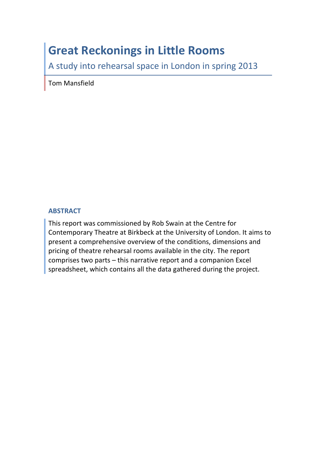# **Great Reckonings in Little Rooms**

A study into rehearsal space in London in spring 2013

Tom Mansfield

#### **ABSTRACT**

This report was commissioned by Rob Swain at the Centre for Contemporary Theatre at Birkbeck at the University of London. It aims to present a comprehensive overview of the conditions, dimensions and pricing of theatre rehearsal rooms available in the city. The report comprises two parts  $-$  this narrative report and a companion Excel spreadsheet, which contains all the data gathered during the project.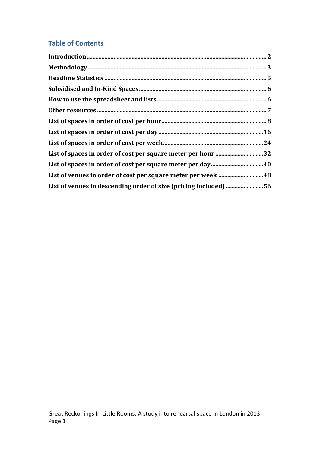### **Table of Contents**

| List of spaces in order of cost per square meter per hour 32     |  |
|------------------------------------------------------------------|--|
|                                                                  |  |
| List of venues in order of cost per square meter per week 48     |  |
| List of venues in descending order of size (pricing included) 56 |  |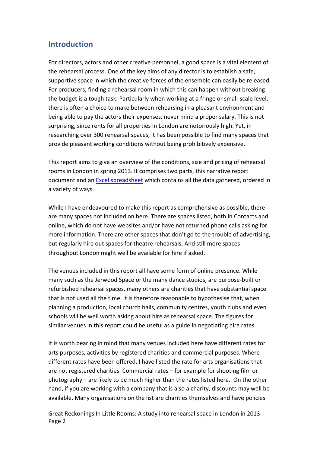#### **Introduction**

For directors, actors and other creative personnel, a good space is a vital element of the rehearsal process. One of the key aims of any director is to establish a safe, supportive space in which the creative forces of the ensemble can easily be released. For producers, finding a rehearsal room in which this can happen without breaking the budget is a tough task. Particularly when working at a fringe or small-scale level, there is often a choice to make between rehearsing in a pleasant environment and being able to pay the actors their expenses, never mind a proper salary. This is not surprising, since rents for all properties in London are notoriously high. Yet, in researching over 300 rehearsal spaces, it has been possible to find many spaces that provide pleasant working conditions without being prohibitively expensive.

This report aims to give an overview of the conditions, size and pricing of rehearsal rooms in London in spring 2013. It comprises two parts, this narrative report document and an Excel spreadsheet which contains all the data gathered, ordered in a variety of ways.

While I have endeavoured to make this report as comprehensive as possible, there are many spaces not included on here. There are spaces listed, both in Contacts and online, which do not have websites and/or have not returned phone calls asking for more information. There are other spaces that don't go to the trouble of advertising, but regularly hire out spaces for theatre rehearsals. And still more spaces throughout London might well be available for hire if asked.

The venues included in this report all have some form of online presence. While many such as the Jerwood Space or the many dance studios, are purpose-built or  $$ refurbished rehearsal spaces, many others are charities that have substantial space that is not used all the time. It is therefore reasonable to hypothesise that, when planning a production, local church halls, community centres, youth clubs and even schools will be well worth asking about hire as rehearsal space. The figures for similar venues in this report could be useful as a guide in negotiating hire rates.

It is worth bearing in mind that many venues included here have different rates for arts purposes, activities by registered charities and commercial purposes. Where different rates have been offered, I have listed the rate for arts organisations that are not registered charities. Commercial rates - for example for shooting film or photography – are likely to be much higher than the rates listed here. On the other hand, if you are working with a company that is also a charity, discounts may well be available. Many organisations on the list are charities themselves and have policies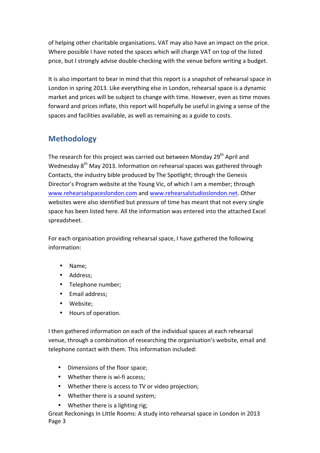of helping other charitable organisations. VAT may also have an impact on the price. Where possible I have noted the spaces which will charge VAT on top of the listed price, but I strongly advise double-checking with the venue before writing a budget.

It is also important to bear in mind that this report is a snapshot of rehearsal space in London in spring 2013. Like everything else in London, rehearsal space is a dynamic market and prices will be subject to change with time. However, even as time moves forward and prices inflate, this report will hopefully be useful in giving a sense of the spaces and facilities available, as well as remaining as a guide to costs.

### **Methodology**

The research for this project was carried out between Monday  $29<sup>th</sup>$  April and Wednesday  $8<sup>th</sup>$  May 2013. Information on rehearsal spaces was gathered through Contacts, the industry bible produced by The Spotlight; through the Genesis Director's Program website at the Young Vic, of which I am a member; through www.rehearsalspaceslondon.com and www.rehearsalstudioslondon.net. Other websites were also identified but pressure of time has meant that not every single space has been listed here. All the information was entered into the attached Excel spreadsheet.

For each organisation providing rehearsal space, I have gathered the following information:

- Name;
- Address;
- Telephone number;
- Email address;
- Website;
- Hours of operation.

I then gathered information on each of the individual spaces at each rehearsal venue, through a combination of researching the organisation's website, email and telephone contact with them. This information included:

- Dimensions of the floor space;
- Whether there is wi-fi access;
- Whether there is access to TV or video projection;
- Whether there is a sound system;
- Whether there is a lighting rig;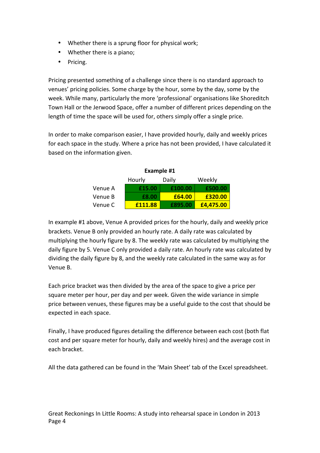- Whether there is a sprung floor for physical work;
- Whether there is a piano;
- Pricing.

Pricing presented something of a challenge since there is no standard approach to venues' pricing policies. Some charge by the hour, some by the day, some by the week. While many, particularly the more 'professional' organisations like Shoreditch Town Hall or the Jerwood Space, offer a number of different prices depending on the length of time the space will be used for, others simply offer a single price.

In order to make comparison easier, I have provided hourly, daily and weekly prices for each space in the study. Where a price has not been provided, I have calculated it based on the information given.

| Example #1                |         |         |           |  |  |
|---------------------------|---------|---------|-----------|--|--|
| Weekly<br>Hourly<br>Daily |         |         |           |  |  |
| Venue A                   | £15.00  | £100.00 | £500.00   |  |  |
| Venue B                   | £8.00   | £64.00  | £320.00   |  |  |
| Venue C                   | £111.88 | £895.00 | £4,475.00 |  |  |

In example #1 above, Venue A provided prices for the hourly, daily and weekly price brackets. Venue B only provided an hourly rate. A daily rate was calculated by multiplying the hourly figure by 8. The weekly rate was calculated by multiplying the daily figure by 5. Venue C only provided a daily rate. An hourly rate was calculated by dividing the daily figure by 8, and the weekly rate calculated in the same way as for Venue B.

Each price bracket was then divided by the area of the space to give a price per square meter per hour, per day and per week. Given the wide variance in simple price between venues, these figures may be a useful guide to the cost that should be expected in each space.

Finally, I have produced figures detailing the difference between each cost (both flat cost and per square meter for hourly, daily and weekly hires) and the average cost in each bracket. 

All the data gathered can be found in the 'Main Sheet' tab of the Excel spreadsheet.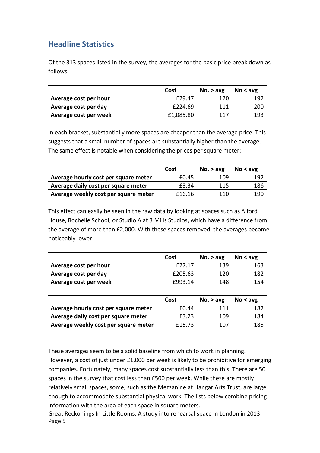### **Headline Statistics**

Of the 313 spaces listed in the survey, the averages for the basic price break down as follows:

|                       | Cost      | No. > avg | No < a <sub>VE</sub> |
|-----------------------|-----------|-----------|----------------------|
| Average cost per hour | £29.47    | 120       | 192                  |
| Average cost per day  | £224.69   | 111       | 20C                  |
| Average cost per week | £1,085.80 | 117       | 193                  |

In each bracket, substantially more spaces are cheaper than the average price. This suggests that a small number of spaces are substantially higher than the average. The same effect is notable when considering the prices per square meter:

|                                      | Cost   | No. > avg | No < ave |
|--------------------------------------|--------|-----------|----------|
| Average hourly cost per square meter | £0.45  | 109       | 192      |
| Average daily cost per square meter  | £3.34  | 115       | 186      |
| Average weekly cost per square meter | £16.16 | 110       | 190      |

This effect can easily be seen in the raw data by looking at spaces such as Alford House, Rochelle School, or Studio A at 3 Mills Studios, which have a difference from the average of more than £2,000. With these spaces removed, the averages become noticeably lower:

|                       | Cost    | No. $>$ avg | No < avg |
|-----------------------|---------|-------------|----------|
| Average cost per hour | f27.17  | 139         | 163      |
| Average cost per day  | £205.63 | 120         | 182      |
| Average cost per week | £993.14 | 148         | 154      |

|                                      | Cost   | No. > avg | No < ave |
|--------------------------------------|--------|-----------|----------|
| Average hourly cost per square meter | £0.44  | 111       | 182      |
| Average daily cost per square meter  | £3.23  | 109       | 184      |
| Average weekly cost per square meter | £15.73 | 107       | 185      |

These averages seem to be a solid baseline from which to work in planning. However, a cost of just under  $£1,000$  per week is likely to be prohibitive for emerging companies. Fortunately, many spaces cost substantially less than this. There are 50 spaces in the survey that cost less than £500 per week. While these are mostly relatively small spaces, some, such as the Mezzanine at Hangar Arts Trust, are large enough to accommodate substantial physical work. The lists below combine pricing information with the area of each space in square meters.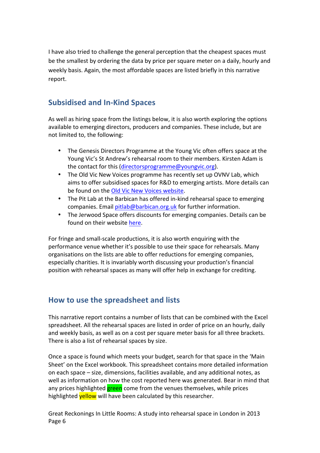I have also tried to challenge the general perception that the cheapest spaces must be the smallest by ordering the data by price per square meter on a daily, hourly and weekly basis. Again, the most affordable spaces are listed briefly in this narrative report.

#### **Subsidised and In-Kind Spaces**

As well as hiring space from the listings below, it is also worth exploring the options available to emerging directors, producers and companies. These include, but are not limited to, the following:

- The Genesis Directors Programme at the Young Vic often offers space at the Young Vic's St Andrew's rehearsal room to their members. Kirsten Adam is the contact for this (directorsprogramme@youngvic.org).
- The Old Vic New Voices programme has recently set up OVNV Lab, which aims to offer subsidised spaces for R&D to emerging artists. More details can be found on the Old Vic New Voices website.
- The Pit Lab at the Barbican has offered in-kind rehearsal space to emerging companies. Email pitlab@barbican.org.uk for further information.
- The Jerwood Space offers discounts for emerging companies. Details can be found on their website here.

For fringe and small-scale productions, it is also worth enquiring with the performance venue whether it's possible to use their space for rehearsals. Many organisations on the lists are able to offer reductions for emerging companies, especially charities. It is invariably worth discussing your production's financial position with rehearsal spaces as many will offer help in exchange for crediting.

#### **How to use the spreadsheet and lists**

This narrative report contains a number of lists that can be combined with the Excel spreadsheet. All the rehearsal spaces are listed in order of price on an hourly, daily and weekly basis, as well as on a cost per square meter basis for all three brackets. There is also a list of rehearsal spaces by size.

Once a space is found which meets your budget, search for that space in the 'Main Sheet' on the Excel workbook. This spreadsheet contains more detailed information on each space – size, dimensions, facilities available, and any additional notes, as well as information on how the cost reported here was generated. Bear in mind that any prices highlighted **green** come from the venues themselves, while prices highlighted **yellow** will have been calculated by this researcher.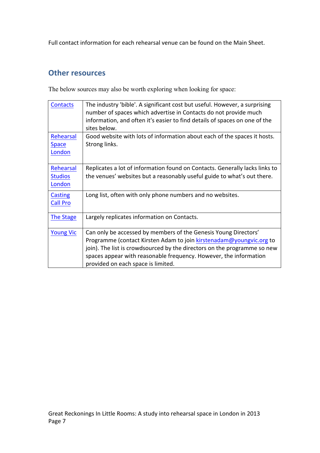Full contact information for each rehearsal venue can be found on the Main Sheet.

#### **Other resources**

The below sources may also be worth exploring when looking for space:

| <b>Contacts</b>                       | The industry 'bible'. A significant cost but useful. However, a surprising<br>number of spaces which advertise in Contacts do not provide much<br>information, and often it's easier to find details of spaces on one of the<br>sites below.                                                                                  |
|---------------------------------------|-------------------------------------------------------------------------------------------------------------------------------------------------------------------------------------------------------------------------------------------------------------------------------------------------------------------------------|
| Rehearsal<br><b>Space</b><br>London   | Good website with lots of information about each of the spaces it hosts.<br>Strong links.                                                                                                                                                                                                                                     |
| Rehearsal<br><b>Studios</b><br>London | Replicates a lot of information found on Contacts. Generally lacks links to<br>the venues' websites but a reasonably useful guide to what's out there.                                                                                                                                                                        |
| <b>Casting</b><br><b>Call Pro</b>     | Long list, often with only phone numbers and no websites.                                                                                                                                                                                                                                                                     |
| <b>The Stage</b>                      | Largely replicates information on Contacts.                                                                                                                                                                                                                                                                                   |
| <b>Young Vic</b>                      | Can only be accessed by members of the Genesis Young Directors'<br>Programme (contact Kirsten Adam to join kirstenadam@youngvic.org to<br>join). The list is crowdsourced by the directors on the programme so new<br>spaces appear with reasonable frequency. However, the information<br>provided on each space is limited. |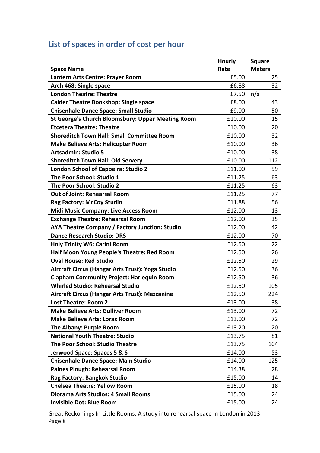# List of spaces in order of cost per hour

|                                                          | <b>Hourly</b> | <b>Square</b> |
|----------------------------------------------------------|---------------|---------------|
| <b>Space Name</b>                                        | Rate          | <b>Meters</b> |
| Lantern Arts Centre: Prayer Room                         | £5.00         | 25            |
| Arch 468: Single space                                   | £6.88         | 32            |
| <b>London Theatre: Theatre</b>                           | £7.50         | n/a           |
| <b>Calder Theatre Bookshop: Single space</b>             | £8.00         | 43            |
| <b>Chisenhale Dance Space: Small Studio</b>              | £9.00         | 50            |
| <b>St George's Church Bloomsbury: Upper Meeting Room</b> | £10.00        | 15            |
| <b>Etcetera Theatre: Theatre</b>                         | £10.00        | 20            |
| <b>Shoreditch Town Hall: Small Committee Room</b>        | £10.00        | 32            |
| <b>Make Believe Arts: Helicopter Room</b>                | £10.00        | 36            |
| <b>Artsadmin: Studio 5</b>                               | £10.00        | 38            |
| <b>Shoreditch Town Hall: Old Servery</b>                 | £10.00        | 112           |
| London School of Capoeira: Studio 2                      | £11.00        | 59            |
| The Poor School: Studio 1                                | £11.25        | 63            |
| The Poor School: Studio 2                                | £11.25        | 63            |
| <b>Out of Joint: Rehearsal Room</b>                      | £11.25        | 77            |
| <b>Rag Factory: McCoy Studio</b>                         | £11.88        | 56            |
| <b>Midi Music Company: Live Access Room</b>              | £12.00        | 13            |
| <b>Exchange Theatre: Rehearsal Room</b>                  | £12.00        | 35            |
| AYA Theatre Company / Factory Junction: Studio           | £12.00        | 42            |
| <b>Dance Research Studio: DRS</b>                        | £12.00        | 70            |
| <b>Holy Trinity W6: Carini Room</b>                      | £12.50        | 22            |
| Half Moon Young People's Theatre: Red Room               | £12.50        | 26            |
| <b>Oval House: Red Studio</b>                            | £12.50        | 29            |
| Aircraft Circus (Hangar Arts Trust): Yoga Studio         | £12.50        | 36            |
| <b>Clapham Community Project: Harlequin Room</b>         | £12.50        | 36            |
| <b>Whirled Studio: Rehearsal Studio</b>                  | £12.50        | 105           |
| Aircraft Circus (Hangar Arts Trust): Mezzanine           | £12.50        | 224           |
| <b>Lost Theatre: Room 2</b>                              | £13.00        | 38            |
| <b>Make Believe Arts: Gulliver Room</b>                  | £13.00        | 72            |
| <b>Make Believe Arts: Lorax Room</b>                     | £13.00        | 72            |
| The Albany: Purple Room                                  | £13.20        | 20            |
| <b>National Youth Theatre: Studio</b>                    | £13.75        | 81            |
| The Poor School: Studio Theatre                          | £13.75        | 104           |
| Jerwood Space: Spaces 5 & 6                              | £14.00        | 53            |
| <b>Chisenhale Dance Space: Main Studio</b>               | £14.00        | 125           |
| <b>Paines Plough: Rehearsal Room</b>                     | £14.38        | 28            |
| Rag Factory: Bangkok Studio                              | £15.00        | 14            |
| <b>Chelsea Theatre: Yellow Room</b>                      | £15.00        | 18            |
| Diorama Arts Studios: 4 Small Rooms                      | £15.00        | 24            |
| <b>Invisible Dot: Blue Room</b>                          | £15.00        | 24            |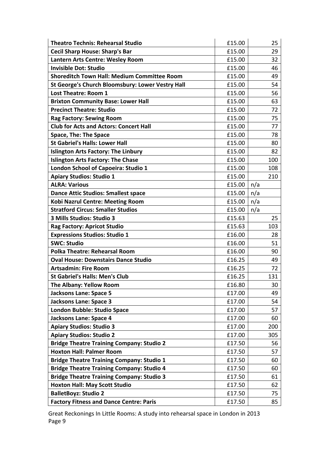| <b>Theatro Technis: Rehearsal Studio</b>           | £15.00 | 25  |
|----------------------------------------------------|--------|-----|
| <b>Cecil Sharp House: Sharp's Bar</b>              | £15.00 | 29  |
| Lantern Arts Centre: Wesley Room                   | £15.00 | 32  |
| <b>Invisible Dot: Studio</b>                       | £15.00 | 46  |
| <b>Shoreditch Town Hall: Medium Committee Room</b> | £15.00 | 49  |
| St George's Church Bloomsbury: Lower Vestry Hall   | £15.00 | 54  |
| <b>Lost Theatre: Room 1</b>                        | £15.00 | 56  |
| <b>Brixton Community Base: Lower Hall</b>          | £15.00 | 63  |
| <b>Precinct Theatre: Studio</b>                    | £15.00 | 72  |
| <b>Rag Factory: Sewing Room</b>                    | £15.00 | 75  |
| <b>Club for Acts and Actors: Concert Hall</b>      | £15.00 | 77  |
| <b>Space, The: The Space</b>                       | £15.00 | 78  |
| <b>St Gabriel's Halls: Lower Hall</b>              | £15.00 | 80  |
| <b>Islington Arts Factory: The Linbury</b>         | £15.00 | 82  |
| <b>Islington Arts Factory: The Chase</b>           | £15.00 | 100 |
| London School of Capoeira: Studio 1                | £15.00 | 108 |
| <b>Apiary Studios: Studio 1</b>                    | £15.00 | 210 |
| <b>ALRA: Various</b>                               | £15.00 | n/a |
| <b>Dance Attic Studios: Smallest space</b>         | £15.00 | n/a |
| <b>Kobi Nazrul Centre: Meeting Room</b>            | £15.00 | n/a |
| <b>Stratford Circus: Smaller Studios</b>           | £15.00 | n/a |
| 3 Mills Studios: Studio 3                          | £15.63 | 25  |
| <b>Rag Factory: Apricot Studio</b>                 | £15.63 | 103 |
| <b>Expressions Studios: Studio 1</b>               | £16.00 | 28  |
| <b>SWC: Studio</b>                                 | £16.00 | 51  |
| <b>Polka Theatre: Rehearsal Room</b>               | £16.00 | 90  |
| <b>Oval House: Downstairs Dance Studio</b>         | £16.25 | 49  |
| <b>Artsadmin: Fire Room</b>                        | £16.25 | 72  |
| <b>St Gabriel's Halls: Men's Club</b>              | £16.25 | 131 |
| The Albany: Yellow Room                            | £16.80 | 30  |
| <b>Jacksons Lane: Space 5</b>                      | £17.00 | 49  |
| <b>Jacksons Lane: Space 3</b>                      | £17.00 | 54  |
| London Bubble: Studio Space                        | £17.00 | 57  |
| <b>Jacksons Lane: Space 4</b>                      | £17.00 | 60  |
| <b>Apiary Studios: Studio 3</b>                    | £17.00 | 200 |
| <b>Apiary Studios: Studio 2</b>                    | £17.00 | 305 |
| <b>Bridge Theatre Training Company: Studio 2</b>   | £17.50 | 56  |
| <b>Hoxton Hall: Palmer Room</b>                    | £17.50 | 57  |
| <b>Bridge Theatre Training Company: Studio 1</b>   | £17.50 | 60  |
| <b>Bridge Theatre Training Company: Studio 4</b>   | £17.50 | 60  |
| <b>Bridge Theatre Training Company: Studio 3</b>   | £17.50 | 61  |
| <b>Hoxton Hall: May Scott Studio</b>               | £17.50 | 62  |
| <b>BalletBoyz: Studio 2</b>                        | £17.50 | 75  |
| <b>Factory Fitness and Dance Centre: Paris</b>     | £17.50 | 85  |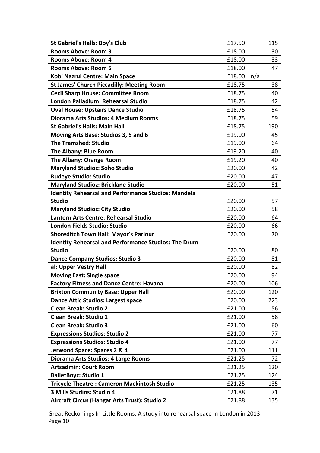| <b>St Gabriel's Halls: Boy's Club</b>                       | £17.50 | 115 |
|-------------------------------------------------------------|--------|-----|
| <b>Rooms Above: Room 3</b>                                  | £18.00 | 30  |
| <b>Rooms Above: Room 4</b>                                  | £18.00 | 33  |
| <b>Rooms Above: Room 5</b>                                  | £18.00 | 47  |
| Kobi Nazrul Centre: Main Space                              | £18.00 | n/a |
| <b>St James' Church Piccadilly: Meeting Room</b>            | £18.75 | 38  |
| <b>Cecil Sharp House: Committee Room</b>                    | £18.75 | 40  |
| London Palladium: Rehearsal Studio                          | £18.75 | 42  |
| <b>Oval House: Upstairs Dance Studio</b>                    | £18.75 | 54  |
| Diorama Arts Studios: 4 Medium Rooms                        | £18.75 | 59  |
| <b>St Gabriel's Halls: Main Hall</b>                        | £18.75 | 190 |
| Moving Arts Base: Studios 3, 5 and 6                        | £19.00 | 45  |
| <b>The Tramshed: Studio</b>                                 | £19.00 | 64  |
| The Albany: Blue Room                                       | £19.20 | 40  |
| The Albany: Orange Room                                     | £19.20 | 40  |
| <b>Maryland Studioz: Soho Studio</b>                        | £20.00 | 42  |
| <b>Rudeye Studio: Studio</b>                                | £20.00 | 47  |
| <b>Maryland Studioz: Bricklane Studio</b>                   | £20.00 | 51  |
| <b>Identity Rehearsal and Performance Studios: Mandela</b>  |        |     |
| <b>Studio</b>                                               | £20.00 | 57  |
| <b>Maryland Studioz: City Studio</b>                        | £20.00 | 58  |
| Lantern Arts Centre: Rehearsal Studio                       | £20.00 | 64  |
| London Fields Studio: Studio                                | £20.00 | 66  |
| <b>Shoreditch Town Hall: Mayor's Parlour</b>                | £20.00 | 70  |
| <b>Identity Rehearsal and Performance Studios: The Drum</b> |        |     |
| <b>Studio</b>                                               | £20.00 | 80  |
| <b>Dance Company Studios: Studio 3</b>                      | £20.00 | 81  |
| al: Upper Vestry Hall                                       | £20.00 | 82  |
| <b>Moving East: Single space</b>                            | £20.00 | 94  |
| <b>Factory Fitness and Dance Centre: Havana</b>             | £20.00 | 106 |
| <b>Brixton Community Base: Upper Hall</b>                   | £20.00 | 120 |
| <b>Dance Attic Studios: Largest space</b>                   | £20.00 | 223 |
| <b>Clean Break: Studio 2</b>                                | £21.00 | 56  |
| <b>Clean Break: Studio 1</b>                                | £21.00 | 58  |
| <b>Clean Break: Studio 3</b>                                | £21.00 | 60  |
| <b>Expressions Studios: Studio 2</b>                        | £21.00 | 77  |
| <b>Expressions Studios: Studio 4</b>                        | £21.00 | 77  |
| Jerwood Space: Spaces 2 & 4                                 | £21.00 | 111 |
| Diorama Arts Studios: 4 Large Rooms                         | £21.25 | 72  |
| <b>Artsadmin: Court Room</b>                                | £21.25 | 120 |
| <b>BalletBoyz: Studio 1</b>                                 | £21.25 | 124 |
| <b>Tricycle Theatre: Cameron Mackintosh Studio</b>          | £21.25 | 135 |
| 3 Mills Studios: Studio 4                                   | £21.88 | 71  |
| Aircraft Circus (Hangar Arts Trust): Studio 2               | £21.88 | 135 |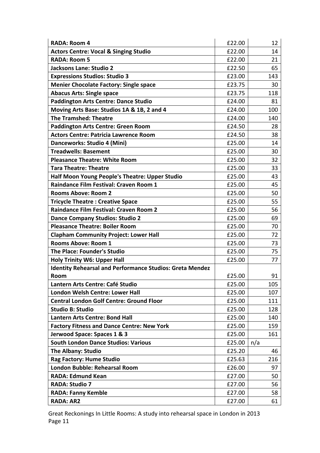| <b>RADA: Room 4</b>                                             | £22.00 | 12  |
|-----------------------------------------------------------------|--------|-----|
| <b>Actors Centre: Vocal &amp; Singing Studio</b>                | £22.00 | 14  |
| <b>RADA: Room 5</b>                                             | £22.00 | 21  |
| Jacksons Lane: Studio 2                                         | £22.50 | 65  |
| <b>Expressions Studios: Studio 3</b>                            | £23.00 | 143 |
| <b>Menier Chocolate Factory: Single space</b>                   | £23.75 | 30  |
| <b>Abacus Arts: Single space</b>                                | £23.75 | 118 |
| <b>Paddington Arts Centre: Dance Studio</b>                     | £24.00 | 81  |
| Moving Arts Base: Studios 1A & 1B, 2 and 4                      | £24.00 | 100 |
| <b>The Tramshed: Theatre</b>                                    | £24.00 | 140 |
| <b>Paddington Arts Centre: Green Room</b>                       | £24.50 | 28  |
| <b>Actors Centre: Patricia Lawrence Room</b>                    | £24.50 | 38  |
| Danceworks: Studio 4 (Mini)                                     | £25.00 | 14  |
| <b>Treadwells: Basement</b>                                     | £25.00 | 30  |
| <b>Pleasance Theatre: White Room</b>                            | £25.00 | 32  |
| <b>Tara Theatre: Theatre</b>                                    | £25.00 | 33  |
| Half Moon Young People's Theatre: Upper Studio                  | £25.00 | 43  |
| <b>Raindance Film Festival: Craven Room 1</b>                   | £25.00 | 45  |
| <b>Rooms Above: Room 2</b>                                      | £25.00 | 50  |
| <b>Tricycle Theatre: Creative Space</b>                         | £25.00 | 55  |
| <b>Raindance Film Festival: Craven Room 2</b>                   | £25.00 | 56  |
| <b>Dance Company Studios: Studio 2</b>                          | £25.00 | 69  |
| <b>Pleasance Theatre: Boiler Room</b>                           | £25.00 | 70  |
| <b>Clapham Community Project: Lower Hall</b>                    | £25.00 | 72  |
| <b>Rooms Above: Room 1</b>                                      | £25.00 | 73  |
| <b>The Place: Founder's Studio</b>                              | £25.00 | 75  |
| <b>Holy Trinity W6: Upper Hall</b>                              | £25.00 | 77  |
| <b>Identity Rehearsal and Performance Studios: Greta Mendez</b> |        |     |
| Room                                                            | £25.00 | 91  |
| Lantern Arts Centre: Café Studio                                | £25.00 | 105 |
| London Welsh Centre: Lower Hall                                 | £25.00 | 107 |
| <b>Central London Golf Centre: Ground Floor</b>                 | £25.00 | 111 |
| <b>Studio B: Studio</b>                                         | £25.00 | 128 |
| <b>Lantern Arts Centre: Bond Hall</b>                           | £25.00 | 140 |
| <b>Factory Fitness and Dance Centre: New York</b>               | £25.00 | 159 |
| Jerwood Space: Spaces 1 & 3                                     | £25.00 | 161 |
| <b>South London Dance Studios: Various</b>                      | £25.00 | n/a |
| <b>The Albany: Studio</b>                                       | £25.20 | 46  |
| <b>Rag Factory: Hume Studio</b>                                 | £25.63 | 216 |
| <b>London Bubble: Rehearsal Room</b>                            | £26.00 | 97  |
| <b>RADA: Edmund Kean</b>                                        | £27.00 | 50  |
| <b>RADA: Studio 7</b>                                           | £27.00 | 56  |
| <b>RADA: Fanny Kemble</b>                                       | £27.00 | 58  |
| <b>RADA: AR2</b>                                                | £27.00 | 61  |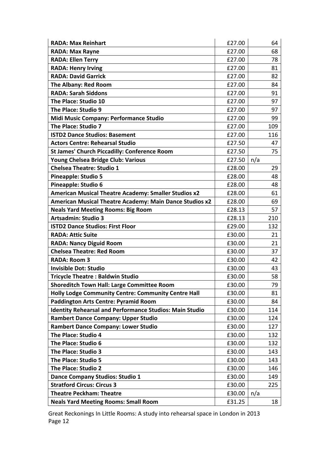| <b>RADA: Max Reinhart</b>                                      | £27.00 | 64  |
|----------------------------------------------------------------|--------|-----|
| <b>RADA: Max Rayne</b>                                         | £27.00 | 68  |
| <b>RADA: Ellen Terry</b>                                       | £27.00 | 78  |
| <b>RADA: Henry Irving</b>                                      | £27.00 | 81  |
| <b>RADA: David Garrick</b>                                     | £27.00 | 82  |
| The Albany: Red Room                                           | £27.00 | 84  |
| <b>RADA: Sarah Siddons</b>                                     | £27.00 | 91  |
| The Place: Studio 10                                           | £27.00 | 97  |
| The Place: Studio 9                                            | £27.00 | 97  |
| Midi Music Company: Performance Studio                         | £27.00 | 99  |
| The Place: Studio 7                                            | £27.00 | 109 |
| <b>ISTD2 Dance Studios: Basement</b>                           | £27.00 | 116 |
| <b>Actors Centre: Rehearsal Studio</b>                         | £27.50 | 47  |
| <b>St James' Church Piccadilly: Conference Room</b>            | £27.50 | 75  |
| Young Chelsea Bridge Club: Various                             | £27.50 | n/a |
| <b>Chelsea Theatre: Studio 1</b>                               | £28.00 | 29  |
| <b>Pineapple: Studio 5</b>                                     | £28.00 | 48  |
| Pineapple: Studio 6                                            | £28.00 | 48  |
| <b>American Musical Theatre Academy: Smaller Studios x2</b>    | £28.00 | 61  |
| American Musical Theatre Academy: Main Dance Studios x2        | £28.00 | 69  |
| <b>Neals Yard Meeting Rooms: Big Room</b>                      | £28.13 | 57  |
| <b>Artsadmin: Studio 3</b>                                     | £28.13 | 210 |
| <b>ISTD2 Dance Studios: First Floor</b>                        | £29.00 | 132 |
| <b>RADA: Attic Suite</b>                                       | £30.00 | 21  |
| <b>RADA: Nancy Diguid Room</b>                                 | £30.00 | 21  |
| <b>Chelsea Theatre: Red Room</b>                               | £30.00 | 37  |
| <b>RADA: Room 3</b>                                            | £30.00 | 42  |
| <b>Invisible Dot: Studio</b>                                   | £30.00 | 43  |
| <b>Tricycle Theatre: Baldwin Studio</b>                        | £30.00 | 58  |
| <b>Shoreditch Town Hall: Large Committee Room</b>              | £30.00 | 79  |
| <b>Holly Lodge Community Centre: Community Centre Hall</b>     | £30.00 | 81  |
| <b>Paddington Arts Centre: Pyramid Room</b>                    | £30.00 | 84  |
| <b>Identity Rehearsal and Performance Studios: Main Studio</b> | £30.00 | 114 |
| <b>Rambert Dance Company: Upper Studio</b>                     | £30.00 | 124 |
| <b>Rambert Dance Company: Lower Studio</b>                     | £30.00 | 127 |
| The Place: Studio 4                                            | £30.00 | 132 |
| The Place: Studio 6                                            | £30.00 | 132 |
| The Place: Studio 3                                            | £30.00 | 143 |
| The Place: Studio 5                                            | £30.00 | 143 |
| The Place: Studio 2                                            | £30.00 | 146 |
| Dance Company Studios: Studio 1                                | £30.00 | 149 |
| <b>Stratford Circus: Circus 3</b>                              | £30.00 | 225 |
| <b>Theatre Peckham: Theatre</b>                                | £30.00 | n/a |
| <b>Neals Yard Meeting Rooms: Small Room</b>                    | £31.25 | 18  |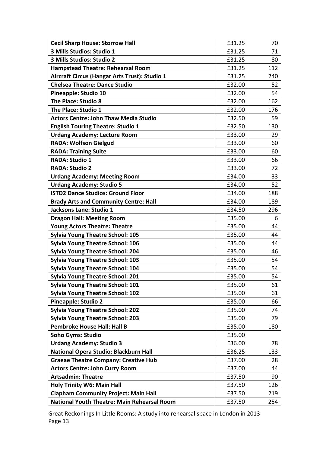| <b>Cecil Sharp House: Storrow Hall</b>             | £31.25 | 70  |
|----------------------------------------------------|--------|-----|
| 3 Mills Studios: Studio 1                          | £31.25 | 71  |
| 3 Mills Studios: Studio 2                          | £31.25 | 80  |
| <b>Hampstead Theatre: Rehearsal Room</b>           | £31.25 | 112 |
| Aircraft Circus (Hangar Arts Trust): Studio 1      | £31.25 | 240 |
| <b>Chelsea Theatre: Dance Studio</b>               | £32.00 | 52  |
| <b>Pineapple: Studio 10</b>                        | £32.00 | 54  |
| The Place: Studio 8                                | £32.00 | 162 |
| The Place: Studio 1                                | £32.00 | 176 |
| <b>Actors Centre: John Thaw Media Studio</b>       | £32.50 | 59  |
| <b>English Touring Theatre: Studio 1</b>           | £32.50 | 130 |
| <b>Urdang Academy: Lecture Room</b>                | £33.00 | 29  |
| <b>RADA: Wolfson Gielgud</b>                       | £33.00 | 60  |
| <b>RADA: Training Suite</b>                        | £33.00 | 60  |
| <b>RADA: Studio 1</b>                              | £33.00 | 66  |
| <b>RADA: Studio 2</b>                              | £33.00 | 72  |
| <b>Urdang Academy: Meeting Room</b>                | £34.00 | 33  |
| <b>Urdang Academy: Studio 5</b>                    | £34.00 | 52  |
| <b>ISTD2 Dance Studios: Ground Floor</b>           | £34.00 | 188 |
| <b>Brady Arts and Community Centre: Hall</b>       | £34.00 | 189 |
| Jacksons Lane: Studio 1                            | £34.50 | 296 |
| <b>Dragon Hall: Meeting Room</b>                   | £35.00 | 6   |
| <b>Young Actors Theatre: Theatre</b>               | £35.00 | 44  |
| <b>Sylvia Young Theatre School: 105</b>            | £35.00 | 44  |
| <b>Sylvia Young Theatre School: 106</b>            | £35.00 | 44  |
| <b>Sylvia Young Theatre School: 204</b>            | £35.00 | 46  |
| <b>Sylvia Young Theatre School: 103</b>            | £35.00 | 54  |
| <b>Sylvia Young Theatre School: 104</b>            | £35.00 | 54  |
| <b>Sylvia Young Theatre School: 201</b>            | £35.00 | 54  |
| <b>Sylvia Young Theatre School: 101</b>            | £35.00 | 61  |
| <b>Sylvia Young Theatre School: 102</b>            | £35.00 | 61  |
| <b>Pineapple: Studio 2</b>                         | £35.00 | 66  |
| <b>Sylvia Young Theatre School: 202</b>            | £35.00 | 74  |
| <b>Sylvia Young Theatre School: 203</b>            | £35.00 | 79  |
| <b>Pembroke House Hall: Hall B</b>                 | £35.00 | 180 |
| <b>Soho Gyms: Studio</b>                           | £35.00 |     |
| <b>Urdang Academy: Studio 3</b>                    | £36.00 | 78  |
| National Opera Studio: Blackburn Hall              | £36.25 | 133 |
| <b>Graeae Theatre Company: Creative Hub</b>        | £37.00 | 28  |
| <b>Actors Centre: John Curry Room</b>              | £37.00 | 44  |
| <b>Artsadmin: Theatre</b>                          | £37.50 | 90  |
| <b>Holy Trinity W6: Main Hall</b>                  | £37.50 | 126 |
| <b>Clapham Community Project: Main Hall</b>        | £37.50 | 219 |
| <b>National Youth Theatre: Main Rehearsal Room</b> | £37.50 | 254 |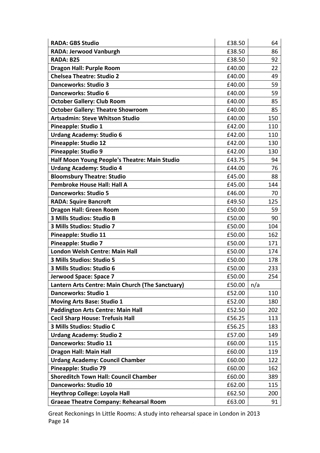| <b>RADA: GBS Studio</b>                          | £38.50 | 64  |
|--------------------------------------------------|--------|-----|
| <b>RADA: Jerwood Vanburgh</b>                    | £38.50 | 86  |
| RADA: B25                                        | £38.50 | 92  |
| <b>Dragon Hall: Purple Room</b>                  | £40.00 | 22  |
| <b>Chelsea Theatre: Studio 2</b>                 | £40.00 | 49  |
| <b>Danceworks: Studio 3</b>                      | £40.00 | 59  |
| <b>Danceworks: Studio 6</b>                      | £40.00 | 59  |
| <b>October Gallery: Club Room</b>                | £40.00 | 85  |
| <b>October Gallery: Theatre Showroom</b>         | £40.00 | 85  |
| <b>Artsadmin: Steve Whitson Studio</b>           | £40.00 | 150 |
| <b>Pineapple: Studio 1</b>                       | £42.00 | 110 |
| <b>Urdang Academy: Studio 6</b>                  | £42.00 | 110 |
| <b>Pineapple: Studio 12</b>                      | £42.00 | 130 |
| <b>Pineapple: Studio 9</b>                       | £42.00 | 130 |
| Half Moon Young People's Theatre: Main Studio    | £43.75 | 94  |
| <b>Urdang Academy: Studio 4</b>                  | £44.00 | 76  |
| <b>Bloomsbury Theatre: Studio</b>                | £45.00 | 88  |
| <b>Pembroke House Hall: Hall A</b>               | £45.00 | 144 |
| <b>Danceworks: Studio 5</b>                      | £46.00 | 70  |
| <b>RADA: Squire Bancroft</b>                     | £49.50 | 125 |
| <b>Dragon Hall: Green Room</b>                   | £50.00 | 59  |
| 3 Mills Studios: Studio B                        | £50.00 | 90  |
| 3 Mills Studios: Studio 7                        | £50.00 | 104 |
| Pineapple: Studio 11                             | £50.00 | 162 |
| <b>Pineapple: Studio 7</b>                       | £50.00 | 171 |
| London Welsh Centre: Main Hall                   | £50.00 | 174 |
| 3 Mills Studios: Studio 5                        | £50.00 | 178 |
| 3 Mills Studios: Studio 6                        | £50.00 | 233 |
| Jerwood Space: Space 7                           | £50.00 | 254 |
| Lantern Arts Centre: Main Church (The Sanctuary) | £50.00 | n/a |
| <b>Danceworks: Studio 1</b>                      | £52.00 | 110 |
| <b>Moving Arts Base: Studio 1</b>                | £52.00 | 180 |
| <b>Paddington Arts Centre: Main Hall</b>         | £52.50 | 202 |
| <b>Cecil Sharp House: Trefusis Hall</b>          | £56.25 | 113 |
| 3 Mills Studios: Studio C                        | £56.25 | 183 |
| <b>Urdang Academy: Studio 2</b>                  | £57.00 | 149 |
| Danceworks: Studio 11                            | £60.00 | 115 |
| <b>Dragon Hall: Main Hall</b>                    | £60.00 | 119 |
| <b>Urdang Academy: Council Chamber</b>           | £60.00 | 122 |
| Pineapple: Studio 79                             | £60.00 | 162 |
| <b>Shoreditch Town Hall: Council Chamber</b>     | £60.00 | 389 |
| <b>Danceworks: Studio 10</b>                     | £62.00 | 115 |
| <b>Heythrop College: Loyola Hall</b>             | £62.50 | 200 |
| <b>Graeae Theatre Company: Rehearsal Room</b>    | £63.00 | 91  |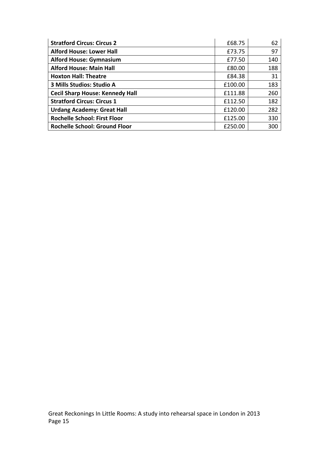| <b>Stratford Circus: Circus 2</b>      | £68.75  | 62  |
|----------------------------------------|---------|-----|
| <b>Alford House: Lower Hall</b>        | £73.75  | 97  |
| <b>Alford House: Gymnasium</b>         | £77.50  | 140 |
| <b>Alford House: Main Hall</b>         | £80.00  | 188 |
| <b>Hoxton Hall: Theatre</b>            | £84.38  | 31  |
| 3 Mills Studios: Studio A              | £100.00 | 183 |
| <b>Cecil Sharp House: Kennedy Hall</b> | £111.88 | 260 |
| <b>Stratford Circus: Circus 1</b>      | £112.50 | 182 |
| <b>Urdang Academy: Great Hall</b>      | £120.00 | 282 |
| <b>Rochelle School: First Floor</b>    | £125.00 | 330 |
| <b>Rochelle School: Ground Floor</b>   | £250.00 | 300 |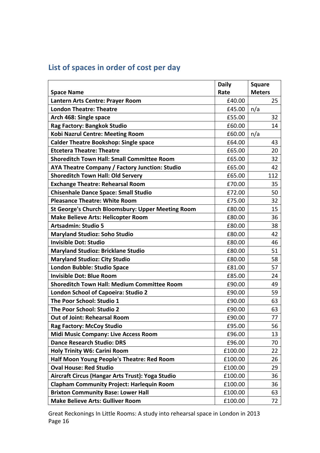|  |  | List of spaces in order of cost per day |  |  |  |  |  |  |
|--|--|-----------------------------------------|--|--|--|--|--|--|
|--|--|-----------------------------------------|--|--|--|--|--|--|

|                                                          | <b>Daily</b> | <b>Square</b> |
|----------------------------------------------------------|--------------|---------------|
| <b>Space Name</b>                                        | Rate         | <b>Meters</b> |
| Lantern Arts Centre: Prayer Room                         | £40.00       | 25            |
| <b>London Theatre: Theatre</b>                           | £45.00       | n/a           |
| Arch 468: Single space                                   | £55.00       | 32            |
| Rag Factory: Bangkok Studio                              | £60.00       | 14            |
| <b>Kobi Nazrul Centre: Meeting Room</b>                  | £60.00       | n/a           |
| <b>Calder Theatre Bookshop: Single space</b>             | £64.00       | 43            |
| <b>Etcetera Theatre: Theatre</b>                         | £65.00       | 20            |
| <b>Shoreditch Town Hall: Small Committee Room</b>        | £65.00       | 32            |
| AYA Theatre Company / Factory Junction: Studio           | £65.00       | 42            |
| <b>Shoreditch Town Hall: Old Servery</b>                 | £65.00       | 112           |
| <b>Exchange Theatre: Rehearsal Room</b>                  | £70.00       | 35            |
| <b>Chisenhale Dance Space: Small Studio</b>              | £72.00       | 50            |
| <b>Pleasance Theatre: White Room</b>                     | £75.00       | 32            |
| <b>St George's Church Bloomsbury: Upper Meeting Room</b> | £80.00       | 15            |
| <b>Make Believe Arts: Helicopter Room</b>                | £80.00       | 36            |
| <b>Artsadmin: Studio 5</b>                               | £80.00       | 38            |
| <b>Maryland Studioz: Soho Studio</b>                     | £80.00       | 42            |
| <b>Invisible Dot: Studio</b>                             | £80.00       | 46            |
| <b>Maryland Studioz: Bricklane Studio</b>                | £80.00       | 51            |
| <b>Maryland Studioz: City Studio</b>                     | £80.00       | 58            |
| <b>London Bubble: Studio Space</b>                       | £81.00       | 57            |
| <b>Invisible Dot: Blue Room</b>                          | £85.00       | 24            |
| <b>Shoreditch Town Hall: Medium Committee Room</b>       | £90.00       | 49            |
| <b>London School of Capoeira: Studio 2</b>               | £90.00       | 59            |
| The Poor School: Studio 1                                | £90.00       | 63            |
| The Poor School: Studio 2                                | £90.00       | 63            |
| <b>Out of Joint: Rehearsal Room</b>                      | £90.00       | 77            |
| <b>Rag Factory: McCoy Studio</b>                         | £95.00       | 56            |
| <b>Midi Music Company: Live Access Room</b>              | £96.00       | 13            |
| <b>Dance Research Studio: DRS</b>                        | £96.00       | 70            |
| <b>Holy Trinity W6: Carini Room</b>                      | £100.00      | 22            |
| Half Moon Young People's Theatre: Red Room               | £100.00      | 26            |
| <b>Oval House: Red Studio</b>                            | £100.00      | 29            |
| Aircraft Circus (Hangar Arts Trust): Yoga Studio         | £100.00      | 36            |
| <b>Clapham Community Project: Harlequin Room</b>         | £100.00      | 36            |
| <b>Brixton Community Base: Lower Hall</b>                | £100.00      | 63            |
| <b>Make Believe Arts: Gulliver Room</b>                  | £100.00      | 72            |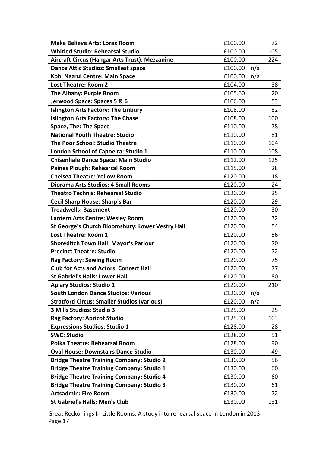| <b>Make Believe Arts: Lorax Room</b>               | £100.00 |     | 72  |
|----------------------------------------------------|---------|-----|-----|
| <b>Whirled Studio: Rehearsal Studio</b>            | £100.00 |     | 105 |
| Aircraft Circus (Hangar Arts Trust): Mezzanine     | £100.00 |     | 224 |
| <b>Dance Attic Studios: Smallest space</b>         | £100.00 | n/a |     |
| Kobi Nazrul Centre: Main Space                     | £100.00 | n/a |     |
| <b>Lost Theatre: Room 2</b>                        | £104.00 |     | 38  |
| The Albany: Purple Room                            | £105.60 |     | 20  |
| Jerwood Space: Spaces 5 & 6                        | £106.00 |     | 53  |
| <b>Islington Arts Factory: The Linbury</b>         | £108.00 |     | 82  |
| <b>Islington Arts Factory: The Chase</b>           | £108.00 |     | 100 |
| <b>Space, The: The Space</b>                       | £110.00 |     | 78  |
| <b>National Youth Theatre: Studio</b>              | £110.00 |     | 81  |
| <b>The Poor School: Studio Theatre</b>             | £110.00 |     | 104 |
| London School of Capoeira: Studio 1                | £110.00 |     | 108 |
| <b>Chisenhale Dance Space: Main Studio</b>         | £112.00 |     | 125 |
| <b>Paines Plough: Rehearsal Room</b>               | £115.00 |     | 28  |
| <b>Chelsea Theatre: Yellow Room</b>                | £120.00 |     | 18  |
| <b>Diorama Arts Studios: 4 Small Rooms</b>         | £120.00 |     | 24  |
| <b>Theatro Technis: Rehearsal Studio</b>           | £120.00 |     | 25  |
| <b>Cecil Sharp House: Sharp's Bar</b>              | £120.00 |     | 29  |
| <b>Treadwells: Basement</b>                        | £120.00 |     | 30  |
| Lantern Arts Centre: Wesley Room                   | £120.00 |     | 32  |
| St George's Church Bloomsbury: Lower Vestry Hall   | £120.00 |     | 54  |
| <b>Lost Theatre: Room 1</b>                        | £120.00 |     | 56  |
| <b>Shoreditch Town Hall: Mayor's Parlour</b>       | £120.00 |     | 70  |
| <b>Precinct Theatre: Studio</b>                    | £120.00 |     | 72  |
| <b>Rag Factory: Sewing Room</b>                    | £120.00 |     | 75  |
| <b>Club for Acts and Actors: Concert Hall</b>      | £120.00 |     | 77  |
| <b>St Gabriel's Halls: Lower Hall</b>              | £120.00 |     | 80  |
| <b>Apiary Studios: Studio 1</b>                    | £120.00 |     | 210 |
| <b>South London Dance Studios: Various</b>         | £120.00 | n/a |     |
| <b>Stratford Circus: Smaller Studios (various)</b> | £120.00 | n/a |     |
| 3 Mills Studios: Studio 3                          | £125.00 |     | 25  |
| <b>Rag Factory: Apricot Studio</b>                 | £125.00 |     | 103 |
| <b>Expressions Studios: Studio 1</b>               | £128.00 |     | 28  |
| <b>SWC: Studio</b>                                 | £128.00 |     | 51  |
| <b>Polka Theatre: Rehearsal Room</b>               | £128.00 |     | 90  |
| <b>Oval House: Downstairs Dance Studio</b>         | £130.00 |     | 49  |
| <b>Bridge Theatre Training Company: Studio 2</b>   | £130.00 |     | 56  |
| <b>Bridge Theatre Training Company: Studio 1</b>   | £130.00 |     | 60  |
| <b>Bridge Theatre Training Company: Studio 4</b>   | £130.00 |     | 60  |
| <b>Bridge Theatre Training Company: Studio 3</b>   | £130.00 |     | 61  |
| <b>Artsadmin: Fire Room</b>                        | £130.00 |     | 72  |
| <b>St Gabriel's Halls: Men's Club</b>              | £130.00 |     | 131 |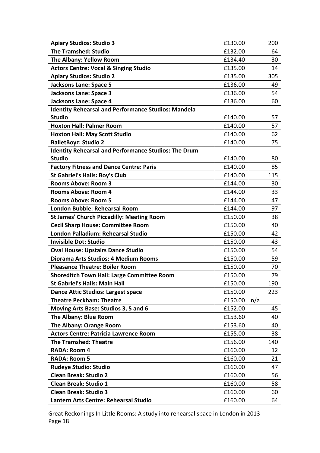| <b>Apiary Studios: Studio 3</b>                             | £130.00 | 200 |
|-------------------------------------------------------------|---------|-----|
| <b>The Tramshed: Studio</b>                                 | £132.00 | 64  |
| The Albany: Yellow Room                                     | £134.40 | 30  |
| <b>Actors Centre: Vocal &amp; Singing Studio</b>            | £135.00 | 14  |
| <b>Apiary Studios: Studio 2</b>                             | £135.00 | 305 |
| <b>Jacksons Lane: Space 5</b>                               | £136.00 | 49  |
| <b>Jacksons Lane: Space 3</b>                               | £136.00 | 54  |
| <b>Jacksons Lane: Space 4</b>                               | £136.00 | 60  |
| <b>Identity Rehearsal and Performance Studios: Mandela</b>  |         |     |
| <b>Studio</b>                                               | £140.00 | 57  |
| <b>Hoxton Hall: Palmer Room</b>                             | £140.00 | 57  |
| <b>Hoxton Hall: May Scott Studio</b>                        | £140.00 | 62  |
| <b>BalletBoyz: Studio 2</b>                                 | £140.00 | 75  |
| <b>Identity Rehearsal and Performance Studios: The Drum</b> |         |     |
| <b>Studio</b>                                               | £140.00 | 80  |
| <b>Factory Fitness and Dance Centre: Paris</b>              | £140.00 | 85  |
| <b>St Gabriel's Halls: Boy's Club</b>                       | £140.00 | 115 |
| <b>Rooms Above: Room 3</b>                                  | £144.00 | 30  |
| <b>Rooms Above: Room 4</b>                                  | £144.00 | 33  |
| <b>Rooms Above: Room 5</b>                                  | £144.00 | 47  |
| <b>London Bubble: Rehearsal Room</b>                        | £144.00 | 97  |
| <b>St James' Church Piccadilly: Meeting Room</b>            | £150.00 | 38  |
| <b>Cecil Sharp House: Committee Room</b>                    | £150.00 | 40  |
| <b>London Palladium: Rehearsal Studio</b>                   | £150.00 | 42  |
| <b>Invisible Dot: Studio</b>                                | £150.00 | 43  |
| <b>Oval House: Upstairs Dance Studio</b>                    | £150.00 | 54  |
| Diorama Arts Studios: 4 Medium Rooms                        | £150.00 | 59  |
| <b>Pleasance Theatre: Boiler Room</b>                       | £150.00 | 70  |
| <b>Shoreditch Town Hall: Large Committee Room</b>           | £150.00 | 79  |
| <b>St Gabriel's Halls: Main Hall</b>                        | £150.00 | 190 |
| <b>Dance Attic Studios: Largest space</b>                   | £150.00 | 223 |
| <b>Theatre Peckham: Theatre</b>                             | £150.00 | n/a |
| Moving Arts Base: Studios 3, 5 and 6                        | £152.00 | 45  |
| The Albany: Blue Room                                       | £153.60 | 40  |
| <b>The Albany: Orange Room</b>                              | £153.60 | 40  |
| <b>Actors Centre: Patricia Lawrence Room</b>                | £155.00 | 38  |
| <b>The Tramshed: Theatre</b>                                | £156.00 | 140 |
| <b>RADA: Room 4</b>                                         | £160.00 | 12  |
| <b>RADA: Room 5</b>                                         | £160.00 | 21  |
| <b>Rudeye Studio: Studio</b>                                | £160.00 | 47  |
| <b>Clean Break: Studio 2</b>                                | £160.00 | 56  |
| <b>Clean Break: Studio 1</b>                                | £160.00 | 58  |
| <b>Clean Break: Studio 3</b>                                | £160.00 | 60  |
| Lantern Arts Centre: Rehearsal Studio                       | £160.00 | 64  |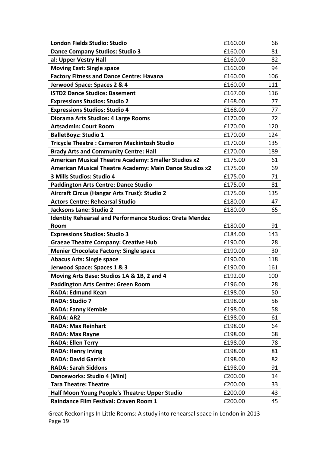| London Fields Studio: Studio                                    | £160.00 | 66  |
|-----------------------------------------------------------------|---------|-----|
| <b>Dance Company Studios: Studio 3</b>                          | £160.00 | 81  |
| al: Upper Vestry Hall                                           | £160.00 | 82  |
| <b>Moving East: Single space</b>                                | £160.00 | 94  |
| <b>Factory Fitness and Dance Centre: Havana</b>                 | £160.00 | 106 |
| Jerwood Space: Spaces 2 & 4                                     | £160.00 | 111 |
| <b>ISTD2 Dance Studios: Basement</b>                            | £167.00 | 116 |
| <b>Expressions Studios: Studio 2</b>                            | £168.00 | 77  |
| <b>Expressions Studios: Studio 4</b>                            | £168.00 | 77  |
| Diorama Arts Studios: 4 Large Rooms                             | £170.00 | 72  |
| <b>Artsadmin: Court Room</b>                                    | £170.00 | 120 |
| <b>BalletBoyz: Studio 1</b>                                     | £170.00 | 124 |
| <b>Tricycle Theatre: Cameron Mackintosh Studio</b>              | £170.00 | 135 |
| <b>Brady Arts and Community Centre: Hall</b>                    | £170.00 | 189 |
| <b>American Musical Theatre Academy: Smaller Studios x2</b>     | £175.00 | 61  |
| American Musical Theatre Academy: Main Dance Studios x2         | £175.00 | 69  |
| 3 Mills Studios: Studio 4                                       | £175.00 | 71  |
| <b>Paddington Arts Centre: Dance Studio</b>                     | £175.00 | 81  |
| Aircraft Circus (Hangar Arts Trust): Studio 2                   | £175.00 | 135 |
| <b>Actors Centre: Rehearsal Studio</b>                          | £180.00 | 47  |
| Jacksons Lane: Studio 2                                         | £180.00 | 65  |
| <b>Identity Rehearsal and Performance Studios: Greta Mendez</b> |         |     |
| Room                                                            | £180.00 | 91  |
| <b>Expressions Studios: Studio 3</b>                            | £184.00 | 143 |
| <b>Graeae Theatre Company: Creative Hub</b>                     | £190.00 | 28  |
| <b>Menier Chocolate Factory: Single space</b>                   | £190.00 | 30  |
| <b>Abacus Arts: Single space</b>                                | £190.00 | 118 |
| Jerwood Space: Spaces 1 & 3                                     | £190.00 | 161 |
| Moving Arts Base: Studios 1A & 1B, 2 and 4                      | £192.00 | 100 |
| <b>Paddington Arts Centre: Green Room</b>                       | £196.00 | 28  |
| <b>RADA: Edmund Kean</b>                                        | £198.00 | 50  |
| <b>RADA: Studio 7</b>                                           | £198.00 | 56  |
| <b>RADA: Fanny Kemble</b>                                       | £198.00 | 58  |
| <b>RADA: AR2</b>                                                | £198.00 | 61  |
| <b>RADA: Max Reinhart</b>                                       | £198.00 | 64  |
| <b>RADA: Max Rayne</b>                                          | £198.00 | 68  |
| <b>RADA: Ellen Terry</b>                                        | £198.00 | 78  |
| <b>RADA: Henry Irving</b>                                       | £198.00 | 81  |
| <b>RADA: David Garrick</b>                                      | £198.00 | 82  |
| <b>RADA: Sarah Siddons</b>                                      | £198.00 | 91  |
| Danceworks: Studio 4 (Mini)                                     | £200.00 | 14  |
| <b>Tara Theatre: Theatre</b>                                    | £200.00 | 33  |
| Half Moon Young People's Theatre: Upper Studio                  | £200.00 | 43  |
| Raindance Film Festival: Craven Room 1                          | £200.00 | 45  |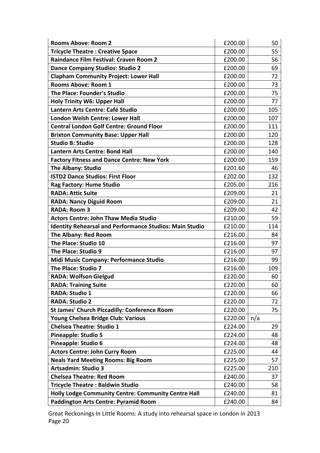| <b>Rooms Above: Room 2</b>                                     | £200.00 | 50  |
|----------------------------------------------------------------|---------|-----|
| <b>Tricycle Theatre: Creative Space</b>                        | £200.00 | 55  |
| <b>Raindance Film Festival: Craven Room 2</b>                  | £200.00 | 56  |
| <b>Dance Company Studios: Studio 2</b>                         | £200.00 | 69  |
| <b>Clapham Community Project: Lower Hall</b>                   | £200.00 | 72  |
| <b>Rooms Above: Room 1</b>                                     | £200.00 | 73  |
| <b>The Place: Founder's Studio</b>                             | £200.00 | 75  |
| <b>Holy Trinity W6: Upper Hall</b>                             | £200.00 | 77  |
| Lantern Arts Centre: Café Studio                               | £200.00 | 105 |
| London Welsh Centre: Lower Hall                                | £200.00 | 107 |
| <b>Central London Golf Centre: Ground Floor</b>                | £200.00 | 111 |
| <b>Brixton Community Base: Upper Hall</b>                      | £200.00 | 120 |
| <b>Studio B: Studio</b>                                        | £200.00 | 128 |
| <b>Lantern Arts Centre: Bond Hall</b>                          | £200.00 | 140 |
| <b>Factory Fitness and Dance Centre: New York</b>              | £200.00 | 159 |
| <b>The Albany: Studio</b>                                      | £201.60 | 46  |
| <b>ISTD2 Dance Studios: First Floor</b>                        | £202.00 | 132 |
| Rag Factory: Hume Studio                                       | £205.00 | 216 |
| <b>RADA: Attic Suite</b>                                       | £209.00 | 21  |
| <b>RADA: Nancy Diguid Room</b>                                 | £209.00 | 21  |
| <b>RADA: Room 3</b>                                            | £209.00 | 42  |
| <b>Actors Centre: John Thaw Media Studio</b>                   | £210.00 | 59  |
| <b>Identity Rehearsal and Performance Studios: Main Studio</b> | £210.00 | 114 |
| The Albany: Red Room                                           | £216.00 | 84  |
| The Place: Studio 10                                           | £216.00 | 97  |
| The Place: Studio 9                                            | £216.00 | 97  |
| Midi Music Company: Performance Studio                         | £216.00 | 99  |
| The Place: Studio 7                                            | £216.00 | 109 |
| <b>RADA: Wolfson Gielgud</b>                                   | £220.00 | 60  |
| <b>RADA: Training Suite</b>                                    | £220.00 | 60  |
| <b>RADA: Studio 1</b>                                          | £220.00 | 66  |
| <b>RADA: Studio 2</b>                                          | £220.00 | 72  |
| <b>St James' Church Piccadilly: Conference Room</b>            | £220.00 | 75  |
| Young Chelsea Bridge Club: Various                             | £220.00 | n/a |
| <b>Chelsea Theatre: Studio 1</b>                               | £224.00 | 29  |
| <b>Pineapple: Studio 5</b>                                     | £224.00 | 48  |
| Pineapple: Studio 6                                            | £224.00 | 48  |
| <b>Actors Centre: John Curry Room</b>                          | £225.00 | 44  |
| <b>Neals Yard Meeting Rooms: Big Room</b>                      | £225.00 | 57  |
| <b>Artsadmin: Studio 3</b>                                     | £225.00 | 210 |
| <b>Chelsea Theatre: Red Room</b>                               | £240.00 | 37  |
| <b>Tricycle Theatre: Baldwin Studio</b>                        | £240.00 | 58  |
| Holly Lodge Community Centre: Community Centre Hall            | £240.00 | 81  |
| <b>Paddington Arts Centre: Pyramid Room</b>                    | £240.00 | 84  |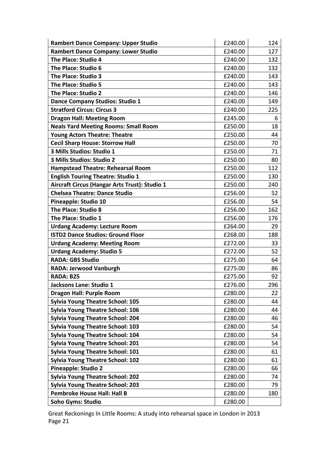| <b>Rambert Dance Company: Upper Studio</b>    | £240.00 | 124 |
|-----------------------------------------------|---------|-----|
| <b>Rambert Dance Company: Lower Studio</b>    | £240.00 | 127 |
| The Place: Studio 4                           | £240.00 | 132 |
| The Place: Studio 6                           | £240.00 | 132 |
| The Place: Studio 3                           | £240.00 | 143 |
| The Place: Studio 5                           | £240.00 | 143 |
| The Place: Studio 2                           | £240.00 | 146 |
| <b>Dance Company Studios: Studio 1</b>        | £240.00 | 149 |
| <b>Stratford Circus: Circus 3</b>             | £240.00 | 225 |
| <b>Dragon Hall: Meeting Room</b>              | £245.00 | 6   |
| <b>Neals Yard Meeting Rooms: Small Room</b>   | £250.00 | 18  |
| <b>Young Actors Theatre: Theatre</b>          | £250.00 | 44  |
| <b>Cecil Sharp House: Storrow Hall</b>        | £250.00 | 70  |
| 3 Mills Studios: Studio 1                     | £250.00 | 71  |
| 3 Mills Studios: Studio 2                     | £250.00 | 80  |
| <b>Hampstead Theatre: Rehearsal Room</b>      | £250.00 | 112 |
| <b>English Touring Theatre: Studio 1</b>      | £250.00 | 130 |
| Aircraft Circus (Hangar Arts Trust): Studio 1 | £250.00 | 240 |
| <b>Chelsea Theatre: Dance Studio</b>          | £256.00 | 52  |
| Pineapple: Studio 10                          | £256.00 | 54  |
| The Place: Studio 8                           | £256.00 | 162 |
| The Place: Studio 1                           | £256.00 | 176 |
| <b>Urdang Academy: Lecture Room</b>           | £264.00 | 29  |
| <b>ISTD2 Dance Studios: Ground Floor</b>      | £268.00 | 188 |
| <b>Urdang Academy: Meeting Room</b>           | £272.00 | 33  |
| <b>Urdang Academy: Studio 5</b>               | £272.00 | 52  |
| <b>RADA: GBS Studio</b>                       | £275.00 | 64  |
| <b>RADA: Jerwood Vanburgh</b>                 | £275.00 | 86  |
| RADA: B25                                     | £275.00 | 92  |
| Jacksons Lane: Studio 1                       | £276.00 | 296 |
| <b>Dragon Hall: Purple Room</b>               | £280.00 | 22  |
| <b>Sylvia Young Theatre School: 105</b>       | £280.00 | 44  |
| <b>Sylvia Young Theatre School: 106</b>       | £280.00 | 44  |
| <b>Sylvia Young Theatre School: 204</b>       | £280.00 | 46  |
| <b>Sylvia Young Theatre School: 103</b>       | £280.00 | 54  |
| <b>Sylvia Young Theatre School: 104</b>       | £280.00 | 54  |
| <b>Sylvia Young Theatre School: 201</b>       | £280.00 | 54  |
| <b>Sylvia Young Theatre School: 101</b>       | £280.00 | 61  |
| <b>Sylvia Young Theatre School: 102</b>       | £280.00 | 61  |
| <b>Pineapple: Studio 2</b>                    | £280.00 | 66  |
| <b>Sylvia Young Theatre School: 202</b>       | £280.00 | 74  |
| <b>Sylvia Young Theatre School: 203</b>       | £280.00 | 79  |
| <b>Pembroke House Hall: Hall B</b>            | £280.00 | 180 |
| <b>Soho Gyms: Studio</b>                      | £280.00 |     |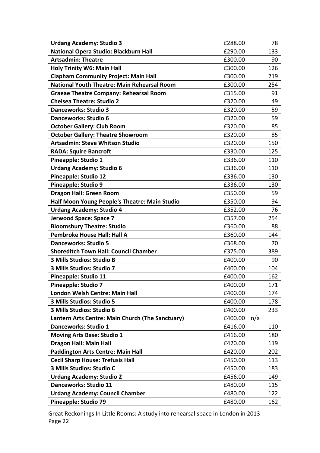| <b>Urdang Academy: Studio 3</b>                    | £288.00 | 78  |
|----------------------------------------------------|---------|-----|
| National Opera Studio: Blackburn Hall              | £290.00 | 133 |
| <b>Artsadmin: Theatre</b>                          | £300.00 | 90  |
| <b>Holy Trinity W6: Main Hall</b>                  | £300.00 | 126 |
| <b>Clapham Community Project: Main Hall</b>        | £300.00 | 219 |
| <b>National Youth Theatre: Main Rehearsal Room</b> | £300.00 | 254 |
| <b>Graeae Theatre Company: Rehearsal Room</b>      | £315.00 | 91  |
| <b>Chelsea Theatre: Studio 2</b>                   | £320.00 | 49  |
| <b>Danceworks: Studio 3</b>                        | £320.00 | 59  |
| Danceworks: Studio 6                               | £320.00 | 59  |
| <b>October Gallery: Club Room</b>                  | £320.00 | 85  |
| <b>October Gallery: Theatre Showroom</b>           | £320.00 | 85  |
| <b>Artsadmin: Steve Whitson Studio</b>             | £320.00 | 150 |
| <b>RADA: Squire Bancroft</b>                       | £330.00 | 125 |
| Pineapple: Studio 1                                | £336.00 | 110 |
| <b>Urdang Academy: Studio 6</b>                    | £336.00 | 110 |
| <b>Pineapple: Studio 12</b>                        | £336.00 | 130 |
| Pineapple: Studio 9                                | £336.00 | 130 |
| <b>Dragon Hall: Green Room</b>                     | £350.00 | 59  |
| Half Moon Young People's Theatre: Main Studio      | £350.00 | 94  |
| <b>Urdang Academy: Studio 4</b>                    | £352.00 | 76  |
| Jerwood Space: Space 7                             | £357.00 | 254 |
| <b>Bloomsbury Theatre: Studio</b>                  | £360.00 | 88  |
| <b>Pembroke House Hall: Hall A</b>                 | £360.00 | 144 |
| <b>Danceworks: Studio 5</b>                        | £368.00 | 70  |
| <b>Shoreditch Town Hall: Council Chamber</b>       | £375.00 | 389 |
| 3 Mills Studios: Studio B                          | £400.00 | 90  |
| 3 Mills Studios: Studio 7                          | £400.00 | 104 |
| Pineapple: Studio 11                               | £400.00 | 162 |
| <b>Pineapple: Studio 7</b>                         | £400.00 | 171 |
| <b>London Welsh Centre: Main Hall</b>              | £400.00 | 174 |
| 3 Mills Studios: Studio 5                          | £400.00 | 178 |
| 3 Mills Studios: Studio 6                          | £400.00 | 233 |
| Lantern Arts Centre: Main Church (The Sanctuary)   | £400.00 | n/a |
| <b>Danceworks: Studio 1</b>                        | £416.00 | 110 |
| <b>Moving Arts Base: Studio 1</b>                  | £416.00 | 180 |
| <b>Dragon Hall: Main Hall</b>                      | £420.00 | 119 |
| <b>Paddington Arts Centre: Main Hall</b>           | £420.00 | 202 |
| <b>Cecil Sharp House: Trefusis Hall</b>            | £450.00 | 113 |
| 3 Mills Studios: Studio C                          | £450.00 | 183 |
| <b>Urdang Academy: Studio 2</b>                    | £456.00 | 149 |
| Danceworks: Studio 11                              | £480.00 | 115 |
| <b>Urdang Academy: Council Chamber</b>             | £480.00 | 122 |
| Pineapple: Studio 79                               | £480.00 | 162 |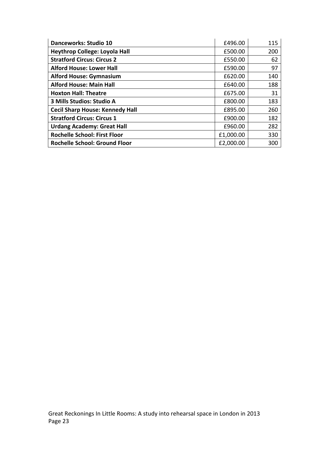| <b>Danceworks: Studio 10</b>           | £496.00   | 115 |
|----------------------------------------|-----------|-----|
| <b>Heythrop College: Loyola Hall</b>   | £500.00   | 200 |
| <b>Stratford Circus: Circus 2</b>      | £550.00   | 62  |
| <b>Alford House: Lower Hall</b>        | £590.00   | 97  |
| <b>Alford House: Gymnasium</b>         | £620.00   | 140 |
| <b>Alford House: Main Hall</b>         | £640.00   | 188 |
| <b>Hoxton Hall: Theatre</b>            | £675.00   | 31  |
| 3 Mills Studios: Studio A              | £800.00   | 183 |
| <b>Cecil Sharp House: Kennedy Hall</b> | £895.00   | 260 |
| <b>Stratford Circus: Circus 1</b>      | £900.00   | 182 |
| <b>Urdang Academy: Great Hall</b>      | £960.00   | 282 |
| <b>Rochelle School: First Floor</b>    | £1,000.00 | 330 |
| <b>Rochelle School: Ground Floor</b>   | £2,000.00 | 300 |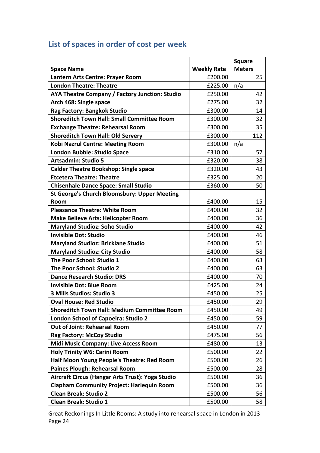# List of spaces in order of cost per week

|                                                     | <b>Square</b>      |               |
|-----------------------------------------------------|--------------------|---------------|
| <b>Space Name</b>                                   | <b>Weekly Rate</b> | <b>Meters</b> |
| Lantern Arts Centre: Prayer Room                    | £200.00            | 25            |
| <b>London Theatre: Theatre</b>                      | £225.00            | n/a           |
| AYA Theatre Company / Factory Junction: Studio      | £250.00            | 42            |
| Arch 468: Single space                              | £275.00            | 32            |
| Rag Factory: Bangkok Studio                         | £300.00            | 14            |
| <b>Shoreditch Town Hall: Small Committee Room</b>   | £300.00            | 32            |
| <b>Exchange Theatre: Rehearsal Room</b>             | £300.00            | 35            |
| <b>Shoreditch Town Hall: Old Servery</b>            | £300.00            | 112           |
| <b>Kobi Nazrul Centre: Meeting Room</b>             | £300.00            | n/a           |
| London Bubble: Studio Space                         | £310.00            | 57            |
| <b>Artsadmin: Studio 5</b>                          | £320.00            | 38            |
| <b>Calder Theatre Bookshop: Single space</b>        | £320.00            | 43            |
| <b>Etcetera Theatre: Theatre</b>                    | £325.00            | 20            |
| <b>Chisenhale Dance Space: Small Studio</b>         | £360.00            | 50            |
| <b>St George's Church Bloomsbury: Upper Meeting</b> |                    |               |
| Room                                                | £400.00            | 15            |
| <b>Pleasance Theatre: White Room</b>                | £400.00            | 32            |
| <b>Make Believe Arts: Helicopter Room</b>           | £400.00            | 36            |
| <b>Maryland Studioz: Soho Studio</b>                | £400.00            | 42            |
| <b>Invisible Dot: Studio</b>                        | £400.00            | 46            |
| <b>Maryland Studioz: Bricklane Studio</b>           | £400.00            | 51            |
| <b>Maryland Studioz: City Studio</b>                | £400.00            | 58            |
| The Poor School: Studio 1                           | £400.00            | 63            |
| The Poor School: Studio 2                           | £400.00            | 63            |
| <b>Dance Research Studio: DRS</b>                   | £400.00            | 70            |
| <b>Invisible Dot: Blue Room</b>                     | £425.00            | 24            |
| 3 Mills Studios: Studio 3                           | £450.00            | 25            |
| <b>Oval House: Red Studio</b>                       | £450.00            | 29            |
| <b>Shoreditch Town Hall: Medium Committee Room</b>  | £450.00            | 49            |
| London School of Capoeira: Studio 2                 | £450.00            | 59            |
| <b>Out of Joint: Rehearsal Room</b>                 | £450.00            | 77            |
| Rag Factory: McCoy Studio                           | £475.00            | 56            |
| <b>Midi Music Company: Live Access Room</b>         | £480.00            | 13            |
| <b>Holy Trinity W6: Carini Room</b>                 | £500.00            | 22            |
| Half Moon Young People's Theatre: Red Room          | £500.00            | 26            |
| <b>Paines Plough: Rehearsal Room</b>                | £500.00            | 28            |
| Aircraft Circus (Hangar Arts Trust): Yoga Studio    | £500.00            | 36            |
| <b>Clapham Community Project: Harlequin Room</b>    | £500.00            | 36            |
| <b>Clean Break: Studio 2</b>                        | £500.00            | 56            |
| <b>Clean Break: Studio 1</b>                        | £500.00            | 58            |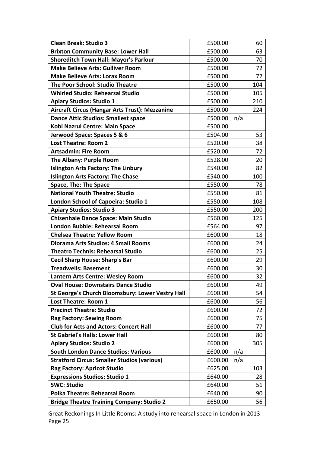| <b>Clean Break: Studio 3</b>                          | £500.00 |     | 60  |
|-------------------------------------------------------|---------|-----|-----|
| <b>Brixton Community Base: Lower Hall</b>             | £500.00 |     | 63  |
| <b>Shoreditch Town Hall: Mayor's Parlour</b>          | £500.00 |     | 70  |
| <b>Make Believe Arts: Gulliver Room</b>               | £500.00 | 72  |     |
| <b>Make Believe Arts: Lorax Room</b>                  | £500.00 |     | 72  |
| <b>The Poor School: Studio Theatre</b>                | £500.00 |     | 104 |
| <b>Whirled Studio: Rehearsal Studio</b>               | £500.00 |     | 105 |
| <b>Apiary Studios: Studio 1</b>                       | £500.00 |     | 210 |
| <b>Aircraft Circus (Hangar Arts Trust): Mezzanine</b> | £500.00 |     | 224 |
| <b>Dance Attic Studios: Smallest space</b>            | £500.00 | n/a |     |
| Kobi Nazrul Centre: Main Space                        | £500.00 |     |     |
| Jerwood Space: Spaces 5 & 6                           | £504.00 |     | 53  |
| <b>Lost Theatre: Room 2</b>                           | £520.00 |     | 38  |
| <b>Artsadmin: Fire Room</b>                           | £520.00 |     | 72  |
| The Albany: Purple Room                               | £528.00 |     | 20  |
| <b>Islington Arts Factory: The Linbury</b>            | £540.00 |     | 82  |
| <b>Islington Arts Factory: The Chase</b>              | £540.00 |     | 100 |
| <b>Space, The: The Space</b>                          | £550.00 |     | 78  |
| <b>National Youth Theatre: Studio</b>                 | £550.00 |     | 81  |
| London School of Capoeira: Studio 1                   | £550.00 |     | 108 |
| <b>Apiary Studios: Studio 3</b>                       | £550.00 |     | 200 |
| <b>Chisenhale Dance Space: Main Studio</b>            | £560.00 |     | 125 |
| <b>London Bubble: Rehearsal Room</b>                  | £564.00 |     | 97  |
| <b>Chelsea Theatre: Yellow Room</b>                   | £600.00 |     | 18  |
| <b>Diorama Arts Studios: 4 Small Rooms</b>            | £600.00 |     | 24  |
| <b>Theatro Technis: Rehearsal Studio</b>              | £600.00 |     | 25  |
| <b>Cecil Sharp House: Sharp's Bar</b>                 | £600.00 |     | 29  |
| <b>Treadwells: Basement</b>                           | £600.00 |     | 30  |
| Lantern Arts Centre: Wesley Room                      | £600.00 |     | 32  |
| <b>Oval House: Downstairs Dance Studio</b>            | £600.00 |     | 49  |
| St George's Church Bloomsbury: Lower Vestry Hall      | £600.00 |     | 54  |
| <b>Lost Theatre: Room 1</b>                           | £600.00 |     | 56  |
| <b>Precinct Theatre: Studio</b>                       | £600.00 |     | 72  |
| <b>Rag Factory: Sewing Room</b>                       | £600.00 |     | 75  |
| <b>Club for Acts and Actors: Concert Hall</b>         | £600.00 |     | 77  |
| <b>St Gabriel's Halls: Lower Hall</b>                 | £600.00 |     | 80  |
| <b>Apiary Studios: Studio 2</b>                       | £600.00 |     | 305 |
| <b>South London Dance Studios: Various</b>            | £600.00 | n/a |     |
| <b>Stratford Circus: Smaller Studios (various)</b>    | £600.00 | n/a |     |
| <b>Rag Factory: Apricot Studio</b>                    | £625.00 |     | 103 |
| <b>Expressions Studios: Studio 1</b>                  | £640.00 |     | 28  |
| <b>SWC: Studio</b>                                    | £640.00 |     | 51  |
| <b>Polka Theatre: Rehearsal Room</b>                  | £640.00 |     | 90  |
| <b>Bridge Theatre Training Company: Studio 2</b>      | £650.00 |     | 56  |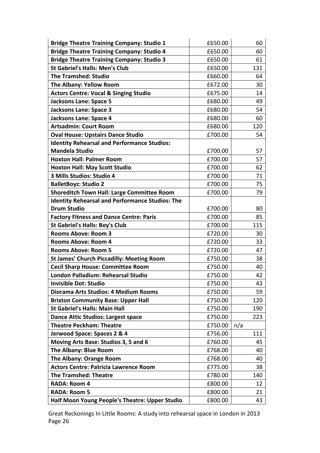| <b>Bridge Theatre Training Company: Studio 1</b>       | £650.00 | 60  |
|--------------------------------------------------------|---------|-----|
| <b>Bridge Theatre Training Company: Studio 4</b>       | £650.00 | 60  |
| <b>Bridge Theatre Training Company: Studio 3</b>       | £650.00 | 61  |
| <b>St Gabriel's Halls: Men's Club</b>                  | £650.00 | 131 |
| <b>The Tramshed: Studio</b>                            | £660.00 | 64  |
| <b>The Albany: Yellow Room</b>                         | £672.00 | 30  |
| <b>Actors Centre: Vocal &amp; Singing Studio</b>       | £675.00 | 14  |
| <b>Jacksons Lane: Space 5</b>                          | £680.00 | 49  |
| <b>Jacksons Lane: Space 3</b>                          | £680.00 | 54  |
| <b>Jacksons Lane: Space 4</b>                          | £680.00 | 60  |
| <b>Artsadmin: Court Room</b>                           | £680.00 | 120 |
| <b>Oval House: Upstairs Dance Studio</b>               | £700.00 | 54  |
| <b>Identity Rehearsal and Performance Studios:</b>     |         |     |
| <b>Mandela Studio</b>                                  | £700.00 | 57  |
| <b>Hoxton Hall: Palmer Room</b>                        | £700.00 | 57  |
| <b>Hoxton Hall: May Scott Studio</b>                   | £700.00 | 62  |
| 3 Mills Studios: Studio 4                              | £700.00 | 71  |
| <b>BalletBoyz: Studio 2</b>                            | £700.00 | 75  |
| Shoreditch Town Hall: Large Committee Room             | £700.00 | 79  |
| <b>Identity Rehearsal and Performance Studios: The</b> |         |     |
| <b>Drum Studio</b>                                     | £700.00 | 80  |
| <b>Factory Fitness and Dance Centre: Paris</b>         | £700.00 | 85  |
| <b>St Gabriel's Halls: Boy's Club</b>                  | £700.00 | 115 |
| <b>Rooms Above: Room 3</b>                             | £720.00 | 30  |
| <b>Rooms Above: Room 4</b>                             | £720.00 | 33  |
| <b>Rooms Above: Room 5</b>                             | £720.00 | 47  |
| <b>St James' Church Piccadilly: Meeting Room</b>       | £750.00 | 38  |
| <b>Cecil Sharp House: Committee Room</b>               | £750.00 | 40  |
| London Palladium: Rehearsal Studio                     | £750.00 | 42  |
| <b>Invisible Dot: Studio</b>                           | £750.00 | 43  |
| Diorama Arts Studios: 4 Medium Rooms                   | £750.00 | 59  |
| <b>Brixton Community Base: Upper Hall</b>              | £750.00 | 120 |
| <b>St Gabriel's Halls: Main Hall</b>                   | £750.00 | 190 |
| <b>Dance Attic Studios: Largest space</b>              | £750.00 | 223 |
| <b>Theatre Peckham: Theatre</b>                        | £750.00 | n/a |
| Jerwood Space: Spaces 2 & 4                            | £756.00 | 111 |
| Moving Arts Base: Studios 3, 5 and 6                   | £760.00 | 45  |
| The Albany: Blue Room                                  | £768.00 | 40  |
| <b>The Albany: Orange Room</b>                         | £768.00 | 40  |
| <b>Actors Centre: Patricia Lawrence Room</b>           | £775.00 | 38  |
| <b>The Tramshed: Theatre</b>                           | £780.00 | 140 |
| <b>RADA: Room 4</b>                                    | £800.00 | 12  |
| <b>RADA: Room 5</b>                                    | £800.00 | 21  |
| Half Moon Young People's Theatre: Upper Studio         | £800.00 | 43  |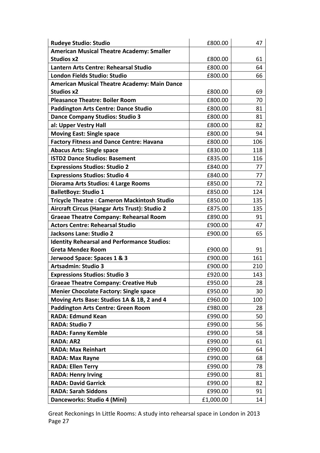| <b>Rudeye Studio: Studio</b>                        | £800.00   | 47  |
|-----------------------------------------------------|-----------|-----|
| <b>American Musical Theatre Academy: Smaller</b>    |           |     |
| <b>Studios x2</b>                                   | £800.00   | 61  |
| Lantern Arts Centre: Rehearsal Studio               | £800.00   | 64  |
| London Fields Studio: Studio                        | £800.00   | 66  |
| <b>American Musical Theatre Academy: Main Dance</b> |           |     |
| <b>Studios x2</b>                                   | £800.00   | 69  |
| <b>Pleasance Theatre: Boiler Room</b>               | £800.00   | 70  |
| <b>Paddington Arts Centre: Dance Studio</b>         | £800.00   | 81  |
| <b>Dance Company Studios: Studio 3</b>              | £800.00   | 81  |
| al: Upper Vestry Hall                               | £800.00   | 82  |
| <b>Moving East: Single space</b>                    | £800.00   | 94  |
| <b>Factory Fitness and Dance Centre: Havana</b>     | £800.00   | 106 |
| <b>Abacus Arts: Single space</b>                    | £830.00   | 118 |
| <b>ISTD2 Dance Studios: Basement</b>                | £835.00   | 116 |
| <b>Expressions Studios: Studio 2</b>                | £840.00   | 77  |
| <b>Expressions Studios: Studio 4</b>                | £840.00   | 77  |
| Diorama Arts Studios: 4 Large Rooms                 | £850.00   | 72  |
| <b>BalletBoyz: Studio 1</b>                         | £850.00   | 124 |
| <b>Tricycle Theatre: Cameron Mackintosh Studio</b>  | £850.00   | 135 |
| Aircraft Circus (Hangar Arts Trust): Studio 2       | £875.00   | 135 |
| <b>Graeae Theatre Company: Rehearsal Room</b>       | £890.00   | 91  |
| <b>Actors Centre: Rehearsal Studio</b>              | £900.00   | 47  |
| Jacksons Lane: Studio 2                             | £900.00   | 65  |
| <b>Identity Rehearsal and Performance Studios:</b>  |           |     |
| <b>Greta Mendez Room</b>                            | £900.00   | 91  |
| Jerwood Space: Spaces 1 & 3                         | £900.00   | 161 |
| <b>Artsadmin: Studio 3</b>                          | £900.00   | 210 |
| <b>Expressions Studios: Studio 3</b>                | £920.00   | 143 |
| <b>Graeae Theatre Company: Creative Hub</b>         | £950.00   | 28  |
| <b>Menier Chocolate Factory: Single space</b>       | £950.00   | 30  |
| Moving Arts Base: Studios 1A & 1B, 2 and 4          | £960.00   | 100 |
| Paddington Arts Centre: Green Room                  | £980.00   | 28  |
| <b>RADA: Edmund Kean</b>                            | £990.00   | 50  |
| <b>RADA: Studio 7</b>                               | £990.00   | 56  |
| <b>RADA: Fanny Kemble</b>                           | £990.00   | 58  |
| <b>RADA: AR2</b>                                    | £990.00   | 61  |
| <b>RADA: Max Reinhart</b>                           | £990.00   | 64  |
| <b>RADA: Max Rayne</b>                              | £990.00   | 68  |
| <b>RADA: Ellen Terry</b>                            | £990.00   | 78  |
| <b>RADA: Henry Irving</b>                           | £990.00   | 81  |
| <b>RADA: David Garrick</b>                          | £990.00   | 82  |
| <b>RADA: Sarah Siddons</b>                          | £990.00   | 91  |
| Danceworks: Studio 4 (Mini)                         | £1,000.00 | 14  |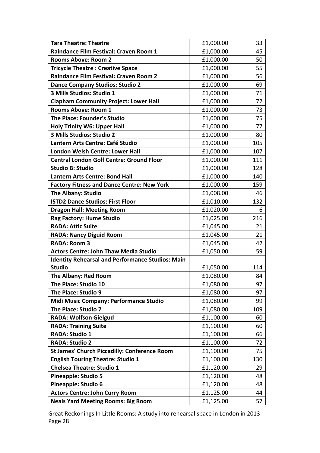| <b>Tara Theatre: Theatre</b>                            | £1,000.00 | 33  |
|---------------------------------------------------------|-----------|-----|
| Raindance Film Festival: Craven Room 1                  | £1,000.00 | 45  |
| <b>Rooms Above: Room 2</b>                              | £1,000.00 | 50  |
| <b>Tricycle Theatre: Creative Space</b>                 | £1,000.00 | 55  |
| <b>Raindance Film Festival: Craven Room 2</b>           | £1,000.00 | 56  |
| <b>Dance Company Studios: Studio 2</b>                  | £1,000.00 | 69  |
| 3 Mills Studios: Studio 1                               | £1,000.00 | 71  |
| <b>Clapham Community Project: Lower Hall</b>            | £1,000.00 | 72  |
| <b>Rooms Above: Room 1</b>                              | £1,000.00 | 73  |
| The Place: Founder's Studio                             | £1,000.00 | 75  |
| <b>Holy Trinity W6: Upper Hall</b>                      | £1,000.00 | 77  |
| 3 Mills Studios: Studio 2                               | £1,000.00 | 80  |
| Lantern Arts Centre: Café Studio                        | £1,000.00 | 105 |
| <b>London Welsh Centre: Lower Hall</b>                  | £1,000.00 | 107 |
| <b>Central London Golf Centre: Ground Floor</b>         | £1,000.00 | 111 |
| <b>Studio B: Studio</b>                                 | £1,000.00 | 128 |
| <b>Lantern Arts Centre: Bond Hall</b>                   | £1,000.00 | 140 |
| <b>Factory Fitness and Dance Centre: New York</b>       | £1,000.00 | 159 |
| <b>The Albany: Studio</b>                               | £1,008.00 | 46  |
| <b>ISTD2 Dance Studios: First Floor</b>                 | £1,010.00 | 132 |
| <b>Dragon Hall: Meeting Room</b>                        | £1,020.00 | 6   |
| Rag Factory: Hume Studio                                | £1,025.00 | 216 |
| <b>RADA: Attic Suite</b>                                | £1,045.00 | 21  |
| <b>RADA: Nancy Diguid Room</b>                          | £1,045.00 | 21  |
| <b>RADA: Room 3</b>                                     | £1,045.00 | 42  |
| <b>Actors Centre: John Thaw Media Studio</b>            | £1,050.00 | 59  |
| <b>Identity Rehearsal and Performance Studios: Main</b> |           |     |
| <b>Studio</b>                                           | £1,050.00 | 114 |
| <b>The Albany: Red Room</b>                             | £1,080.00 | 84  |
| The Place: Studio 10                                    | £1,080.00 | 97  |
| The Place: Studio 9                                     | £1,080.00 | 97  |
| Midi Music Company: Performance Studio                  | £1,080.00 | 99  |
| The Place: Studio 7                                     | £1,080.00 | 109 |
| <b>RADA: Wolfson Gielgud</b>                            | £1,100.00 | 60  |
| <b>RADA: Training Suite</b>                             | £1,100.00 | 60  |
| <b>RADA: Studio 1</b>                                   | £1,100.00 | 66  |
| <b>RADA: Studio 2</b>                                   | £1,100.00 | 72  |
| <b>St James' Church Piccadilly: Conference Room</b>     | £1,100.00 | 75  |
| <b>English Touring Theatre: Studio 1</b>                | £1,100.00 | 130 |
| <b>Chelsea Theatre: Studio 1</b>                        | £1,120.00 | 29  |
| <b>Pineapple: Studio 5</b>                              | £1,120.00 | 48  |
| Pineapple: Studio 6                                     | £1,120.00 | 48  |
| <b>Actors Centre: John Curry Room</b>                   | £1,125.00 | 44  |
| <b>Neals Yard Meeting Rooms: Big Room</b>               | £1,125.00 | 57  |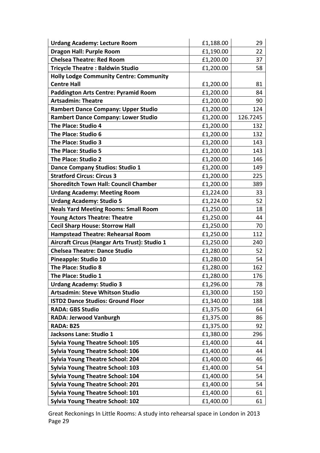| <b>Urdang Academy: Lecture Room</b>            | £1,188.00 | 29       |
|------------------------------------------------|-----------|----------|
| <b>Dragon Hall: Purple Room</b>                | £1,190.00 | 22       |
| <b>Chelsea Theatre: Red Room</b>               | £1,200.00 | 37       |
| <b>Tricycle Theatre: Baldwin Studio</b>        | £1,200.00 | 58       |
| <b>Holly Lodge Community Centre: Community</b> |           |          |
| <b>Centre Hall</b>                             | £1,200.00 | 81       |
| <b>Paddington Arts Centre: Pyramid Room</b>    | £1,200.00 | 84       |
| <b>Artsadmin: Theatre</b>                      | £1,200.00 | 90       |
| Rambert Dance Company: Upper Studio            | £1,200.00 | 124      |
| <b>Rambert Dance Company: Lower Studio</b>     | £1,200.00 | 126.7245 |
| The Place: Studio 4                            | £1,200.00 | 132      |
| The Place: Studio 6                            | £1,200.00 | 132      |
| The Place: Studio 3                            | £1,200.00 | 143      |
| The Place: Studio 5                            | £1,200.00 | 143      |
| The Place: Studio 2                            | £1,200.00 | 146      |
| <b>Dance Company Studios: Studio 1</b>         | £1,200.00 | 149      |
| <b>Stratford Circus: Circus 3</b>              | £1,200.00 | 225      |
| <b>Shoreditch Town Hall: Council Chamber</b>   | £1,200.00 | 389      |
| <b>Urdang Academy: Meeting Room</b>            | £1,224.00 | 33       |
| <b>Urdang Academy: Studio 5</b>                | £1,224.00 | 52       |
| <b>Neals Yard Meeting Rooms: Small Room</b>    | £1,250.00 | 18       |
| <b>Young Actors Theatre: Theatre</b>           | £1,250.00 | 44       |
| <b>Cecil Sharp House: Storrow Hall</b>         | £1,250.00 | 70       |
| <b>Hampstead Theatre: Rehearsal Room</b>       | £1,250.00 | 112      |
| Aircraft Circus (Hangar Arts Trust): Studio 1  | £1,250.00 | 240      |
| <b>Chelsea Theatre: Dance Studio</b>           | £1,280.00 | 52       |
| <b>Pineapple: Studio 10</b>                    | £1,280.00 | 54       |
| <b>The Place: Studio 8</b>                     | £1,280.00 | 162      |
| The Place: Studio 1                            | £1,280.00 | 176      |
| <b>Urdang Academy: Studio 3</b>                | £1,296.00 | 78       |
| <b>Artsadmin: Steve Whitson Studio</b>         | £1,300.00 | 150      |
| <b>ISTD2 Dance Studios: Ground Floor</b>       | £1,340.00 | 188      |
| <b>RADA: GBS Studio</b>                        | £1,375.00 | 64       |
| <b>RADA: Jerwood Vanburgh</b>                  | £1,375.00 | 86       |
| RADA: B25                                      | £1,375.00 | 92       |
| Jacksons Lane: Studio 1                        | £1,380.00 | 296      |
| <b>Sylvia Young Theatre School: 105</b>        | £1,400.00 | 44       |
| <b>Sylvia Young Theatre School: 106</b>        | £1,400.00 | 44       |
| <b>Sylvia Young Theatre School: 204</b>        | £1,400.00 | 46       |
| <b>Sylvia Young Theatre School: 103</b>        | £1,400.00 | 54       |
| <b>Sylvia Young Theatre School: 104</b>        | £1,400.00 | 54       |
| <b>Sylvia Young Theatre School: 201</b>        | £1,400.00 | 54       |
| <b>Sylvia Young Theatre School: 101</b>        | £1,400.00 | 61       |
| <b>Sylvia Young Theatre School: 102</b>        | £1,400.00 | 61       |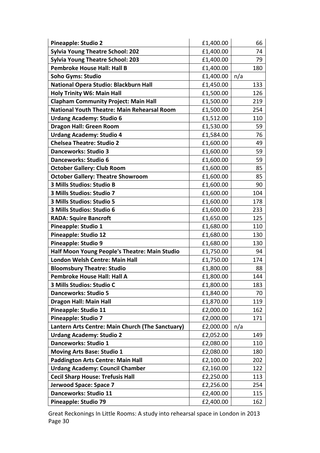| <b>Pineapple: Studio 2</b>                         | £1,400.00 | 66  |  |
|----------------------------------------------------|-----------|-----|--|
| <b>Sylvia Young Theatre School: 202</b>            | £1,400.00 | 74  |  |
| <b>Sylvia Young Theatre School: 203</b>            | £1,400.00 | 79  |  |
| <b>Pembroke House Hall: Hall B</b>                 | £1,400.00 | 180 |  |
| <b>Soho Gyms: Studio</b>                           | £1,400.00 | n/a |  |
| National Opera Studio: Blackburn Hall              | £1,450.00 | 133 |  |
| <b>Holy Trinity W6: Main Hall</b>                  | £1,500.00 | 126 |  |
| <b>Clapham Community Project: Main Hall</b>        | £1,500.00 | 219 |  |
| <b>National Youth Theatre: Main Rehearsal Room</b> | £1,500.00 | 254 |  |
| <b>Urdang Academy: Studio 6</b>                    | £1,512.00 | 110 |  |
| <b>Dragon Hall: Green Room</b>                     | £1,530.00 | 59  |  |
| <b>Urdang Academy: Studio 4</b>                    | £1,584.00 | 76  |  |
| <b>Chelsea Theatre: Studio 2</b>                   | £1,600.00 | 49  |  |
| <b>Danceworks: Studio 3</b>                        | £1,600.00 | 59  |  |
| Danceworks: Studio 6                               | £1,600.00 | 59  |  |
| <b>October Gallery: Club Room</b>                  | £1,600.00 | 85  |  |
| <b>October Gallery: Theatre Showroom</b>           | £1,600.00 | 85  |  |
| 3 Mills Studios: Studio B                          | £1,600.00 | 90  |  |
| 3 Mills Studios: Studio 7                          | £1,600.00 | 104 |  |
| 3 Mills Studios: Studio 5                          | £1,600.00 | 178 |  |
| 3 Mills Studios: Studio 6                          | £1,600.00 | 233 |  |
| <b>RADA: Squire Bancroft</b>                       | £1,650.00 | 125 |  |
| Pineapple: Studio 1                                | £1,680.00 | 110 |  |
| <b>Pineapple: Studio 12</b>                        | £1,680.00 | 130 |  |
| Pineapple: Studio 9                                | £1,680.00 | 130 |  |
| Half Moon Young People's Theatre: Main Studio      | £1,750.00 | 94  |  |
| London Welsh Centre: Main Hall                     | £1,750.00 | 174 |  |
| <b>Bloomsbury Theatre: Studio</b>                  | £1,800.00 | 88  |  |
| <b>Pembroke House Hall: Hall A</b>                 | £1,800.00 | 144 |  |
| 3 Mills Studios: Studio C                          | £1,800.00 | 183 |  |
| <b>Danceworks: Studio 5</b>                        | £1,840.00 | 70  |  |
| <b>Dragon Hall: Main Hall</b>                      | £1,870.00 | 119 |  |
| Pineapple: Studio 11                               | £2,000.00 | 162 |  |
| <b>Pineapple: Studio 7</b>                         | £2,000.00 | 171 |  |
| Lantern Arts Centre: Main Church (The Sanctuary)   | £2,000.00 | n/a |  |
| <b>Urdang Academy: Studio 2</b>                    | £2,052.00 | 149 |  |
| Danceworks: Studio 1                               | £2,080.00 | 110 |  |
| <b>Moving Arts Base: Studio 1</b>                  | £2,080.00 | 180 |  |
| Paddington Arts Centre: Main Hall                  | £2,100.00 | 202 |  |
| <b>Urdang Academy: Council Chamber</b>             | £2,160.00 | 122 |  |
| <b>Cecil Sharp House: Trefusis Hall</b>            | £2,250.00 | 113 |  |
| Jerwood Space: Space 7                             | £2,256.00 | 254 |  |
| Danceworks: Studio 11                              | £2,400.00 | 115 |  |
| Pineapple: Studio 79                               | £2,400.00 | 162 |  |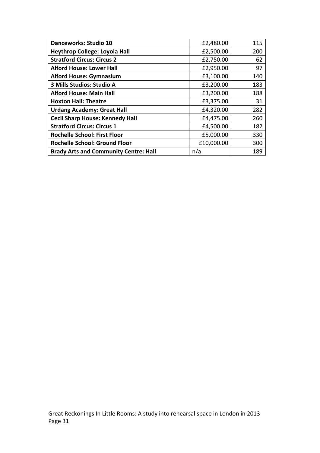| <b>Danceworks: Studio 10</b>                 | £2,480.00  | 115 |
|----------------------------------------------|------------|-----|
| <b>Heythrop College: Loyola Hall</b>         | £2,500.00  | 200 |
| <b>Stratford Circus: Circus 2</b>            | £2,750.00  | 62  |
| <b>Alford House: Lower Hall</b>              | £2,950.00  | 97  |
| <b>Alford House: Gymnasium</b>               | £3,100.00  | 140 |
| 3 Mills Studios: Studio A                    | £3,200.00  | 183 |
| <b>Alford House: Main Hall</b>               | £3,200.00  | 188 |
| <b>Hoxton Hall: Theatre</b>                  | £3,375.00  | 31  |
| <b>Urdang Academy: Great Hall</b>            | £4,320.00  | 282 |
| <b>Cecil Sharp House: Kennedy Hall</b>       | £4,475.00  | 260 |
| <b>Stratford Circus: Circus 1</b>            | £4,500.00  | 182 |
| <b>Rochelle School: First Floor</b>          | £5,000.00  | 330 |
| <b>Rochelle School: Ground Floor</b>         | £10,000.00 | 300 |
| <b>Brady Arts and Community Centre: Hall</b> | n/a        | 189 |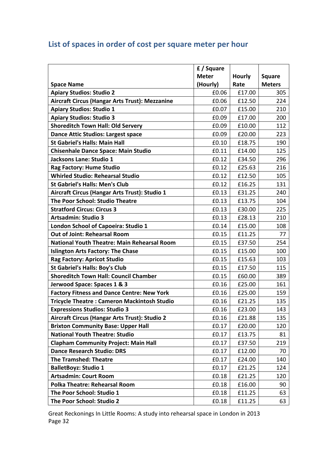# List of spaces in order of cost per square meter per hour

|                                                    | £/Square     |               |               |
|----------------------------------------------------|--------------|---------------|---------------|
|                                                    | <b>Meter</b> | <b>Hourly</b> | <b>Square</b> |
| <b>Space Name</b>                                  | (Hourly)     | Rate          | <b>Meters</b> |
| <b>Apiary Studios: Studio 2</b>                    | £0.06        | £17.00        | 305           |
| Aircraft Circus (Hangar Arts Trust): Mezzanine     | £0.06        | £12.50        | 224           |
| <b>Apiary Studios: Studio 1</b>                    | £0.07        | £15.00        | 210           |
| <b>Apiary Studios: Studio 3</b>                    | £0.09        | £17.00        | 200           |
| <b>Shoreditch Town Hall: Old Servery</b>           | £0.09        | £10.00        | 112           |
| <b>Dance Attic Studios: Largest space</b>          | £0.09        | £20.00        | 223           |
| <b>St Gabriel's Halls: Main Hall</b>               | £0.10        | £18.75        | 190           |
| <b>Chisenhale Dance Space: Main Studio</b>         | £0.11        | £14.00        | 125           |
| Jacksons Lane: Studio 1                            | £0.12        | £34.50        | 296           |
| Rag Factory: Hume Studio                           | £0.12        | £25.63        | 216           |
| <b>Whirled Studio: Rehearsal Studio</b>            | £0.12        | £12.50        | 105           |
| <b>St Gabriel's Halls: Men's Club</b>              | £0.12        | £16.25        | 131           |
| Aircraft Circus (Hangar Arts Trust): Studio 1      | £0.13        | £31.25        | 240           |
| The Poor School: Studio Theatre                    | £0.13        | £13.75        | 104           |
| <b>Stratford Circus: Circus 3</b>                  | £0.13        | £30.00        | 225           |
| <b>Artsadmin: Studio 3</b>                         | £0.13        | £28.13        | 210           |
| London School of Capoeira: Studio 1                | £0.14        | £15.00        | 108           |
| <b>Out of Joint: Rehearsal Room</b>                | £0.15        | £11.25        | 77            |
| <b>National Youth Theatre: Main Rehearsal Room</b> | £0.15        | £37.50        | 254           |
| <b>Islington Arts Factory: The Chase</b>           | £0.15        | £15.00        | 100           |
| <b>Rag Factory: Apricot Studio</b>                 | £0.15        | £15.63        | 103           |
| <b>St Gabriel's Halls: Boy's Club</b>              | £0.15        | £17.50        | 115           |
| <b>Shoreditch Town Hall: Council Chamber</b>       | £0.15        | £60.00        | 389           |
| Jerwood Space: Spaces 1 & 3                        | £0.16        | £25.00        | 161           |
| <b>Factory Fitness and Dance Centre: New York</b>  | £0.16        | £25.00        | 159           |
| <b>Tricycle Theatre: Cameron Mackintosh Studio</b> | £0.16        | £21.25        | 135           |
| <b>Expressions Studios: Studio 3</b>               | £0.16        | £23.00        | 143           |
| Aircraft Circus (Hangar Arts Trust): Studio 2      | £0.16        | £21.88        | 135           |
| <b>Brixton Community Base: Upper Hall</b>          | £0.17        | £20.00        | 120           |
| <b>National Youth Theatre: Studio</b>              | £0.17        | £13.75        | 81            |
| <b>Clapham Community Project: Main Hall</b>        | £0.17        | £37.50        | 219           |
| <b>Dance Research Studio: DRS</b>                  | £0.17        | £12.00        | 70            |
| <b>The Tramshed: Theatre</b>                       | £0.17        | £24.00        | 140           |
| <b>BalletBoyz: Studio 1</b>                        | £0.17        | £21.25        | 124           |
| <b>Artsadmin: Court Room</b>                       | £0.18        | £21.25        | 120           |
| <b>Polka Theatre: Rehearsal Room</b>               | £0.18        | £16.00        | 90            |
| The Poor School: Studio 1                          | £0.18        | £11.25        | 63            |
| The Poor School: Studio 2                          | £0.18        | £11.25        | 63            |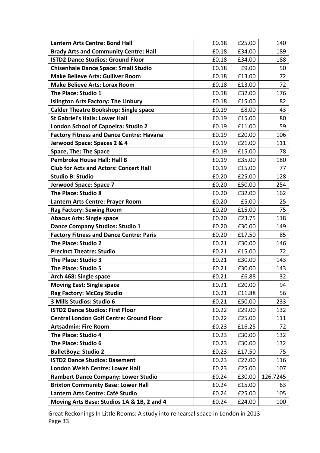| <b>Lantern Arts Centre: Bond Hall</b>           | £0.18 | £25.00 | 140      |
|-------------------------------------------------|-------|--------|----------|
| <b>Brady Arts and Community Centre: Hall</b>    | £0.18 | £34.00 | 189      |
| <b>ISTD2 Dance Studios: Ground Floor</b>        | £0.18 | £34.00 | 188      |
| <b>Chisenhale Dance Space: Small Studio</b>     | £0.18 | £9.00  | 50       |
| <b>Make Believe Arts: Gulliver Room</b>         | £0.18 | £13.00 | 72       |
| <b>Make Believe Arts: Lorax Room</b>            | £0.18 | £13.00 | 72       |
| The Place: Studio 1                             | £0.18 | £32.00 | 176      |
| <b>Islington Arts Factory: The Linbury</b>      | £0.18 | £15.00 | 82       |
| <b>Calder Theatre Bookshop: Single space</b>    | £0.19 | £8.00  | 43       |
| <b>St Gabriel's Halls: Lower Hall</b>           | £0.19 | £15.00 | 80       |
| <b>London School of Capoeira: Studio 2</b>      | £0.19 | £11.00 | 59       |
| <b>Factory Fitness and Dance Centre: Havana</b> | £0.19 | £20.00 | 106      |
| Jerwood Space: Spaces 2 & 4                     | £0.19 | £21.00 | 111      |
| <b>Space, The: The Space</b>                    | £0.19 | £15.00 | 78       |
| <b>Pembroke House Hall: Hall B</b>              | £0.19 | £35.00 | 180      |
| <b>Club for Acts and Actors: Concert Hall</b>   | £0.19 | £15.00 | 77       |
| <b>Studio B: Studio</b>                         | £0.20 | £25.00 | 128      |
| Jerwood Space: Space 7                          | £0.20 | £50.00 | 254      |
| The Place: Studio 8                             | £0.20 | £32.00 | 162      |
| Lantern Arts Centre: Prayer Room                | £0.20 | £5.00  | 25       |
| <b>Rag Factory: Sewing Room</b>                 | £0.20 | £15.00 | 75       |
| <b>Abacus Arts: Single space</b>                | £0.20 | £23.75 | 118      |
| Dance Company Studios: Studio 1                 | £0.20 | £30.00 | 149      |
| <b>Factory Fitness and Dance Centre: Paris</b>  | £0.20 | £17.50 | 85       |
| The Place: Studio 2                             | £0.21 | £30.00 | 146      |
| <b>Precinct Theatre: Studio</b>                 | £0.21 | £15.00 | 72       |
| The Place: Studio 3                             | £0.21 | £30.00 | 143      |
| The Place: Studio 5                             | £0.21 | £30.00 | 143      |
| Arch 468: Single space                          | £0.21 | £6.88  | 32       |
| <b>Moving East: Single space</b>                | £0.21 | £20.00 | 94       |
| <b>Rag Factory: McCoy Studio</b>                | £0.21 | £11.88 | 56       |
| 3 Mills Studios: Studio 6                       | £0.21 | £50.00 | 233      |
| <b>ISTD2 Dance Studios: First Floor</b>         | £0.22 | £29.00 | 132      |
| <b>Central London Golf Centre: Ground Floor</b> | £0.22 | £25.00 | 111      |
| <b>Artsadmin: Fire Room</b>                     | £0.23 | £16.25 | 72       |
| The Place: Studio 4                             | £0.23 | £30.00 | 132      |
| The Place: Studio 6                             | £0.23 | £30.00 | 132      |
| <b>BalletBoyz: Studio 2</b>                     | £0.23 | £17.50 | 75       |
| <b>ISTD2 Dance Studios: Basement</b>            | £0.23 | £27.00 | 116      |
| London Welsh Centre: Lower Hall                 | £0.23 | £25.00 | 107      |
| <b>Rambert Dance Company: Lower Studio</b>      | £0.24 | £30.00 | 126.7245 |
| <b>Brixton Community Base: Lower Hall</b>       | £0.24 | £15.00 | 63       |
| Lantern Arts Centre: Café Studio                | £0.24 | £25.00 | 105      |
| Moving Arts Base: Studios 1A & 1B, 2 and 4      | £0.24 | £24.00 | 100      |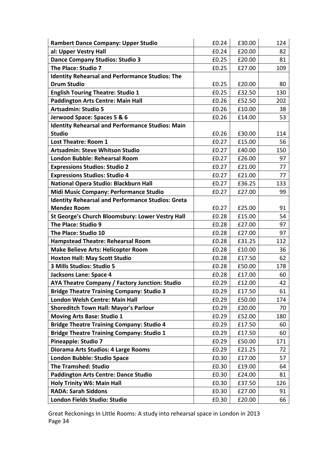| <b>Rambert Dance Company: Upper Studio</b>               | £0.24 | £30.00 | 124 |
|----------------------------------------------------------|-------|--------|-----|
| al: Upper Vestry Hall                                    | £0.24 | £20.00 | 82  |
| <b>Dance Company Studios: Studio 3</b>                   | £0.25 | £20.00 | 81  |
| The Place: Studio 7                                      | £0.25 | £27.00 | 109 |
| <b>Identity Rehearsal and Performance Studios: The</b>   |       |        |     |
| <b>Drum Studio</b>                                       | £0.25 | £20.00 | 80  |
| <b>English Touring Theatre: Studio 1</b>                 | £0.25 | £32.50 | 130 |
| <b>Paddington Arts Centre: Main Hall</b>                 | £0.26 | £52.50 | 202 |
| <b>Artsadmin: Studio 5</b>                               | £0.26 | £10.00 | 38  |
| Jerwood Space: Spaces 5 & 6                              | £0.26 | £14.00 | 53  |
| <b>Identity Rehearsal and Performance Studios: Main</b>  |       |        |     |
| <b>Studio</b>                                            | £0.26 | £30.00 | 114 |
| <b>Lost Theatre: Room 1</b>                              | £0.27 | £15.00 | 56  |
| <b>Artsadmin: Steve Whitson Studio</b>                   | £0.27 | £40.00 | 150 |
| London Bubble: Rehearsal Room                            | £0.27 | £26.00 | 97  |
| <b>Expressions Studios: Studio 2</b>                     | £0.27 | £21.00 | 77  |
| <b>Expressions Studios: Studio 4</b>                     | £0.27 | £21.00 | 77  |
| National Opera Studio: Blackburn Hall                    | £0.27 | £36.25 | 133 |
| Midi Music Company: Performance Studio                   | £0.27 | £27.00 | 99  |
| <b>Identity Rehearsal and Performance Studios: Greta</b> |       |        |     |
| <b>Mendez Room</b>                                       | £0.27 | £25.00 | 91  |
| St George's Church Bloomsbury: Lower Vestry Hall         | £0.28 | £15.00 | 54  |
| The Place: Studio 9                                      | £0.28 | £27.00 | 97  |
| The Place: Studio 10                                     | £0.28 | £27.00 | 97  |
| <b>Hampstead Theatre: Rehearsal Room</b>                 | £0.28 | £31.25 | 112 |
| <b>Make Believe Arts: Helicopter Room</b>                | £0.28 | £10.00 | 36  |
| <b>Hoxton Hall: May Scott Studio</b>                     | £0.28 | £17.50 | 62  |
| 3 Mills Studios: Studio 5                                | £0.28 | £50.00 | 178 |
| Jacksons Lane: Space 4                                   | £0.28 | £17.00 | 60  |
| AYA Theatre Company / Factory Junction: Studio           | £0.29 | £12.00 | 42  |
| <b>Bridge Theatre Training Company: Studio 3</b>         | £0.29 | £17.50 | 61  |
| London Welsh Centre: Main Hall                           | £0.29 | £50.00 | 174 |
| <b>Shoreditch Town Hall: Mayor's Parlour</b>             | £0.29 | £20.00 | 70  |
| <b>Moving Arts Base: Studio 1</b>                        | £0.29 | £52.00 | 180 |
| <b>Bridge Theatre Training Company: Studio 4</b>         | £0.29 | £17.50 | 60  |
| <b>Bridge Theatre Training Company: Studio 1</b>         | £0.29 | £17.50 | 60  |
| <b>Pineapple: Studio 7</b>                               | £0.29 | £50.00 | 171 |
| Diorama Arts Studios: 4 Large Rooms                      | £0.29 | £21.25 | 72  |
| <b>London Bubble: Studio Space</b>                       | £0.30 | £17.00 | 57  |
| <b>The Tramshed: Studio</b>                              | £0.30 | £19.00 | 64  |
| <b>Paddington Arts Centre: Dance Studio</b>              | £0.30 | £24.00 | 81  |
| <b>Holy Trinity W6: Main Hall</b>                        | £0.30 | £37.50 | 126 |
| <b>RADA: Sarah Siddons</b>                               | £0.30 | £27.00 | 91  |
| London Fields Studio: Studio                             | £0.30 | £20.00 | 66  |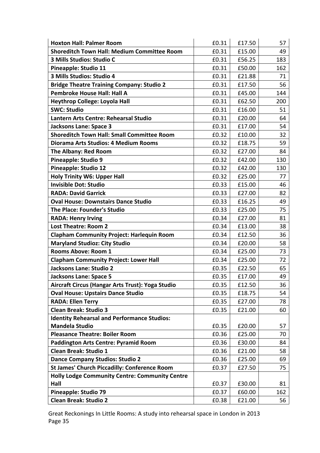| <b>Hoxton Hall: Palmer Room</b>                       | £0.31 | £17.50 | 57  |
|-------------------------------------------------------|-------|--------|-----|
| <b>Shoreditch Town Hall: Medium Committee Room</b>    | £0.31 | £15.00 | 49  |
| 3 Mills Studios: Studio C                             | £0.31 | £56.25 | 183 |
| Pineapple: Studio 11                                  | £0.31 | £50.00 | 162 |
| 3 Mills Studios: Studio 4                             | £0.31 | £21.88 | 71  |
| <b>Bridge Theatre Training Company: Studio 2</b>      | £0.31 | £17.50 | 56  |
| <b>Pembroke House Hall: Hall A</b>                    | £0.31 | £45.00 | 144 |
| <b>Heythrop College: Loyola Hall</b>                  | £0.31 | £62.50 | 200 |
| <b>SWC: Studio</b>                                    | £0.31 | £16.00 | 51  |
| Lantern Arts Centre: Rehearsal Studio                 | £0.31 | £20.00 | 64  |
| <b>Jacksons Lane: Space 3</b>                         | £0.31 | £17.00 | 54  |
| <b>Shoreditch Town Hall: Small Committee Room</b>     | £0.32 | £10.00 | 32  |
| Diorama Arts Studios: 4 Medium Rooms                  | £0.32 | £18.75 | 59  |
| <b>The Albany: Red Room</b>                           | £0.32 | £27.00 | 84  |
| <b>Pineapple: Studio 9</b>                            | £0.32 | £42.00 | 130 |
| Pineapple: Studio 12                                  | £0.32 | £42.00 | 130 |
| <b>Holy Trinity W6: Upper Hall</b>                    | £0.32 | £25.00 | 77  |
| <b>Invisible Dot: Studio</b>                          | £0.33 | £15.00 | 46  |
| <b>RADA: David Garrick</b>                            | £0.33 | £27.00 | 82  |
| <b>Oval House: Downstairs Dance Studio</b>            | £0.33 | £16.25 | 49  |
| <b>The Place: Founder's Studio</b>                    | £0.33 | £25.00 | 75  |
| <b>RADA: Henry Irving</b>                             | £0.34 | £27.00 | 81  |
| <b>Lost Theatre: Room 2</b>                           | £0.34 | £13.00 | 38  |
| <b>Clapham Community Project: Harlequin Room</b>      | £0.34 | £12.50 | 36  |
| <b>Maryland Studioz: City Studio</b>                  | £0.34 | £20.00 | 58  |
| <b>Rooms Above: Room 1</b>                            | £0.34 | £25.00 | 73  |
| <b>Clapham Community Project: Lower Hall</b>          | £0.34 | £25.00 | 72  |
| <b>Jacksons Lane: Studio 2</b>                        | £0.35 | £22.50 | 65  |
| <b>Jacksons Lane: Space 5</b>                         | £0.35 | £17.00 | 49  |
| Aircraft Circus (Hangar Arts Trust): Yoga Studio      | £0.35 | £12.50 | 36  |
| <b>Oval House: Upstairs Dance Studio</b>              | £0.35 | £18.75 | 54  |
| <b>RADA: Ellen Terry</b>                              | £0.35 | £27.00 | 78  |
| <b>Clean Break: Studio 3</b>                          | £0.35 | £21.00 | 60  |
| <b>Identity Rehearsal and Performance Studios:</b>    |       |        |     |
| <b>Mandela Studio</b>                                 | £0.35 | £20.00 | 57  |
| <b>Pleasance Theatre: Boiler Room</b>                 | £0.36 | £25.00 | 70  |
| <b>Paddington Arts Centre: Pyramid Room</b>           | £0.36 | £30.00 | 84  |
| <b>Clean Break: Studio 1</b>                          | £0.36 | £21.00 | 58  |
| <b>Dance Company Studios: Studio 2</b>                | £0.36 | £25.00 | 69  |
| <b>St James' Church Piccadilly: Conference Room</b>   | £0.37 | £27.50 | 75  |
| <b>Holly Lodge Community Centre: Community Centre</b> |       |        |     |
| Hall                                                  | £0.37 | £30.00 | 81  |
| <b>Pineapple: Studio 79</b>                           | £0.37 | £60.00 | 162 |
| <b>Clean Break: Studio 2</b>                          | £0.38 | £21.00 | 56  |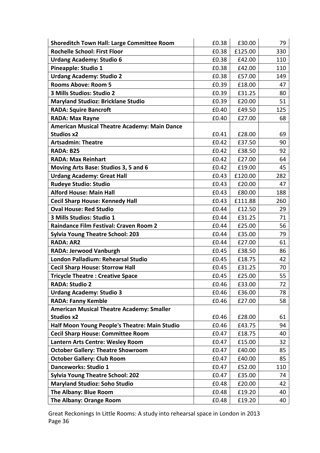| <b>Shoreditch Town Hall: Large Committee Room</b>   | £0.38 | £30.00  | 79  |
|-----------------------------------------------------|-------|---------|-----|
| <b>Rochelle School: First Floor</b>                 | £0.38 | £125.00 | 330 |
| <b>Urdang Academy: Studio 6</b>                     | £0.38 | £42.00  | 110 |
| Pineapple: Studio 1                                 | £0.38 | £42.00  | 110 |
| <b>Urdang Academy: Studio 2</b>                     | £0.38 | £57.00  | 149 |
| <b>Rooms Above: Room 5</b>                          | £0.39 | £18.00  | 47  |
| 3 Mills Studios: Studio 2                           | £0.39 | £31.25  | 80  |
| <b>Maryland Studioz: Bricklane Studio</b>           | £0.39 | £20.00  | 51  |
| <b>RADA: Squire Bancroft</b>                        | £0.40 | £49.50  | 125 |
| <b>RADA: Max Rayne</b>                              | £0.40 | £27.00  | 68  |
| <b>American Musical Theatre Academy: Main Dance</b> |       |         |     |
| <b>Studios x2</b>                                   | £0.41 | £28.00  | 69  |
| <b>Artsadmin: Theatre</b>                           | £0.42 | £37.50  | 90  |
| RADA: B25                                           | £0.42 | £38.50  | 92  |
| <b>RADA: Max Reinhart</b>                           | £0.42 | £27.00  | 64  |
| Moving Arts Base: Studios 3, 5 and 6                | £0.42 | £19.00  | 45  |
| <b>Urdang Academy: Great Hall</b>                   | £0.43 | £120.00 | 282 |
| <b>Rudeye Studio: Studio</b>                        | £0.43 | £20.00  | 47  |
| <b>Alford House: Main Hall</b>                      | £0.43 | £80.00  | 188 |
| <b>Cecil Sharp House: Kennedy Hall</b>              | £0.43 | £111.88 | 260 |
| <b>Oval House: Red Studio</b>                       | £0.44 | £12.50  | 29  |
| 3 Mills Studios: Studio 1                           | £0.44 | £31.25  | 71  |
| <b>Raindance Film Festival: Craven Room 2</b>       | £0.44 | £25.00  | 56  |
| <b>Sylvia Young Theatre School: 203</b>             | £0.44 | £35.00  | 79  |
| <b>RADA: AR2</b>                                    | £0.44 | £27.00  | 61  |
| RADA: Jerwood Vanburgh                              | £0.45 | £38.50  | 86  |
| London Palladium: Rehearsal Studio                  | £0.45 | £18.75  | 42  |
| <b>Cecil Sharp House: Storrow Hall</b>              | £0.45 | £31.25  | 70  |
| <b>Tricycle Theatre: Creative Space</b>             | £0.45 | £25.00  | 55  |
| <b>RADA: Studio 2</b>                               | £0.46 | £33.00  | 72  |
| <b>Urdang Academy: Studio 3</b>                     | £0.46 | £36.00  | 78  |
| <b>RADA: Fanny Kemble</b>                           | £0.46 | £27.00  | 58  |
| <b>American Musical Theatre Academy: Smaller</b>    |       |         |     |
| <b>Studios x2</b>                                   | £0.46 | £28.00  | 61  |
| Half Moon Young People's Theatre: Main Studio       | £0.46 | £43.75  | 94  |
| <b>Cecil Sharp House: Committee Room</b>            | £0.47 | £18.75  | 40  |
| Lantern Arts Centre: Wesley Room                    | £0.47 | £15.00  | 32  |
| <b>October Gallery: Theatre Showroom</b>            | £0.47 | £40.00  | 85  |
| <b>October Gallery: Club Room</b>                   | £0.47 | £40.00  | 85  |
| Danceworks: Studio 1                                | £0.47 | £52.00  | 110 |
| <b>Sylvia Young Theatre School: 202</b>             | £0.47 | £35.00  | 74  |
| <b>Maryland Studioz: Soho Studio</b>                | £0.48 | £20.00  | 42  |
| The Albany: Blue Room                               | £0.48 | £19.20  | 40  |
| The Albany: Orange Room                             | £0.48 | £19.20  | 40  |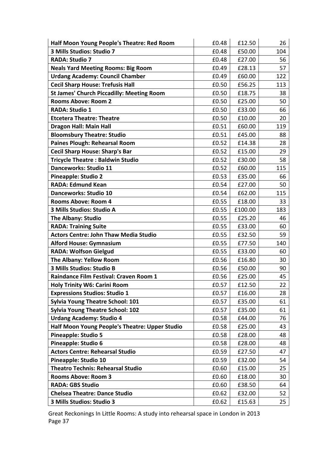| Half Moon Young People's Theatre: Red Room       | £0.48 | £12.50  | 26  |
|--------------------------------------------------|-------|---------|-----|
| 3 Mills Studios: Studio 7                        | £0.48 | £50.00  | 104 |
| <b>RADA: Studio 7</b>                            | £0.48 | £27.00  | 56  |
| <b>Neals Yard Meeting Rooms: Big Room</b>        | £0.49 | £28.13  | 57  |
| <b>Urdang Academy: Council Chamber</b>           | £0.49 | £60.00  | 122 |
| <b>Cecil Sharp House: Trefusis Hall</b>          | £0.50 | £56.25  | 113 |
| <b>St James' Church Piccadilly: Meeting Room</b> | £0.50 | £18.75  | 38  |
| <b>Rooms Above: Room 2</b>                       | £0.50 | £25.00  | 50  |
| <b>RADA: Studio 1</b>                            | £0.50 | £33.00  | 66  |
| <b>Etcetera Theatre: Theatre</b>                 | £0.50 | £10.00  | 20  |
| <b>Dragon Hall: Main Hall</b>                    | £0.51 | £60.00  | 119 |
| <b>Bloomsbury Theatre: Studio</b>                | £0.51 | £45.00  | 88  |
| Paines Plough: Rehearsal Room                    | £0.52 | £14.38  | 28  |
| <b>Cecil Sharp House: Sharp's Bar</b>            | £0.52 | £15.00  | 29  |
| <b>Tricycle Theatre: Baldwin Studio</b>          | £0.52 | £30.00  | 58  |
| Danceworks: Studio 11                            | £0.52 | £60.00  | 115 |
| <b>Pineapple: Studio 2</b>                       | £0.53 | £35.00  | 66  |
| <b>RADA: Edmund Kean</b>                         | £0.54 | £27.00  | 50  |
| <b>Danceworks: Studio 10</b>                     | £0.54 | £62.00  | 115 |
| <b>Rooms Above: Room 4</b>                       | £0.55 | £18.00  | 33  |
| 3 Mills Studios: Studio A                        | £0.55 | £100.00 | 183 |
| <b>The Albany: Studio</b>                        | £0.55 | £25.20  | 46  |
| <b>RADA: Training Suite</b>                      | £0.55 | £33.00  | 60  |
| <b>Actors Centre: John Thaw Media Studio</b>     | £0.55 | £32.50  | 59  |
| <b>Alford House: Gymnasium</b>                   | £0.55 | £77.50  | 140 |
| <b>RADA: Wolfson Gielgud</b>                     | £0.55 | £33.00  | 60  |
| The Albany: Yellow Room                          | £0.56 | £16.80  | 30  |
| 3 Mills Studios: Studio B                        | £0.56 | £50.00  | 90  |
| Raindance Film Festival: Craven Room 1           | £0.56 | £25.00  | 45  |
| <b>Holy Trinity W6: Carini Room</b>              | £0.57 | £12.50  | 22  |
| <b>Expressions Studios: Studio 1</b>             | £0.57 | £16.00  | 28  |
| <b>Sylvia Young Theatre School: 101</b>          | £0.57 | £35.00  | 61  |
| <b>Sylvia Young Theatre School: 102</b>          | £0.57 | £35.00  | 61  |
| <b>Urdang Academy: Studio 4</b>                  | £0.58 | £44.00  | 76  |
| Half Moon Young People's Theatre: Upper Studio   | £0.58 | £25.00  | 43  |
| <b>Pineapple: Studio 5</b>                       | £0.58 | £28.00  | 48  |
| Pineapple: Studio 6                              | £0.58 | £28.00  | 48  |
| <b>Actors Centre: Rehearsal Studio</b>           | £0.59 | £27.50  | 47  |
| Pineapple: Studio 10                             | £0.59 | £32.00  | 54  |
| <b>Theatro Technis: Rehearsal Studio</b>         | £0.60 | £15.00  | 25  |
| <b>Rooms Above: Room 3</b>                       | £0.60 | £18.00  | 30  |
| <b>RADA: GBS Studio</b>                          | £0.60 | £38.50  | 64  |
| <b>Chelsea Theatre: Dance Studio</b>             | £0.62 | £32.00  | 52  |
| 3 Mills Studios: Studio 3                        | £0.62 | £15.63  | 25  |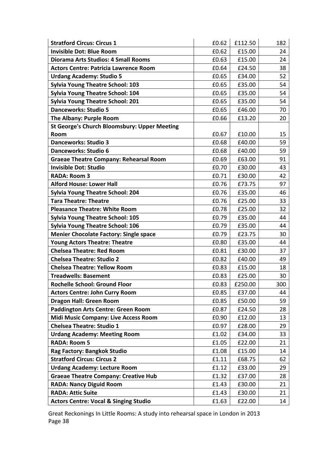| <b>Stratford Circus: Circus 1</b>                   | £0.62 | £112.50 | 182 |
|-----------------------------------------------------|-------|---------|-----|
| <b>Invisible Dot: Blue Room</b>                     | £0.62 | £15.00  | 24  |
| <b>Diorama Arts Studios: 4 Small Rooms</b>          | £0.63 | £15.00  | 24  |
| <b>Actors Centre: Patricia Lawrence Room</b>        | £0.64 | £24.50  | 38  |
| <b>Urdang Academy: Studio 5</b>                     | £0.65 | £34.00  | 52  |
| <b>Sylvia Young Theatre School: 103</b>             | £0.65 | £35.00  | 54  |
| <b>Sylvia Young Theatre School: 104</b>             | £0.65 | £35.00  | 54  |
| <b>Sylvia Young Theatre School: 201</b>             | £0.65 | £35.00  | 54  |
| <b>Danceworks: Studio 5</b>                         | £0.65 | £46.00  | 70  |
| The Albany: Purple Room                             | £0.66 | £13.20  | 20  |
| <b>St George's Church Bloomsbury: Upper Meeting</b> |       |         |     |
| Room                                                | £0.67 | £10.00  | 15  |
| <b>Danceworks: Studio 3</b>                         | £0.68 | £40.00  | 59  |
| <b>Danceworks: Studio 6</b>                         | £0.68 | £40.00  | 59  |
| <b>Graeae Theatre Company: Rehearsal Room</b>       | £0.69 | £63.00  | 91  |
| <b>Invisible Dot: Studio</b>                        | £0.70 | £30.00  | 43  |
| <b>RADA: Room 3</b>                                 | £0.71 | £30.00  | 42  |
| <b>Alford House: Lower Hall</b>                     | £0.76 | £73.75  | 97  |
| <b>Sylvia Young Theatre School: 204</b>             | £0.76 | £35.00  | 46  |
| <b>Tara Theatre: Theatre</b>                        | £0.76 | £25.00  | 33  |
| <b>Pleasance Theatre: White Room</b>                | £0.78 | £25.00  | 32  |
| <b>Sylvia Young Theatre School: 105</b>             | £0.79 | £35.00  | 44  |
| <b>Sylvia Young Theatre School: 106</b>             | £0.79 | £35.00  | 44  |
| <b>Menier Chocolate Factory: Single space</b>       | £0.79 | £23.75  | 30  |
| <b>Young Actors Theatre: Theatre</b>                | £0.80 | £35.00  | 44  |
| <b>Chelsea Theatre: Red Room</b>                    | £0.81 | £30.00  | 37  |
| <b>Chelsea Theatre: Studio 2</b>                    | £0.82 | £40.00  | 49  |
| <b>Chelsea Theatre: Yellow Room</b>                 | £0.83 | £15.00  | 18  |
| <b>Treadwells: Basement</b>                         | £0.83 | £25.00  | 30  |
| <b>Rochelle School: Ground Floor</b>                | £0.83 | £250.00 | 300 |
| <b>Actors Centre: John Curry Room</b>               | £0.85 | £37.00  | 44  |
| <b>Dragon Hall: Green Room</b>                      | £0.85 | £50.00  | 59  |
| Paddington Arts Centre: Green Room                  | £0.87 | £24.50  | 28  |
| <b>Midi Music Company: Live Access Room</b>         | £0.90 | £12.00  | 13  |
| <b>Chelsea Theatre: Studio 1</b>                    | £0.97 | £28.00  | 29  |
| <b>Urdang Academy: Meeting Room</b>                 | £1.02 | £34.00  | 33  |
| <b>RADA: Room 5</b>                                 | £1.05 | £22.00  | 21  |
| Rag Factory: Bangkok Studio                         | £1.08 | £15.00  | 14  |
| <b>Stratford Circus: Circus 2</b>                   | £1.11 | £68.75  | 62  |
| <b>Urdang Academy: Lecture Room</b>                 | £1.12 | £33.00  | 29  |
| <b>Graeae Theatre Company: Creative Hub</b>         | £1.32 | £37.00  | 28  |
| <b>RADA: Nancy Diguid Room</b>                      | £1.43 | £30.00  | 21  |
| <b>RADA: Attic Suite</b>                            | £1.43 | £30.00  | 21  |
| <b>Actors Centre: Vocal &amp; Singing Studio</b>    | £1.63 | £22.00  | 14  |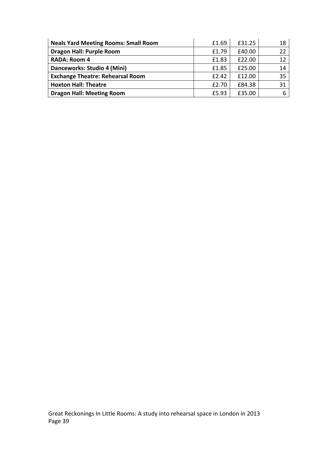| <b>Neals Yard Meeting Rooms: Small Room</b> | £1.69 | £31.25 | 18 |
|---------------------------------------------|-------|--------|----|
| <b>Dragon Hall: Purple Room</b>             | £1.79 | £40.00 |    |
| <b>RADA: Room 4</b>                         | £1.83 | £22.00 | 12 |
| Danceworks: Studio 4 (Mini)                 | £1.85 | £25.00 | 14 |
| <b>Exchange Theatre: Rehearsal Room</b>     | £2.42 | £12.00 | 35 |
| <b>Hoxton Hall: Theatre</b>                 | £2.70 | £84.38 | 31 |
| <b>Dragon Hall: Meeting Room</b>            | £5.93 | £35.00 |    |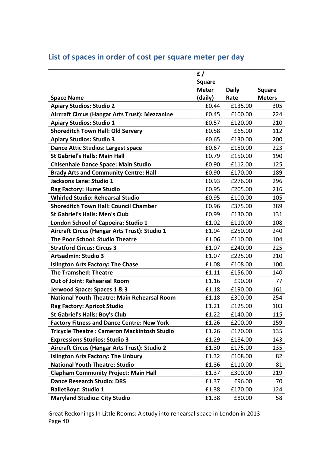|                                                    | f/<br><b>Square</b><br><b>Meter</b> | <b>Daily</b> | <b>Square</b> |
|----------------------------------------------------|-------------------------------------|--------------|---------------|
| <b>Space Name</b>                                  | (daily)                             | Rate         | <b>Meters</b> |
| <b>Apiary Studios: Studio 2</b>                    | £0.44                               | £135.00      | 305           |
| Aircraft Circus (Hangar Arts Trust): Mezzanine     | £0.45                               | £100.00      | 224           |
| <b>Apiary Studios: Studio 1</b>                    | £0.57                               | £120.00      | 210           |
| <b>Shoreditch Town Hall: Old Servery</b>           | £0.58                               | £65.00       | 112           |
| <b>Apiary Studios: Studio 3</b>                    | £0.65                               | £130.00      | 200           |
| <b>Dance Attic Studios: Largest space</b>          | £0.67                               | £150.00      | 223           |
| <b>St Gabriel's Halls: Main Hall</b>               | £0.79                               | £150.00      | 190           |
| <b>Chisenhale Dance Space: Main Studio</b>         | £0.90                               | £112.00      | 125           |
| <b>Brady Arts and Community Centre: Hall</b>       | £0.90                               | £170.00      | 189           |
| Jacksons Lane: Studio 1                            | £0.93                               | £276.00      | 296           |
| Rag Factory: Hume Studio                           | £0.95                               | £205.00      | 216           |
| <b>Whirled Studio: Rehearsal Studio</b>            | £0.95                               | £100.00      | 105           |
| <b>Shoreditch Town Hall: Council Chamber</b>       | £0.96                               | £375.00      | 389           |
| <b>St Gabriel's Halls: Men's Club</b>              | £0.99                               | £130.00      | 131           |
| London School of Capoeira: Studio 1                | £1.02                               | £110.00      | 108           |
| Aircraft Circus (Hangar Arts Trust): Studio 1      | £1.04                               | £250.00      | 240           |
| The Poor School: Studio Theatre                    | £1.06                               | £110.00      | 104           |
| <b>Stratford Circus: Circus 3</b>                  | £1.07                               | £240.00      | 225           |
| Artsadmin: Studio 3                                | £1.07                               | £225.00      | 210           |
| <b>Islington Arts Factory: The Chase</b>           | £1.08                               | £108.00      | 100           |
| <b>The Tramshed: Theatre</b>                       | £1.11                               | £156.00      | 140           |
| <b>Out of Joint: Rehearsal Room</b>                | £1.16                               | £90.00       | 77            |
| Jerwood Space: Spaces 1 & 3                        | £1.18                               | £190.00      | 161           |
| <b>National Youth Theatre: Main Rehearsal Room</b> | £1.18                               | £300.00      | 254           |
| <b>Rag Factory: Apricot Studio</b>                 | £1.21                               | £125.00      | 103           |
| <b>St Gabriel's Halls: Boy's Club</b>              | £1.22                               | £140.00      | 115           |
| <b>Factory Fitness and Dance Centre: New York</b>  | £1.26                               | £200.00      | 159           |
| <b>Tricycle Theatre: Cameron Mackintosh Studio</b> | £1.26                               | £170.00      | 135           |
| <b>Expressions Studios: Studio 3</b>               | £1.29                               | £184.00      | 143           |
| Aircraft Circus (Hangar Arts Trust): Studio 2      | £1.30                               | £175.00      | 135           |
| <b>Islington Arts Factory: The Linbury</b>         | £1.32                               | £108.00      | 82            |
| <b>National Youth Theatre: Studio</b>              | £1.36                               | £110.00      | 81            |
| <b>Clapham Community Project: Main Hall</b>        | £1.37                               | £300.00      | 219           |
| <b>Dance Research Studio: DRS</b>                  | £1.37                               | £96.00       | 70            |
| <b>BalletBoyz: Studio 1</b>                        | £1.38                               | £170.00      | 124           |
| <b>Maryland Studioz: City Studio</b>               | £1.38                               | £80.00       | 58            |

# List of spaces in order of cost per square meter per day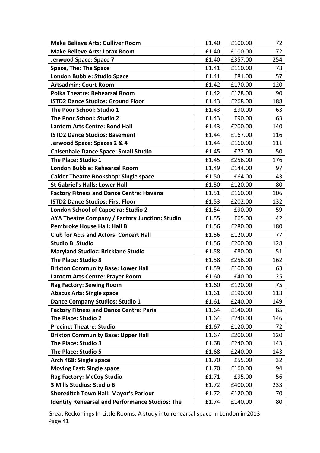| <b>Make Believe Arts: Gulliver Room</b>                | £1.40 | £100.00 | 72  |
|--------------------------------------------------------|-------|---------|-----|
| <b>Make Believe Arts: Lorax Room</b>                   | £1.40 | £100.00 | 72  |
| Jerwood Space: Space 7                                 | £1.40 | £357.00 | 254 |
| <b>Space, The: The Space</b>                           | £1.41 | £110.00 | 78  |
| London Bubble: Studio Space                            | £1.41 | £81.00  | 57  |
| <b>Artsadmin: Court Room</b>                           | £1.42 | £170.00 | 120 |
| <b>Polka Theatre: Rehearsal Room</b>                   | £1.42 | £128.00 | 90  |
| <b>ISTD2 Dance Studios: Ground Floor</b>               | £1.43 | £268.00 | 188 |
| The Poor School: Studio 1                              | £1.43 | £90.00  | 63  |
| The Poor School: Studio 2                              | £1.43 | £90.00  | 63  |
| <b>Lantern Arts Centre: Bond Hall</b>                  | £1.43 | £200.00 | 140 |
| <b>ISTD2 Dance Studios: Basement</b>                   | £1.44 | £167.00 | 116 |
| Jerwood Space: Spaces 2 & 4                            | £1.44 | £160.00 | 111 |
| <b>Chisenhale Dance Space: Small Studio</b>            | £1.45 | £72.00  | 50  |
| The Place: Studio 1                                    | £1.45 | £256.00 | 176 |
| <b>London Bubble: Rehearsal Room</b>                   | £1.49 | £144.00 | 97  |
| <b>Calder Theatre Bookshop: Single space</b>           | £1.50 | £64.00  | 43  |
| <b>St Gabriel's Halls: Lower Hall</b>                  | £1.50 | £120.00 | 80  |
| <b>Factory Fitness and Dance Centre: Havana</b>        | £1.51 | £160.00 | 106 |
| <b>ISTD2 Dance Studios: First Floor</b>                | £1.53 | £202.00 | 132 |
| <b>London School of Capoeira: Studio 2</b>             | £1.54 | £90.00  | 59  |
| AYA Theatre Company / Factory Junction: Studio         | £1.55 | £65.00  | 42  |
| <b>Pembroke House Hall: Hall B</b>                     | £1.56 | £280.00 | 180 |
| <b>Club for Acts and Actors: Concert Hall</b>          | £1.56 | £120.00 | 77  |
| <b>Studio B: Studio</b>                                | £1.56 | £200.00 | 128 |
| <b>Maryland Studioz: Bricklane Studio</b>              | £1.58 | £80.00  | 51  |
| The Place: Studio 8                                    | £1.58 | £256.00 | 162 |
| <b>Brixton Community Base: Lower Hall</b>              | £1.59 | £100.00 | 63  |
| Lantern Arts Centre: Prayer Room                       | £1.60 | £40.00  | 25  |
| <b>Rag Factory: Sewing Room</b>                        | £1.60 | £120.00 | 75  |
| <b>Abacus Arts: Single space</b>                       | £1.61 | £190.00 | 118 |
| <b>Dance Company Studios: Studio 1</b>                 | £1.61 | £240.00 | 149 |
| <b>Factory Fitness and Dance Centre: Paris</b>         | £1.64 | £140.00 | 85  |
| The Place: Studio 2                                    | £1.64 | £240.00 | 146 |
| <b>Precinct Theatre: Studio</b>                        | £1.67 | £120.00 | 72  |
| <b>Brixton Community Base: Upper Hall</b>              | £1.67 | £200.00 | 120 |
| The Place: Studio 3                                    | £1.68 | £240.00 | 143 |
| The Place: Studio 5                                    | £1.68 | £240.00 | 143 |
| Arch 468: Single space                                 | £1.70 | £55.00  | 32  |
| <b>Moving East: Single space</b>                       | £1.70 | £160.00 | 94  |
| <b>Rag Factory: McCoy Studio</b>                       | £1.71 | £95.00  | 56  |
| 3 Mills Studios: Studio 6                              | £1.72 | £400.00 | 233 |
| <b>Shoreditch Town Hall: Mayor's Parlour</b>           | £1.72 | £120.00 | 70  |
| <b>Identity Rehearsal and Performance Studios: The</b> | £1.74 | £140.00 | 80  |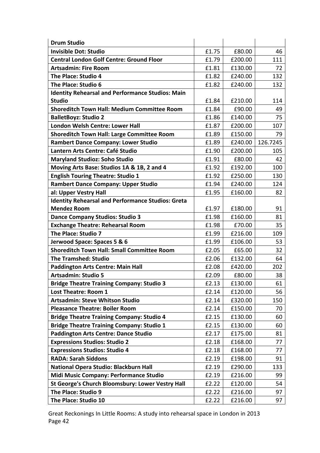| <b>Drum Studio</b>                                       |       |         |          |
|----------------------------------------------------------|-------|---------|----------|
| <b>Invisible Dot: Studio</b>                             | £1.75 | £80.00  | 46       |
| <b>Central London Golf Centre: Ground Floor</b>          | £1.79 | £200.00 | 111      |
| <b>Artsadmin: Fire Room</b>                              | £1.81 | £130.00 | 72       |
| The Place: Studio 4                                      | £1.82 | £240.00 | 132      |
| The Place: Studio 6                                      | £1.82 | £240.00 | 132      |
| <b>Identity Rehearsal and Performance Studios: Main</b>  |       |         |          |
| <b>Studio</b>                                            | £1.84 | £210.00 | 114      |
| <b>Shoreditch Town Hall: Medium Committee Room</b>       | £1.84 | £90.00  | 49       |
| <b>BalletBoyz: Studio 2</b>                              | £1.86 | £140.00 | 75       |
| <b>London Welsh Centre: Lower Hall</b>                   | £1.87 | £200.00 | 107      |
| <b>Shoreditch Town Hall: Large Committee Room</b>        | £1.89 | £150.00 | 79       |
| <b>Rambert Dance Company: Lower Studio</b>               | £1.89 | £240.00 | 126.7245 |
| Lantern Arts Centre: Café Studio                         | £1.90 | £200.00 | 105      |
| <b>Maryland Studioz: Soho Studio</b>                     | £1.91 | £80.00  | 42       |
| Moving Arts Base: Studios 1A & 1B, 2 and 4               | £1.92 | £192.00 | 100      |
| <b>English Touring Theatre: Studio 1</b>                 | £1.92 | £250.00 | 130      |
| <b>Rambert Dance Company: Upper Studio</b>               | £1.94 | £240.00 | 124      |
| al: Upper Vestry Hall                                    | £1.95 | £160.00 | 82       |
| <b>Identity Rehearsal and Performance Studios: Greta</b> |       |         |          |
| <b>Mendez Room</b>                                       | £1.97 | £180.00 | 91       |
| <b>Dance Company Studios: Studio 3</b>                   | £1.98 | £160.00 | 81       |
| <b>Exchange Theatre: Rehearsal Room</b>                  | £1.98 | £70.00  | 35       |
| The Place: Studio 7                                      | £1.99 | £216.00 | 109      |
| Jerwood Space: Spaces 5 & 6                              | £1.99 | £106.00 | 53       |
| <b>Shoreditch Town Hall: Small Committee Room</b>        | £2.05 | £65.00  | 32       |
| <b>The Tramshed: Studio</b>                              | £2.06 | £132.00 | 64       |
| <b>Paddington Arts Centre: Main Hall</b>                 | £2.08 | £420.00 | 202      |
| <b>Artsadmin: Studio 5</b>                               | £2.09 | £80.00  | 38       |
| <b>Bridge Theatre Training Company: Studio 3</b>         | £2.13 | £130.00 | 61       |
| <b>Lost Theatre: Room 1</b>                              | £2.14 | £120.00 | 56       |
| <b>Artsadmin: Steve Whitson Studio</b>                   | £2.14 | £320.00 | 150      |
| <b>Pleasance Theatre: Boiler Room</b>                    | £2.14 | £150.00 | 70       |
| <b>Bridge Theatre Training Company: Studio 4</b>         | £2.15 | £130.00 | 60       |
| <b>Bridge Theatre Training Company: Studio 1</b>         | £2.15 | £130.00 | 60       |
| <b>Paddington Arts Centre: Dance Studio</b>              | £2.17 | £175.00 | 81       |
| <b>Expressions Studios: Studio 2</b>                     | £2.18 | £168.00 | 77       |
| <b>Expressions Studios: Studio 4</b>                     | £2.18 | £168.00 | 77       |
| <b>RADA: Sarah Siddons</b>                               | £2.19 | £198.00 | 91       |
| National Opera Studio: Blackburn Hall                    | £2.19 | £290.00 | 133      |
| Midi Music Company: Performance Studio                   | £2.19 | £216.00 | 99       |
| St George's Church Bloomsbury: Lower Vestry Hall         | £2.22 | £120.00 | 54       |
| The Place: Studio 9                                      | £2.22 | £216.00 | 97       |
| The Place: Studio 10                                     | £2.22 | £216.00 | 97       |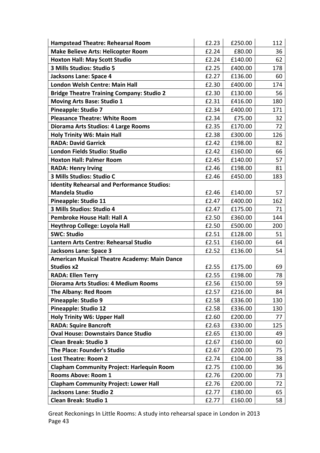| <b>Hampstead Theatre: Rehearsal Room</b>            | £2.23 | £250.00 | 112 |
|-----------------------------------------------------|-------|---------|-----|
| <b>Make Believe Arts: Helicopter Room</b>           | £2.24 | £80.00  | 36  |
| <b>Hoxton Hall: May Scott Studio</b>                | £2.24 | £140.00 | 62  |
| 3 Mills Studios: Studio 5                           | £2.25 | £400.00 | 178 |
| <b>Jacksons Lane: Space 4</b>                       | £2.27 | £136.00 | 60  |
| London Welsh Centre: Main Hall                      | £2.30 | £400.00 | 174 |
| <b>Bridge Theatre Training Company: Studio 2</b>    | £2.30 | £130.00 | 56  |
| <b>Moving Arts Base: Studio 1</b>                   | £2.31 | £416.00 | 180 |
| <b>Pineapple: Studio 7</b>                          | £2.34 | £400.00 | 171 |
| <b>Pleasance Theatre: White Room</b>                | £2.34 | £75.00  | 32  |
| Diorama Arts Studios: 4 Large Rooms                 | £2.35 | £170.00 | 72  |
| <b>Holy Trinity W6: Main Hall</b>                   | £2.38 | £300.00 | 126 |
| <b>RADA: David Garrick</b>                          | £2.42 | £198.00 | 82  |
| London Fields Studio: Studio                        | £2.42 | £160.00 | 66  |
| <b>Hoxton Hall: Palmer Room</b>                     | £2.45 | £140.00 | 57  |
| <b>RADA: Henry Irving</b>                           | £2.46 | £198.00 | 81  |
| 3 Mills Studios: Studio C                           | £2.46 | £450.00 | 183 |
| <b>Identity Rehearsal and Performance Studios:</b>  |       |         |     |
| <b>Mandela Studio</b>                               | £2.46 | £140.00 | 57  |
| Pineapple: Studio 11                                | £2.47 | £400.00 | 162 |
| 3 Mills Studios: Studio 4                           | £2.47 | £175.00 | 71  |
| <b>Pembroke House Hall: Hall A</b>                  | £2.50 | £360.00 | 144 |
| <b>Heythrop College: Loyola Hall</b>                | £2.50 | £500.00 | 200 |
| <b>SWC: Studio</b>                                  | £2.51 | £128.00 | 51  |
| Lantern Arts Centre: Rehearsal Studio               | £2.51 | £160.00 | 64  |
| <b>Jacksons Lane: Space 3</b>                       | £2.52 | £136.00 | 54  |
| <b>American Musical Theatre Academy: Main Dance</b> |       |         |     |
| <b>Studios x2</b>                                   | £2.55 | £175.00 | 69  |
| <b>RADA: Ellen Terry</b>                            | £2.55 | £198.00 | 78  |
| Diorama Arts Studios: 4 Medium Rooms                | £2.56 | £150.00 | 59  |
| The Albany: Red Room                                | £2.57 | £216.00 | 84  |
| <b>Pineapple: Studio 9</b>                          | £2.58 | £336.00 | 130 |
| <b>Pineapple: Studio 12</b>                         | £2.58 | £336.00 | 130 |
| <b>Holy Trinity W6: Upper Hall</b>                  | £2.60 | £200.00 | 77  |
| <b>RADA: Squire Bancroft</b>                        | £2.63 | £330.00 | 125 |
| <b>Oval House: Downstairs Dance Studio</b>          | £2.65 | £130.00 | 49  |
| <b>Clean Break: Studio 3</b>                        | £2.67 | £160.00 | 60  |
| The Place: Founder's Studio                         | £2.67 | £200.00 | 75  |
| <b>Lost Theatre: Room 2</b>                         | £2.74 | £104.00 | 38  |
| <b>Clapham Community Project: Harlequin Room</b>    | £2.75 | £100.00 | 36  |
| <b>Rooms Above: Room 1</b>                          | £2.76 | £200.00 | 73  |
| <b>Clapham Community Project: Lower Hall</b>        | £2.76 | £200.00 | 72  |
| <b>Jacksons Lane: Studio 2</b>                      | £2.77 | £180.00 | 65  |
| <b>Clean Break: Studio 1</b>                        | £2.77 | £160.00 | 58  |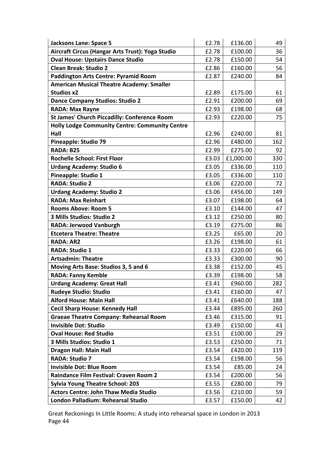| <b>Jacksons Lane: Space 5</b>                         | £2.78 | £136.00   | 49  |
|-------------------------------------------------------|-------|-----------|-----|
| Aircraft Circus (Hangar Arts Trust): Yoga Studio      | £2.78 | £100.00   | 36  |
| <b>Oval House: Upstairs Dance Studio</b>              | £2.78 | £150.00   | 54  |
| <b>Clean Break: Studio 2</b>                          | £2.86 | £160.00   | 56  |
| <b>Paddington Arts Centre: Pyramid Room</b>           | £2.87 | £240.00   | 84  |
| <b>American Musical Theatre Academy: Smaller</b>      |       |           |     |
| <b>Studios x2</b>                                     | £2.89 | £175.00   | 61  |
| <b>Dance Company Studios: Studio 2</b>                | £2.91 | £200.00   | 69  |
| <b>RADA: Max Rayne</b>                                | £2.93 | £198.00   | 68  |
| <b>St James' Church Piccadilly: Conference Room</b>   | £2.93 | £220.00   | 75  |
| <b>Holly Lodge Community Centre: Community Centre</b> |       |           |     |
| Hall                                                  | £2.96 | £240.00   | 81  |
| <b>Pineapple: Studio 79</b>                           | £2.96 | £480.00   | 162 |
| RADA: B25                                             | £2.99 | £275.00   | 92  |
| <b>Rochelle School: First Floor</b>                   | £3.03 | £1,000.00 | 330 |
| <b>Urdang Academy: Studio 6</b>                       | £3.05 | £336.00   | 110 |
| <b>Pineapple: Studio 1</b>                            | £3.05 | £336.00   | 110 |
| <b>RADA: Studio 2</b>                                 | £3.06 | £220.00   | 72  |
| <b>Urdang Academy: Studio 2</b>                       | £3.06 | £456.00   | 149 |
| <b>RADA: Max Reinhart</b>                             | £3.07 | £198.00   | 64  |
| <b>Rooms Above: Room 5</b>                            | £3.10 | £144.00   | 47  |
| 3 Mills Studios: Studio 2                             | £3.12 | £250.00   | 80  |
| <b>RADA: Jerwood Vanburgh</b>                         | £3.19 | £275.00   | 86  |
| <b>Etcetera Theatre: Theatre</b>                      | £3.25 | £65.00    | 20  |
| <b>RADA: AR2</b>                                      | £3.26 | £198.00   | 61  |
| <b>RADA: Studio 1</b>                                 | £3.33 | £220.00   | 66  |
| <b>Artsadmin: Theatre</b>                             | £3.33 | £300.00   | 90  |
| Moving Arts Base: Studios 3, 5 and 6                  | £3.38 | £152.00   | 45  |
| <b>RADA: Fanny Kemble</b>                             | £3.39 | £198.00   | 58  |
| <b>Urdang Academy: Great Hall</b>                     | £3.41 | £960.00   | 282 |
| <b>Rudeye Studio: Studio</b>                          | £3.41 | £160.00   | 47  |
| <b>Alford House: Main Hall</b>                        | £3.41 | £640.00   | 188 |
| <b>Cecil Sharp House: Kennedy Hall</b>                | £3.44 | £895.00   | 260 |
| <b>Graeae Theatre Company: Rehearsal Room</b>         | £3.46 | £315.00   | 91  |
| <b>Invisible Dot: Studio</b>                          | £3.49 | £150.00   | 43  |
| <b>Oval House: Red Studio</b>                         | £3.51 | £100.00   | 29  |
| 3 Mills Studios: Studio 1                             | £3.53 | £250.00   | 71  |
| <b>Dragon Hall: Main Hall</b>                         | £3.54 | £420.00   | 119 |
| <b>RADA: Studio 7</b>                                 | £3.54 | £198.00   | 56  |
| <b>Invisible Dot: Blue Room</b>                       | £3.54 | £85.00    | 24  |
| <b>Raindance Film Festival: Craven Room 2</b>         | £3.54 | £200.00   | 56  |
| <b>Sylvia Young Theatre School: 203</b>               | £3.55 | £280.00   | 79  |
| <b>Actors Centre: John Thaw Media Studio</b>          | £3.56 | £210.00   | 59  |
| London Palladium: Rehearsal Studio                    | £3.57 | £150.00   | 42  |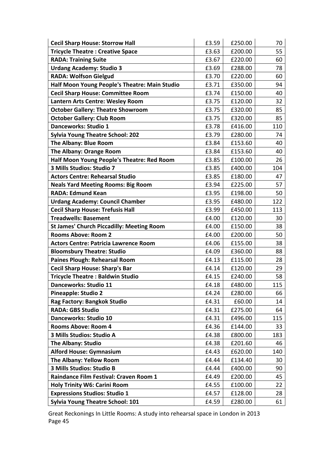| <b>Cecil Sharp House: Storrow Hall</b>           | £3.59 | £250.00 | 70  |
|--------------------------------------------------|-------|---------|-----|
| <b>Tricycle Theatre: Creative Space</b>          | £3.63 | £200.00 | 55  |
| <b>RADA: Training Suite</b>                      | £3.67 | £220.00 | 60  |
| <b>Urdang Academy: Studio 3</b>                  | £3.69 | £288.00 | 78  |
| <b>RADA: Wolfson Gielgud</b>                     | £3.70 | £220.00 | 60  |
| Half Moon Young People's Theatre: Main Studio    | £3.71 | £350.00 | 94  |
| <b>Cecil Sharp House: Committee Room</b>         | £3.74 | £150.00 | 40  |
| Lantern Arts Centre: Wesley Room                 | £3.75 | £120.00 | 32  |
| <b>October Gallery: Theatre Showroom</b>         | £3.75 | £320.00 | 85  |
| <b>October Gallery: Club Room</b>                | £3.75 | £320.00 | 85  |
| Danceworks: Studio 1                             | £3.78 | £416.00 | 110 |
| <b>Sylvia Young Theatre School: 202</b>          | £3.79 | £280.00 | 74  |
| The Albany: Blue Room                            | £3.84 | £153.60 | 40  |
| <b>The Albany: Orange Room</b>                   | £3.84 | £153.60 | 40  |
| Half Moon Young People's Theatre: Red Room       | £3.85 | £100.00 | 26  |
| 3 Mills Studios: Studio 7                        | £3.85 | £400.00 | 104 |
| <b>Actors Centre: Rehearsal Studio</b>           | £3.85 | £180.00 | 47  |
| <b>Neals Yard Meeting Rooms: Big Room</b>        | £3.94 | £225.00 | 57  |
| <b>RADA: Edmund Kean</b>                         | £3.95 | £198.00 | 50  |
| <b>Urdang Academy: Council Chamber</b>           | £3.95 | £480.00 | 122 |
| <b>Cecil Sharp House: Trefusis Hall</b>          | £3.99 | £450.00 | 113 |
| <b>Treadwells: Basement</b>                      | £4.00 | £120.00 | 30  |
| <b>St James' Church Piccadilly: Meeting Room</b> | £4.00 | £150.00 | 38  |
| <b>Rooms Above: Room 2</b>                       | £4.00 | £200.00 | 50  |
| <b>Actors Centre: Patricia Lawrence Room</b>     | £4.06 | £155.00 | 38  |
| <b>Bloomsbury Theatre: Studio</b>                | £4.09 | £360.00 | 88  |
| <b>Paines Plough: Rehearsal Room</b>             | £4.13 | £115.00 | 28  |
| <b>Cecil Sharp House: Sharp's Bar</b>            | £4.14 | £120.00 | 29  |
| <b>Tricycle Theatre: Baldwin Studio</b>          | £4.15 | £240.00 | 58  |
| <b>Danceworks: Studio 11</b>                     | £4.18 | £480.00 | 115 |
| <b>Pineapple: Studio 2</b>                       | £4.24 | £280.00 | 66  |
| Rag Factory: Bangkok Studio                      | £4.31 | £60.00  | 14  |
| <b>RADA: GBS Studio</b>                          | £4.31 | £275.00 | 64  |
| <b>Danceworks: Studio 10</b>                     | £4.31 | £496.00 | 115 |
| <b>Rooms Above: Room 4</b>                       | £4.36 | £144.00 | 33  |
| 3 Mills Studios: Studio A                        | £4.38 | £800.00 | 183 |
| <b>The Albany: Studio</b>                        | £4.38 | £201.60 | 46  |
| <b>Alford House: Gymnasium</b>                   | £4.43 | £620.00 | 140 |
| The Albany: Yellow Room                          | £4.44 | £134.40 | 30  |
| 3 Mills Studios: Studio B                        | £4.44 | £400.00 | 90  |
| Raindance Film Festival: Craven Room 1           | £4.49 | £200.00 | 45  |
| <b>Holy Trinity W6: Carini Room</b>              | £4.55 | £100.00 | 22  |
| <b>Expressions Studios: Studio 1</b>             | £4.57 | £128.00 | 28  |
| <b>Sylvia Young Theatre School: 101</b>          | £4.59 | £280.00 | 61  |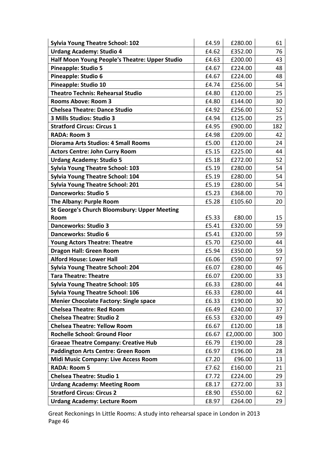| <b>Sylvia Young Theatre School: 102</b>             | £4.59 | £280.00   | 61  |
|-----------------------------------------------------|-------|-----------|-----|
| <b>Urdang Academy: Studio 4</b>                     | £4.62 | £352.00   | 76  |
| Half Moon Young People's Theatre: Upper Studio      | £4.63 | £200.00   | 43  |
| <b>Pineapple: Studio 5</b>                          | £4.67 | £224.00   | 48  |
| Pineapple: Studio 6                                 | £4.67 | £224.00   | 48  |
| Pineapple: Studio 10                                | £4.74 | £256.00   | 54  |
| <b>Theatro Technis: Rehearsal Studio</b>            | £4.80 | £120.00   | 25  |
| <b>Rooms Above: Room 3</b>                          | £4.80 | £144.00   | 30  |
| <b>Chelsea Theatre: Dance Studio</b>                | £4.92 | £256.00   | 52  |
| 3 Mills Studios: Studio 3                           | £4.94 | £125.00   | 25  |
| <b>Stratford Circus: Circus 1</b>                   | £4.95 | £900.00   | 182 |
| <b>RADA: Room 3</b>                                 | £4.98 | £209.00   | 42  |
| <b>Diorama Arts Studios: 4 Small Rooms</b>          | £5.00 | £120.00   | 24  |
| <b>Actors Centre: John Curry Room</b>               | £5.15 | £225.00   | 44  |
| <b>Urdang Academy: Studio 5</b>                     | £5.18 | £272.00   | 52  |
| <b>Sylvia Young Theatre School: 103</b>             | £5.19 | £280.00   | 54  |
| <b>Sylvia Young Theatre School: 104</b>             | £5.19 | £280.00   | 54  |
| <b>Sylvia Young Theatre School: 201</b>             | £5.19 | £280.00   | 54  |
| <b>Danceworks: Studio 5</b>                         | £5.23 | £368.00   | 70  |
| The Albany: Purple Room                             | £5.28 | £105.60   | 20  |
| <b>St George's Church Bloomsbury: Upper Meeting</b> |       |           |     |
| Room                                                | £5.33 | £80.00    | 15  |
| <b>Danceworks: Studio 3</b>                         | £5.41 | £320.00   | 59  |
| <b>Danceworks: Studio 6</b>                         | £5.41 | £320.00   | 59  |
| <b>Young Actors Theatre: Theatre</b>                | £5.70 | £250.00   | 44  |
| <b>Dragon Hall: Green Room</b>                      | £5.94 | £350.00   | 59  |
| <b>Alford House: Lower Hall</b>                     | £6.06 | £590.00   | 97  |
| <b>Sylvia Young Theatre School: 204</b>             | £6.07 | £280.00   | 46  |
| <b>Tara Theatre: Theatre</b>                        | £6.07 | £200.00   | 33  |
| <b>Sylvia Young Theatre School: 105</b>             | £6.33 | £280.00   | 44  |
| <b>Sylvia Young Theatre School: 106</b>             | £6.33 | £280.00   | 44  |
| <b>Menier Chocolate Factory: Single space</b>       | £6.33 | £190.00   | 30  |
| <b>Chelsea Theatre: Red Room</b>                    | £6.49 | £240.00   | 37  |
| <b>Chelsea Theatre: Studio 2</b>                    | £6.53 | £320.00   | 49  |
| <b>Chelsea Theatre: Yellow Room</b>                 | £6.67 | £120.00   | 18  |
| <b>Rochelle School: Ground Floor</b>                | £6.67 | £2,000.00 | 300 |
| <b>Graeae Theatre Company: Creative Hub</b>         | £6.79 | £190.00   | 28  |
| <b>Paddington Arts Centre: Green Room</b>           | £6.97 | £196.00   | 28  |
| <b>Midi Music Company: Live Access Room</b>         | £7.20 | £96.00    | 13  |
| <b>RADA: Room 5</b>                                 | £7.62 | £160.00   | 21  |
| <b>Chelsea Theatre: Studio 1</b>                    | £7.72 | £224.00   | 29  |
| <b>Urdang Academy: Meeting Room</b>                 | £8.17 | £272.00   | 33  |
| <b>Stratford Circus: Circus 2</b>                   | £8.90 | £550.00   | 62  |
| <b>Urdang Academy: Lecture Room</b>                 | £8.97 | £264.00   | 29  |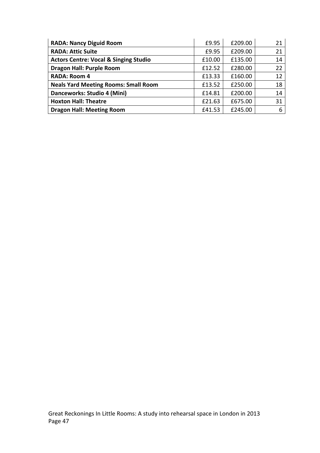| £9.95<br>£209.00<br><b>RADA: Nancy Diguid Room</b>                    |    |
|-----------------------------------------------------------------------|----|
| <b>RADA: Attic Suite</b><br>£209.00<br>£9.95                          | 21 |
| <b>Actors Centre: Vocal &amp; Singing Studio</b><br>£135.00<br>£10.00 | 14 |
| <b>Dragon Hall: Purple Room</b><br>£12.52<br>£280.00                  | 22 |
| <b>RADA: Room 4</b><br>£160.00<br>£13.33                              | 12 |
| <b>Neals Yard Meeting Rooms: Small Room</b><br>£13.52<br>£250.00      | 18 |
| Danceworks: Studio 4 (Mini)<br>£200.00<br>£14.81                      | 14 |
| <b>Hoxton Hall: Theatre</b><br>£675.00<br>£21.63                      | 31 |
| <b>Dragon Hall: Meeting Room</b><br>£245.00<br>£41.53                 | 6  |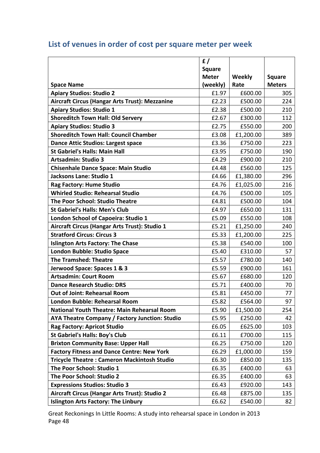|                                                       | f/            |               |               |
|-------------------------------------------------------|---------------|---------------|---------------|
|                                                       | <b>Square</b> |               |               |
|                                                       | <b>Meter</b>  | <b>Weekly</b> | <b>Square</b> |
| <b>Space Name</b>                                     | (weekly)      | Rate          | <b>Meters</b> |
| <b>Apiary Studios: Studio 2</b>                       | £1.97         | £600.00       | 305           |
| <b>Aircraft Circus (Hangar Arts Trust): Mezzanine</b> | £2.23         | £500.00       | 224           |
| <b>Apiary Studios: Studio 1</b>                       | £2.38         | £500.00       | 210           |
| <b>Shoreditch Town Hall: Old Servery</b>              | £2.67         | £300.00       | 112           |
| <b>Apiary Studios: Studio 3</b>                       | £2.75         | £550.00       | 200           |
| <b>Shoreditch Town Hall: Council Chamber</b>          | £3.08         | £1,200.00     | 389           |
| <b>Dance Attic Studios: Largest space</b>             | £3.36         | £750.00       | 223           |
| <b>St Gabriel's Halls: Main Hall</b>                  | £3.95         | £750.00       | 190           |
| <b>Artsadmin: Studio 3</b>                            | £4.29         | £900.00       | 210           |
| <b>Chisenhale Dance Space: Main Studio</b>            | £4.48         | £560.00       | 125           |
| Jacksons Lane: Studio 1                               | £4.66         | £1,380.00     | 296           |
| <b>Rag Factory: Hume Studio</b>                       | £4.76         | £1,025.00     | 216           |
| <b>Whirled Studio: Rehearsal Studio</b>               | £4.76         | £500.00       | 105           |
| The Poor School: Studio Theatre                       | £4.81         | £500.00       | 104           |
| <b>St Gabriel's Halls: Men's Club</b>                 | £4.97         | £650.00       | 131           |
| London School of Capoeira: Studio 1                   | £5.09         | £550.00       | 108           |
| Aircraft Circus (Hangar Arts Trust): Studio 1         | £5.21         | £1,250.00     | 240           |
| <b>Stratford Circus: Circus 3</b>                     | £5.33         | £1,200.00     | 225           |
| <b>Islington Arts Factory: The Chase</b>              | £5.38         | £540.00       | 100           |
| <b>London Bubble: Studio Space</b>                    | £5.40         | £310.00       | 57            |
| <b>The Tramshed: Theatre</b>                          | £5.57         | £780.00       | 140           |
| Jerwood Space: Spaces 1 & 3                           | £5.59         | £900.00       | 161           |
| <b>Artsadmin: Court Room</b>                          | £5.67         | £680.00       | 120           |
| <b>Dance Research Studio: DRS</b>                     | £5.71         | £400.00       | 70            |
| <b>Out of Joint: Rehearsal Room</b>                   | £5.81         | £450.00       | 77            |
| <b>London Bubble: Rehearsal Room</b>                  | £5.82         | £564.00       | 97            |
| <b>National Youth Theatre: Main Rehearsal Room</b>    | £5.90         | £1,500.00     | 254           |
| AYA Theatre Company / Factory Junction: Studio        | £5.95         | £250.00       | 42            |
| <b>Rag Factory: Apricot Studio</b>                    | £6.05         | £625.00       | 103           |
| <b>St Gabriel's Halls: Boy's Club</b>                 | £6.11         | £700.00       | 115           |
| <b>Brixton Community Base: Upper Hall</b>             | £6.25         | £750.00       | 120           |
| <b>Factory Fitness and Dance Centre: New York</b>     | £6.29         | £1,000.00     | 159           |
| <b>Tricycle Theatre: Cameron Mackintosh Studio</b>    | £6.30         | £850.00       | 135           |
| The Poor School: Studio 1                             | £6.35         | £400.00       | 63            |
| The Poor School: Studio 2                             | £6.35         | £400.00       | 63            |
| <b>Expressions Studios: Studio 3</b>                  | £6.43         | £920.00       | 143           |
| Aircraft Circus (Hangar Arts Trust): Studio 2         | £6.48         | £875.00       | 135           |
| <b>Islington Arts Factory: The Linbury</b>            | £6.62         | £540.00       | 82            |

# List of venues in order of cost per square meter per week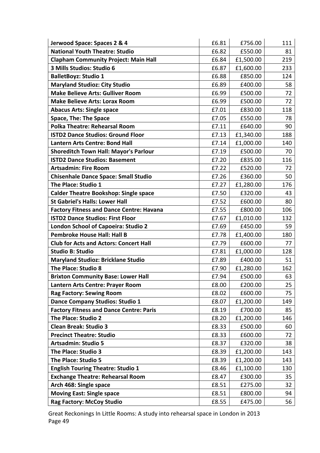| Jerwood Space: Spaces 2 & 4                     | £6.81 | £756.00   | 111 |
|-------------------------------------------------|-------|-----------|-----|
| <b>National Youth Theatre: Studio</b>           | £6.82 | £550.00   | 81  |
| <b>Clapham Community Project: Main Hall</b>     | £6.84 | £1,500.00 | 219 |
| 3 Mills Studios: Studio 6                       | £6.87 | £1,600.00 | 233 |
| <b>BalletBoyz: Studio 1</b>                     | £6.88 | £850.00   | 124 |
| <b>Maryland Studioz: City Studio</b>            | £6.89 | £400.00   | 58  |
| <b>Make Believe Arts: Gulliver Room</b>         | £6.99 | £500.00   | 72  |
| <b>Make Believe Arts: Lorax Room</b>            | £6.99 | £500.00   | 72  |
| <b>Abacus Arts: Single space</b>                | £7.01 | £830.00   | 118 |
| <b>Space, The: The Space</b>                    | £7.05 | £550.00   | 78  |
| <b>Polka Theatre: Rehearsal Room</b>            | £7.11 | £640.00   | 90  |
| <b>ISTD2 Dance Studios: Ground Floor</b>        | £7.13 | £1,340.00 | 188 |
| <b>Lantern Arts Centre: Bond Hall</b>           | £7.14 | £1,000.00 | 140 |
| <b>Shoreditch Town Hall: Mayor's Parlour</b>    | £7.19 | £500.00   | 70  |
| <b>ISTD2 Dance Studios: Basement</b>            | £7.20 | £835.00   | 116 |
| <b>Artsadmin: Fire Room</b>                     | £7.22 | £520.00   | 72  |
| <b>Chisenhale Dance Space: Small Studio</b>     | £7.26 | £360.00   | 50  |
| The Place: Studio 1                             | £7.27 | £1,280.00 | 176 |
| <b>Calder Theatre Bookshop: Single space</b>    | £7.50 | £320.00   | 43  |
| <b>St Gabriel's Halls: Lower Hall</b>           | £7.52 | £600.00   | 80  |
| <b>Factory Fitness and Dance Centre: Havana</b> | £7.55 | £800.00   | 106 |
| <b>ISTD2 Dance Studios: First Floor</b>         | £7.67 | £1,010.00 | 132 |
| London School of Capoeira: Studio 2             | £7.69 | £450.00   | 59  |
| <b>Pembroke House Hall: Hall B</b>              | £7.78 | £1,400.00 | 180 |
| <b>Club for Acts and Actors: Concert Hall</b>   | £7.79 | £600.00   | 77  |
| <b>Studio B: Studio</b>                         | £7.81 | £1,000.00 | 128 |
| <b>Maryland Studioz: Bricklane Studio</b>       | £7.89 | £400.00   | 51  |
| <b>The Place: Studio 8</b>                      | £7.90 | £1,280.00 | 162 |
| <b>Brixton Community Base: Lower Hall</b>       | £7.94 | £500.00   | 63  |
| Lantern Arts Centre: Prayer Room                | £8.00 | £200.00   | 25  |
| <b>Rag Factory: Sewing Room</b>                 | £8.02 | £600.00   | 75  |
| <b>Dance Company Studios: Studio 1</b>          | £8.07 | £1,200.00 | 149 |
| <b>Factory Fitness and Dance Centre: Paris</b>  | £8.19 | £700.00   | 85  |
| The Place: Studio 2                             | £8.20 | £1,200.00 | 146 |
| <b>Clean Break: Studio 3</b>                    | £8.33 | £500.00   | 60  |
| <b>Precinct Theatre: Studio</b>                 | £8.33 | £600.00   | 72  |
| <b>Artsadmin: Studio 5</b>                      | £8.37 | £320.00   | 38  |
| The Place: Studio 3                             | £8.39 | £1,200.00 | 143 |
| The Place: Studio 5                             | £8.39 | £1,200.00 | 143 |
| <b>English Touring Theatre: Studio 1</b>        | £8.46 | £1,100.00 | 130 |
| <b>Exchange Theatre: Rehearsal Room</b>         | £8.47 | £300.00   | 35  |
| Arch 468: Single space                          | £8.51 | £275.00   | 32  |
| <b>Moving East: Single space</b>                | £8.51 | £800.00   | 94  |
| <b>Rag Factory: McCoy Studio</b>                | £8.55 | £475.00   | 56  |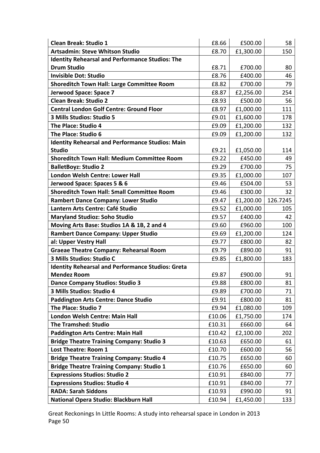| <b>Clean Break: Studio 1</b>                             | £8.66  | £500.00   | 58       |
|----------------------------------------------------------|--------|-----------|----------|
| <b>Artsadmin: Steve Whitson Studio</b>                   | £8.70  | £1,300.00 | 150      |
| <b>Identity Rehearsal and Performance Studios: The</b>   |        |           |          |
| <b>Drum Studio</b>                                       | £8.71  | £700.00   | 80       |
| <b>Invisible Dot: Studio</b>                             | £8.76  | £400.00   | 46       |
| <b>Shoreditch Town Hall: Large Committee Room</b>        | £8.82  | £700.00   | 79       |
| Jerwood Space: Space 7                                   | £8.87  | £2,256.00 | 254      |
| <b>Clean Break: Studio 2</b>                             | £8.93  | £500.00   | 56       |
| <b>Central London Golf Centre: Ground Floor</b>          | £8.97  | £1,000.00 | 111      |
| 3 Mills Studios: Studio 5                                | £9.01  | £1,600.00 | 178      |
| The Place: Studio 4                                      | £9.09  | £1,200.00 | 132      |
| The Place: Studio 6                                      | £9.09  | £1,200.00 | 132      |
| <b>Identity Rehearsal and Performance Studios: Main</b>  |        |           |          |
| <b>Studio</b>                                            | £9.21  | £1,050.00 | 114      |
| <b>Shoreditch Town Hall: Medium Committee Room</b>       | £9.22  | £450.00   | 49       |
| <b>BalletBoyz: Studio 2</b>                              | £9.29  | £700.00   | 75       |
| London Welsh Centre: Lower Hall                          | £9.35  | £1,000.00 | 107      |
| Jerwood Space: Spaces 5 & 6                              | £9.46  | £504.00   | 53       |
| <b>Shoreditch Town Hall: Small Committee Room</b>        | £9.46  | £300.00   | 32       |
| <b>Rambert Dance Company: Lower Studio</b>               | £9.47  | £1,200.00 | 126.7245 |
| Lantern Arts Centre: Café Studio                         | £9.52  | £1,000.00 | 105      |
| <b>Maryland Studioz: Soho Studio</b>                     | £9.57  | £400.00   | 42       |
| Moving Arts Base: Studios 1A & 1B, 2 and 4               | £9.60  | £960.00   | 100      |
| <b>Rambert Dance Company: Upper Studio</b>               | £9.69  | £1,200.00 | 124      |
| al: Upper Vestry Hall                                    | £9.77  | £800.00   | 82       |
| <b>Graeae Theatre Company: Rehearsal Room</b>            | £9.79  | £890.00   | 91       |
| 3 Mills Studios: Studio C                                | £9.85  | £1,800.00 | 183      |
| <b>Identity Rehearsal and Performance Studios: Greta</b> |        |           |          |
| <b>Mendez Room</b>                                       | £9.87  | £900.00   | 91       |
| <b>Dance Company Studios: Studio 3</b>                   | £9.88  | £800.00   | 81       |
| 3 Mills Studios: Studio 4                                | £9.89  | £700.00   | 71       |
| <b>Paddington Arts Centre: Dance Studio</b>              | £9.91  | £800.00   | 81       |
| The Place: Studio 7                                      | £9.94  | £1,080.00 | 109      |
| London Welsh Centre: Main Hall                           | £10.06 | £1,750.00 | 174      |
| <b>The Tramshed: Studio</b>                              | £10.31 | £660.00   | 64       |
| <b>Paddington Arts Centre: Main Hall</b>                 | £10.42 | £2,100.00 | 202      |
| <b>Bridge Theatre Training Company: Studio 3</b>         | £10.63 | £650.00   | 61       |
| <b>Lost Theatre: Room 1</b>                              | £10.70 | £600.00   | 56       |
| <b>Bridge Theatre Training Company: Studio 4</b>         | £10.75 | £650.00   | 60       |
| <b>Bridge Theatre Training Company: Studio 1</b>         | £10.76 | £650.00   | 60       |
| <b>Expressions Studios: Studio 2</b>                     | £10.91 | £840.00   | 77       |
| <b>Expressions Studios: Studio 4</b>                     | £10.91 | £840.00   | 77       |
| <b>RADA: Sarah Siddons</b>                               | £10.93 | £990.00   | 91       |
| National Opera Studio: Blackburn Hall                    | £10.94 | £1,450.00 | 133      |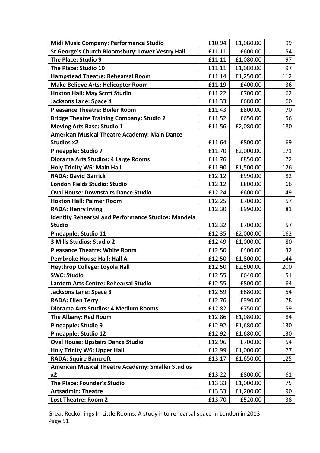| Midi Music Company: Performance Studio                     | £10.94 | £1,080.00 | 99  |
|------------------------------------------------------------|--------|-----------|-----|
| St George's Church Bloomsbury: Lower Vestry Hall           | £11.11 | £600.00   | 54  |
| The Place: Studio 9                                        | £11.11 | £1,080.00 | 97  |
| The Place: Studio 10                                       | £11.11 | £1,080.00 | 97  |
| <b>Hampstead Theatre: Rehearsal Room</b>                   | £11.14 | £1,250.00 | 112 |
| <b>Make Believe Arts: Helicopter Room</b>                  | £11.19 | £400.00   | 36  |
| <b>Hoxton Hall: May Scott Studio</b>                       | £11.22 | £700.00   | 62  |
| Jacksons Lane: Space 4                                     | £11.33 | £680.00   | 60  |
| <b>Pleasance Theatre: Boiler Room</b>                      | £11.43 | £800.00   | 70  |
| <b>Bridge Theatre Training Company: Studio 2</b>           | £11.52 | £650.00   | 56  |
| <b>Moving Arts Base: Studio 1</b>                          | £11.56 | £2,080.00 | 180 |
| American Musical Theatre Academy: Main Dance               |        |           |     |
| <b>Studios x2</b>                                          | £11.64 | £800.00   | 69  |
| <b>Pineapple: Studio 7</b>                                 | £11.70 | £2,000.00 | 171 |
| Diorama Arts Studios: 4 Large Rooms                        | £11.76 | £850.00   | 72  |
| <b>Holy Trinity W6: Main Hall</b>                          | £11.90 | £1,500.00 | 126 |
| <b>RADA: David Garrick</b>                                 | £12.12 | £990.00   | 82  |
| London Fields Studio: Studio                               | £12.12 | £800.00   | 66  |
| <b>Oval House: Downstairs Dance Studio</b>                 | £12.24 | £600.00   | 49  |
| <b>Hoxton Hall: Palmer Room</b>                            | £12.25 | £700.00   | 57  |
| <b>RADA: Henry Irving</b>                                  | £12.30 | £990.00   | 81  |
| <b>Identity Rehearsal and Performance Studios: Mandela</b> |        |           |     |
| <b>Studio</b>                                              | £12.32 | £700.00   | 57  |
| Pineapple: Studio 11                                       | £12.35 | £2,000.00 | 162 |
| 3 Mills Studios: Studio 2                                  | £12.49 | £1,000.00 | 80  |
| <b>Pleasance Theatre: White Room</b>                       | £12.50 | £400.00   | 32  |
| <b>Pembroke House Hall: Hall A</b>                         | £12.50 | £1,800.00 | 144 |
| <b>Heythrop College: Loyola Hall</b>                       | £12.50 | £2,500.00 | 200 |
| <b>SWC: Studio</b>                                         | £12.55 | £640.00   | 51  |
| Lantern Arts Centre: Rehearsal Studio                      | £12.55 | £800.00   | 64  |
| <b>Jacksons Lane: Space 3</b>                              | £12.59 | £680.00   | 54  |
| <b>RADA: Ellen Terry</b>                                   | £12.76 | £990.00   | 78  |
| Diorama Arts Studios: 4 Medium Rooms                       | £12.82 | £750.00   | 59  |
| <b>The Albany: Red Room</b>                                | £12.86 | £1,080.00 | 84  |
| Pineapple: Studio 9                                        | £12.92 | £1,680.00 | 130 |
| <b>Pineapple: Studio 12</b>                                | £12.92 | £1,680.00 | 130 |
| <b>Oval House: Upstairs Dance Studio</b>                   | £12.96 | £700.00   | 54  |
| <b>Holy Trinity W6: Upper Hall</b>                         | £12.99 | £1,000.00 | 77  |
| <b>RADA: Squire Bancroft</b>                               | £13.17 | £1,650.00 | 125 |
| <b>American Musical Theatre Academy: Smaller Studios</b>   |        |           |     |
| x2                                                         | £13.22 | £800.00   | 61  |
| The Place: Founder's Studio                                | £13.33 | £1,000.00 | 75  |
| <b>Artsadmin: Theatre</b>                                  | £13.33 | £1,200.00 | 90  |
| <b>Lost Theatre: Room 2</b>                                | £13.70 | £520.00   | 38  |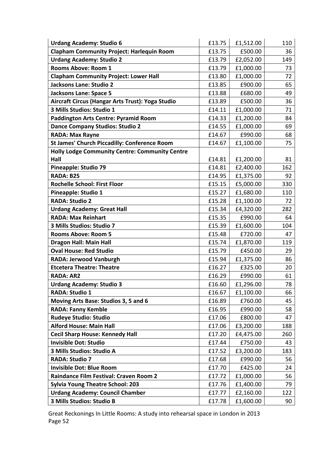| <b>Urdang Academy: Studio 6</b>                       | £13.75 | £1,512.00 | 110 |
|-------------------------------------------------------|--------|-----------|-----|
| <b>Clapham Community Project: Harlequin Room</b>      | £13.75 | £500.00   | 36  |
| <b>Urdang Academy: Studio 2</b>                       | £13.79 | £2,052.00 | 149 |
| <b>Rooms Above: Room 1</b>                            | £13.79 | £1,000.00 | 73  |
| <b>Clapham Community Project: Lower Hall</b>          | £13.80 | £1,000.00 | 72  |
| <b>Jacksons Lane: Studio 2</b>                        | £13.85 | £900.00   | 65  |
| <b>Jacksons Lane: Space 5</b>                         | £13.88 | £680.00   | 49  |
| Aircraft Circus (Hangar Arts Trust): Yoga Studio      | £13.89 | £500.00   | 36  |
| 3 Mills Studios: Studio 1                             | £14.11 | £1,000.00 | 71  |
| <b>Paddington Arts Centre: Pyramid Room</b>           | £14.33 | £1,200.00 | 84  |
| <b>Dance Company Studios: Studio 2</b>                | £14.55 | £1,000.00 | 69  |
| <b>RADA: Max Rayne</b>                                | £14.67 | £990.00   | 68  |
| <b>St James' Church Piccadilly: Conference Room</b>   | £14.67 | £1,100.00 | 75  |
| <b>Holly Lodge Community Centre: Community Centre</b> |        |           |     |
| Hall                                                  | £14.81 | £1,200.00 | 81  |
| <b>Pineapple: Studio 79</b>                           | £14.81 | £2,400.00 | 162 |
| RADA: B25                                             | £14.95 | £1,375.00 | 92  |
| <b>Rochelle School: First Floor</b>                   | £15.15 | £5,000.00 | 330 |
| Pineapple: Studio 1                                   | £15.27 | £1,680.00 | 110 |
| <b>RADA: Studio 2</b>                                 | £15.28 | £1,100.00 | 72  |
| <b>Urdang Academy: Great Hall</b>                     | £15.34 | £4,320.00 | 282 |
| <b>RADA: Max Reinhart</b>                             | £15.35 | £990.00   | 64  |
| 3 Mills Studios: Studio 7                             | £15.39 | £1,600.00 | 104 |
| <b>Rooms Above: Room 5</b>                            | £15.48 | £720.00   | 47  |
| <b>Dragon Hall: Main Hall</b>                         | £15.74 | £1,870.00 | 119 |
| <b>Oval House: Red Studio</b>                         | £15.79 | £450.00   | 29  |
| <b>RADA: Jerwood Vanburgh</b>                         | £15.94 | £1,375.00 | 86  |
| <b>Etcetera Theatre: Theatre</b>                      | £16.27 | £325.00   | 20  |
| <b>RADA: AR2</b>                                      | £16.29 | £990.00   | 61  |
| <b>Urdang Academy: Studio 3</b>                       | £16.60 | £1,296.00 | 78  |
| <b>RADA: Studio 1</b>                                 | £16.67 | £1,100.00 | 66  |
| Moving Arts Base: Studios 3, 5 and 6                  | £16.89 | £760.00   | 45  |
| <b>RADA: Fanny Kemble</b>                             | £16.95 | £990.00   | 58  |
| <b>Rudeye Studio: Studio</b>                          | £17.06 | £800.00   | 47  |
| <b>Alford House: Main Hall</b>                        | £17.06 | £3,200.00 | 188 |
| <b>Cecil Sharp House: Kennedy Hall</b>                | £17.20 | £4,475.00 | 260 |
| <b>Invisible Dot: Studio</b>                          | £17.44 | £750.00   | 43  |
| 3 Mills Studios: Studio A                             | £17.52 | £3,200.00 | 183 |
| <b>RADA: Studio 7</b>                                 | £17.68 | £990.00   | 56  |
| <b>Invisible Dot: Blue Room</b>                       | £17.70 | £425.00   | 24  |
| Raindance Film Festival: Craven Room 2                | £17.72 | £1,000.00 | 56  |
| <b>Sylvia Young Theatre School: 203</b>               | £17.76 | £1,400.00 | 79  |
| <b>Urdang Academy: Council Chamber</b>                | £17.77 | £2,160.00 | 122 |
| 3 Mills Studios: Studio B                             | £17.78 | £1,600.00 | 90  |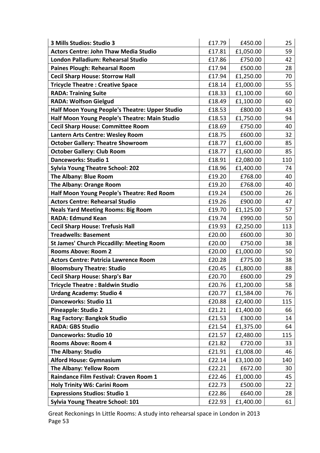| 3 Mills Studios: Studio 3                        | £17.79 | £450.00   | 25  |
|--------------------------------------------------|--------|-----------|-----|
| <b>Actors Centre: John Thaw Media Studio</b>     | £17.81 | £1,050.00 | 59  |
| London Palladium: Rehearsal Studio               | £17.86 | £750.00   | 42  |
| Paines Plough: Rehearsal Room                    | £17.94 | £500.00   | 28  |
| <b>Cecil Sharp House: Storrow Hall</b>           | £17.94 | £1,250.00 | 70  |
| <b>Tricycle Theatre: Creative Space</b>          | £18.14 | £1,000.00 | 55  |
| <b>RADA: Training Suite</b>                      | £18.33 | £1,100.00 | 60  |
| <b>RADA: Wolfson Gielgud</b>                     | £18.49 | £1,100.00 | 60  |
| Half Moon Young People's Theatre: Upper Studio   | £18.53 | £800.00   | 43  |
| Half Moon Young People's Theatre: Main Studio    | £18.53 | £1,750.00 | 94  |
| <b>Cecil Sharp House: Committee Room</b>         | £18.69 | £750.00   | 40  |
| Lantern Arts Centre: Wesley Room                 | £18.75 | £600.00   | 32  |
| <b>October Gallery: Theatre Showroom</b>         | £18.77 | £1,600.00 | 85  |
| <b>October Gallery: Club Room</b>                | £18.77 | £1,600.00 | 85  |
| Danceworks: Studio 1                             | £18.91 | £2,080.00 | 110 |
| <b>Sylvia Young Theatre School: 202</b>          | £18.96 | £1,400.00 | 74  |
| The Albany: Blue Room                            | £19.20 | £768.00   | 40  |
| The Albany: Orange Room                          | £19.20 | £768.00   | 40  |
| Half Moon Young People's Theatre: Red Room       | £19.24 | £500.00   | 26  |
| <b>Actors Centre: Rehearsal Studio</b>           | £19.26 | £900.00   | 47  |
| <b>Neals Yard Meeting Rooms: Big Room</b>        | £19.70 | £1,125.00 | 57  |
| <b>RADA: Edmund Kean</b>                         | £19.74 | £990.00   | 50  |
| <b>Cecil Sharp House: Trefusis Hall</b>          | £19.93 | £2,250.00 | 113 |
| <b>Treadwells: Basement</b>                      | £20.00 | £600.00   | 30  |
| <b>St James' Church Piccadilly: Meeting Room</b> | £20.00 | £750.00   | 38  |
| <b>Rooms Above: Room 2</b>                       | £20.00 | £1,000.00 | 50  |
| <b>Actors Centre: Patricia Lawrence Room</b>     | £20.28 | £775.00   | 38  |
| <b>Bloomsbury Theatre: Studio</b>                | £20.45 | £1,800.00 | 88  |
| <b>Cecil Sharp House: Sharp's Bar</b>            | £20.70 | £600.00   | 29  |
| <b>Tricycle Theatre: Baldwin Studio</b>          | £20.76 | £1,200.00 | 58  |
| <b>Urdang Academy: Studio 4</b>                  | £20.77 | £1,584.00 | 76  |
| Danceworks: Studio 11                            | £20.88 | £2,400.00 | 115 |
| <b>Pineapple: Studio 2</b>                       | £21.21 | £1,400.00 | 66  |
| Rag Factory: Bangkok Studio                      | £21.53 | £300.00   | 14  |
| <b>RADA: GBS Studio</b>                          | £21.54 | £1,375.00 | 64  |
| Danceworks: Studio 10                            | £21.57 | £2,480.00 | 115 |
| <b>Rooms Above: Room 4</b>                       | £21.82 | £720.00   | 33  |
| <b>The Albany: Studio</b>                        | £21.91 | £1,008.00 | 46  |
| <b>Alford House: Gymnasium</b>                   | £22.14 | £3,100.00 | 140 |
| The Albany: Yellow Room                          | £22.21 | £672.00   | 30  |
| Raindance Film Festival: Craven Room 1           | £22.46 | £1,000.00 | 45  |
| <b>Holy Trinity W6: Carini Room</b>              | £22.73 | £500.00   | 22  |
| <b>Expressions Studios: Studio 1</b>             | £22.86 | £640.00   | 28  |
| <b>Sylvia Young Theatre School: 101</b>          | £22.93 | £1,400.00 | 61  |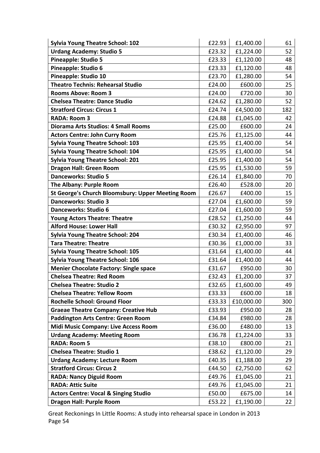| <b>Sylvia Young Theatre School: 102</b>           | £22.93 | £1,400.00  | 61  |
|---------------------------------------------------|--------|------------|-----|
| <b>Urdang Academy: Studio 5</b>                   | £23.32 | £1,224.00  | 52  |
| <b>Pineapple: Studio 5</b>                        | £23.33 | £1,120.00  | 48  |
| Pineapple: Studio 6                               | £23.33 | £1,120.00  | 48  |
| <b>Pineapple: Studio 10</b>                       | £23.70 | £1,280.00  | 54  |
| <b>Theatro Technis: Rehearsal Studio</b>          | £24.00 | £600.00    | 25  |
| <b>Rooms Above: Room 3</b>                        | £24.00 | £720.00    | 30  |
| <b>Chelsea Theatre: Dance Studio</b>              | £24.62 | £1,280.00  | 52  |
| <b>Stratford Circus: Circus 1</b>                 | £24.74 | £4,500.00  | 182 |
| <b>RADA: Room 3</b>                               | £24.88 | £1,045.00  | 42  |
| <b>Diorama Arts Studios: 4 Small Rooms</b>        | £25.00 | £600.00    | 24  |
| <b>Actors Centre: John Curry Room</b>             | £25.76 | £1,125.00  | 44  |
| <b>Sylvia Young Theatre School: 103</b>           | £25.95 | £1,400.00  | 54  |
| <b>Sylvia Young Theatre School: 104</b>           | £25.95 | £1,400.00  | 54  |
| <b>Sylvia Young Theatre School: 201</b>           | £25.95 | £1,400.00  | 54  |
| <b>Dragon Hall: Green Room</b>                    | £25.95 | £1,530.00  | 59  |
| <b>Danceworks: Studio 5</b>                       | £26.14 | £1,840.00  | 70  |
| The Albany: Purple Room                           | £26.40 | £528.00    | 20  |
| St George's Church Bloomsbury: Upper Meeting Room | £26.67 | £400.00    | 15  |
| <b>Danceworks: Studio 3</b>                       | £27.04 | £1,600.00  | 59  |
| <b>Danceworks: Studio 6</b>                       | £27.04 | £1,600.00  | 59  |
| <b>Young Actors Theatre: Theatre</b>              | £28.52 | £1,250.00  | 44  |
| <b>Alford House: Lower Hall</b>                   | £30.32 | £2,950.00  | 97  |
| <b>Sylvia Young Theatre School: 204</b>           | £30.34 | £1,400.00  | 46  |
| <b>Tara Theatre: Theatre</b>                      | £30.36 | £1,000.00  | 33  |
| <b>Sylvia Young Theatre School: 105</b>           | £31.64 | £1,400.00  | 44  |
| <b>Sylvia Young Theatre School: 106</b>           | £31.64 | £1,400.00  | 44  |
| <b>Menier Chocolate Factory: Single space</b>     | £31.67 | £950.00    | 30  |
| <b>Chelsea Theatre: Red Room</b>                  | £32.43 | £1,200.00  | 37  |
| <b>Chelsea Theatre: Studio 2</b>                  | £32.65 | £1,600.00  | 49  |
| <b>Chelsea Theatre: Yellow Room</b>               | £33.33 | £600.00    | 18  |
| <b>Rochelle School: Ground Floor</b>              | £33.33 | £10,000.00 | 300 |
| <b>Graeae Theatre Company: Creative Hub</b>       | £33.93 | £950.00    | 28  |
| <b>Paddington Arts Centre: Green Room</b>         | £34.84 | £980.00    | 28  |
| <b>Midi Music Company: Live Access Room</b>       | £36.00 | £480.00    | 13  |
| <b>Urdang Academy: Meeting Room</b>               | £36.78 | £1,224.00  | 33  |
| <b>RADA: Room 5</b>                               | £38.10 | £800.00    | 21  |
| <b>Chelsea Theatre: Studio 1</b>                  | £38.62 | £1,120.00  | 29  |
| <b>Urdang Academy: Lecture Room</b>               | £40.35 | £1,188.00  | 29  |
| <b>Stratford Circus: Circus 2</b>                 | £44.50 | £2,750.00  | 62  |
| <b>RADA: Nancy Diguid Room</b>                    | £49.76 | £1,045.00  | 21  |
| <b>RADA: Attic Suite</b>                          | £49.76 | £1,045.00  | 21  |
| <b>Actors Centre: Vocal &amp; Singing Studio</b>  | £50.00 | £675.00    | 14  |
| <b>Dragon Hall: Purple Room</b>                   | £53.22 | £1,190.00  | 22  |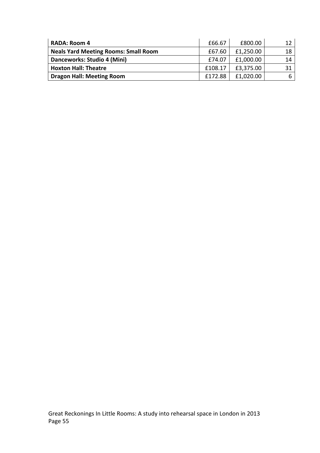| <b>RADA: Room 4</b>                         | £66.67  | £800.00   |    |
|---------------------------------------------|---------|-----------|----|
| <b>Neals Yard Meeting Rooms: Small Room</b> | £67.60  | £1,250.00 | 18 |
| Danceworks: Studio 4 (Mini)                 | £74.07  | £1,000.00 | 14 |
| <b>Hoxton Hall: Theatre</b>                 | £108.17 | £3,375.00 |    |
| <b>Dragon Hall: Meeting Room</b>            | f172.88 | £1,020.00 |    |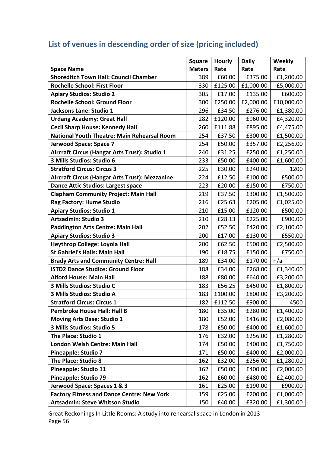#### **Space Name Square Meters Hourly Rate Daily Rate Weekly Rate Shoreditch Town Hall: Council Chamber**  $\vert$  389  $\vert$  £60.00  $\vert$  £375.00  $\vert$  £1,200.00 **Rochelle School: First Floor** 1 230 £125.00 £1,000.00 £5,000.00 **Apiary Studios: Studio 2**  $\vert$  305  $E$ 17.00  $E$ 135.00  $E$  600.00 **Rochelle School: Ground Floor**  $\vert$  300  $\vert$  £250.00  $\vert$  £2,000.00  $\vert$  £10,000.00 **Jacksons Lane: Studio 1 1 1 1 1 1 1 296**  $\left| \begin{array}{c} 296 \ 634.50 \end{array} \right|$  **£276.00 £1,380.00 Urdang Academy: Great Hall** 282 E120.00 E960.00 E4,320.00 **Cecil Sharp House: Kennedy Hall** 260 E111.88 E895.00 £4,475.00 **National Youth Theatre: Main Rehearsal Room**  $\vert$  **254 £37.50 £300.00 £1,500.00 Jerwood Space: Space 7** 254 E50.00 E357.00 E2,256.00 **Aircraft Circus (Hangar Arts Trust): Studio 1**  $\vert$  240  $\vert$  £31.25  $\vert$  £250.00  $\vert$  £1,250.00 **3 Mills Studios: Studio 6** 233 £50.00 £400.00 £1,600.00 **Stratford Circus: Circus 3** 225 E30.00 E240.00 1200 **Aircraft Circus (Hangar Arts Trust): Mezzanine**  $\vert$  **224**  $\vert$  **£12.50**  $\vert$  **£100.00**  $\vert$  **£500.00 Dance Attic Studios: Largest space**  $\vert$  223  $\vert$  £20.00  $\vert$  £150.00  $\vert$  £750.00 **Clapham Community Project: Main Hall** 219 £37.50 £300.00 £1,500.00 **Rag Factory: Hume Studio** 216 | 216 £25.63  $\vert$  £205.00  $\vert$  £1,025.00 **Apiary Studios: Studio 1** 210 **E15.00 E120.00** £500.00 **Artsadmin: Studio 3** 210 **210 £28.13 £225.00 £900.00 Paddington Arts Centre: Main Hall** 202 £52.50 £420.00 £2,100.00 **Apiary Studios: Studio 3** 200 **£17.00 £130.00 £550.00 Heythrop College: Loyola Hall** 200 £62.50 £500.00 £2,500.00 **St Gabriel's Halls: Main Hall** 190 | 190 £18.75 £150.00 £750.00 **Brady Arts and Community Centre: Hall** 189 E34.00 E170.00 n/a **ISTD2 Dance Studios: Ground Floor**  $\vert$  188  $\vert$  £34.00  $\vert$  £268.00  $\vert$  £1,340.00 **Alford House: Main Hall** 188 | E80.00  $\vert$  £640.00  $\vert$  £3,200.00 **3 Mills Studios: Studio C**  $\vert$  183  $\vert$  £56.25  $\vert$  £450.00  $\vert$  £1,800.00 **3 Mills Studios: Studio A** 183 E100.00 E800.00 E3,200.00 **Stratford Circus: Circus 1** 182 E112.50 **E900.00** 1500 **Pembroke House Hall: Hall B**  $\vert$  180  $\vert$  £35.00  $\vert$  £280.00  $\vert$  £1,400.00 **Moving Arts Base: Studio 1** 180 | £52.00  $\vert$  £416.00  $\vert$  £2,080.00 **3 Mills Studios: Studio 5** 178  $\vert$  178  $\vert$  £50.00  $\vert$  £400.00  $\vert$  £1,600.00 **The Place: Studio 1** 176  $\vert$  176  $\vert$  £32.00  $\vert$  £256.00  $\vert$  £1,280.00 **London Welsh Centre: Main Hall** 174 | £50.00 £400.00 £1,750.00 **Pineapple: Studio 7** 171 £50.00 £400.00 £2,000.00 **The Place: Studio 8** 162 | 232.00  $\left| \right|$  256.00  $\left| \right|$  £1,280.00 **Pineapple: Studio 11 162 a. 3. 162 £400.00 £2,000.00 £2,000.00 £2,000.00 £2,000.00 Pineapple: Studio 79** 162 **162 £60.00 £480.00** £2,400.00 **Jerwood Space: Spaces 1 & 3** 161 E25.00 E190.00 E900.00

### List of venues in descending order of size (pricing included)

Great Reckonings In Little Rooms: A study into rehearsal space in London in 2013 Page 56

**Factory Fitness and Dance Centre: New York** | 159 | £25.00 | £200.00 | £1,000.00 **Artsadmin: Steve Whitson Studio** 150 | 150  $\vert$  £40.00  $\vert$  £320.00  $\vert$  £1,300.00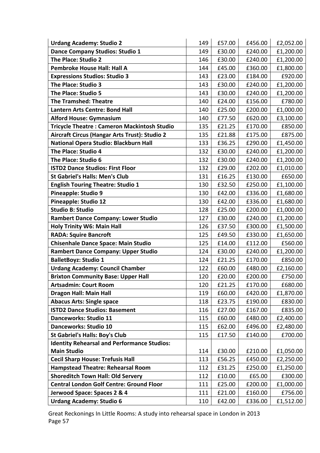| <b>Urdang Academy: Studio 2</b>                    | 149 | £57.00 | £456.00 | £2,052.00 |
|----------------------------------------------------|-----|--------|---------|-----------|
| Dance Company Studios: Studio 1                    | 149 | £30.00 | £240.00 | £1,200.00 |
| The Place: Studio 2                                | 146 | £30.00 | £240.00 | £1,200.00 |
| Pembroke House Hall: Hall A                        | 144 | £45.00 | £360.00 | £1,800.00 |
| <b>Expressions Studios: Studio 3</b>               | 143 | £23.00 | £184.00 | £920.00   |
| The Place: Studio 3                                | 143 | £30.00 | £240.00 | £1,200.00 |
| The Place: Studio 5                                | 143 | £30.00 | £240.00 | £1,200.00 |
| <b>The Tramshed: Theatre</b>                       | 140 | £24.00 | £156.00 | £780.00   |
| <b>Lantern Arts Centre: Bond Hall</b>              | 140 | £25.00 | £200.00 | £1,000.00 |
| <b>Alford House: Gymnasium</b>                     | 140 | £77.50 | £620.00 | £3,100.00 |
| <b>Tricycle Theatre: Cameron Mackintosh Studio</b> | 135 | £21.25 | £170.00 | £850.00   |
| Aircraft Circus (Hangar Arts Trust): Studio 2      | 135 | £21.88 | £175.00 | £875.00   |
| National Opera Studio: Blackburn Hall              | 133 | £36.25 | £290.00 | £1,450.00 |
| The Place: Studio 4                                | 132 | £30.00 | £240.00 | £1,200.00 |
| The Place: Studio 6                                | 132 | £30.00 | £240.00 | £1,200.00 |
| <b>ISTD2 Dance Studios: First Floor</b>            | 132 | £29.00 | £202.00 | £1,010.00 |
| <b>St Gabriel's Halls: Men's Club</b>              | 131 | £16.25 | £130.00 | £650.00   |
| <b>English Touring Theatre: Studio 1</b>           | 130 | £32.50 | £250.00 | £1,100.00 |
| Pineapple: Studio 9                                | 130 | £42.00 | £336.00 | £1,680.00 |
| <b>Pineapple: Studio 12</b>                        | 130 | £42.00 | £336.00 | £1,680.00 |
| <b>Studio B: Studio</b>                            | 128 | £25.00 | £200.00 | £1,000.00 |
| <b>Rambert Dance Company: Lower Studio</b>         | 127 | £30.00 | £240.00 | £1,200.00 |
| <b>Holy Trinity W6: Main Hall</b>                  | 126 | £37.50 | £300.00 | £1,500.00 |
| <b>RADA: Squire Bancroft</b>                       | 125 | £49.50 | £330.00 | £1,650.00 |
| <b>Chisenhale Dance Space: Main Studio</b>         | 125 | £14.00 | £112.00 | £560.00   |
| <b>Rambert Dance Company: Upper Studio</b>         | 124 | £30.00 | £240.00 | £1,200.00 |
| <b>BalletBoyz: Studio 1</b>                        | 124 | £21.25 | £170.00 | £850.00   |
| <b>Urdang Academy: Council Chamber</b>             | 122 | £60.00 | £480.00 | £2,160.00 |
| <b>Brixton Community Base: Upper Hall</b>          | 120 | £20.00 | £200.00 | £750.00   |
| <b>Artsadmin: Court Room</b>                       | 120 | £21.25 | £170.00 | £680.00   |
| <b>Dragon Hall: Main Hall</b>                      | 119 | £60.00 | £420.00 | £1,870.00 |
| <b>Abacus Arts: Single space</b>                   | 118 | £23.75 | £190.00 | £830.00   |
| <b>ISTD2 Dance Studios: Basement</b>               | 116 | £27.00 | £167.00 | £835.00   |
| <b>Danceworks: Studio 11</b>                       | 115 | £60.00 | £480.00 | £2,400.00 |
| <b>Danceworks: Studio 10</b>                       | 115 | £62.00 | £496.00 | £2,480.00 |
| <b>St Gabriel's Halls: Boy's Club</b>              | 115 | £17.50 | £140.00 | £700.00   |
| <b>Identity Rehearsal and Performance Studios:</b> |     |        |         |           |
| <b>Main Studio</b>                                 | 114 | £30.00 | £210.00 | £1,050.00 |
| <b>Cecil Sharp House: Trefusis Hall</b>            | 113 | £56.25 | £450.00 | £2,250.00 |
| <b>Hampstead Theatre: Rehearsal Room</b>           | 112 | £31.25 | £250.00 | £1,250.00 |
| <b>Shoreditch Town Hall: Old Servery</b>           | 112 | £10.00 | £65.00  | £300.00   |
| <b>Central London Golf Centre: Ground Floor</b>    | 111 | £25.00 | £200.00 | £1,000.00 |
| Jerwood Space: Spaces 2 & 4                        | 111 | £21.00 | £160.00 | £756.00   |
| <b>Urdang Academy: Studio 6</b>                    | 110 | £42.00 | £336.00 | £1,512.00 |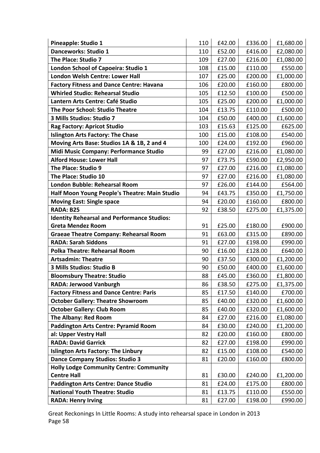| <b>Pineapple: Studio 1</b>                         | 110 | £42.00 | £336.00 | £1,680.00 |
|----------------------------------------------------|-----|--------|---------|-----------|
| Danceworks: Studio 1                               | 110 | £52.00 | £416.00 | £2,080.00 |
| The Place: Studio 7                                | 109 | £27.00 | £216.00 | £1,080.00 |
| London School of Capoeira: Studio 1                | 108 | £15.00 | £110.00 | £550.00   |
| London Welsh Centre: Lower Hall                    | 107 | £25.00 | £200.00 | £1,000.00 |
| <b>Factory Fitness and Dance Centre: Havana</b>    | 106 | £20.00 | £160.00 | £800.00   |
| <b>Whirled Studio: Rehearsal Studio</b>            | 105 | £12.50 | £100.00 | £500.00   |
| Lantern Arts Centre: Café Studio                   | 105 | £25.00 | £200.00 | £1,000.00 |
| The Poor School: Studio Theatre                    | 104 | £13.75 | £110.00 | £500.00   |
| 3 Mills Studios: Studio 7                          | 104 | £50.00 | £400.00 | £1,600.00 |
| <b>Rag Factory: Apricot Studio</b>                 | 103 | £15.63 | £125.00 | £625.00   |
| <b>Islington Arts Factory: The Chase</b>           | 100 | £15.00 | £108.00 | £540.00   |
| Moving Arts Base: Studios 1A & 1B, 2 and 4         | 100 | £24.00 | £192.00 | £960.00   |
| Midi Music Company: Performance Studio             | 99  | £27.00 | £216.00 | £1,080.00 |
| <b>Alford House: Lower Hall</b>                    | 97  | £73.75 | £590.00 | £2,950.00 |
| The Place: Studio 9                                | 97  | £27.00 | £216.00 | £1,080.00 |
| The Place: Studio 10                               | 97  | £27.00 | £216.00 | £1,080.00 |
| <b>London Bubble: Rehearsal Room</b>               | 97  | £26.00 | £144.00 | £564.00   |
| Half Moon Young People's Theatre: Main Studio      | 94  | £43.75 | £350.00 | £1,750.00 |
| <b>Moving East: Single space</b>                   | 94  | £20.00 | £160.00 | £800.00   |
| RADA: B25                                          | 92  | £38.50 | £275.00 | £1,375.00 |
| <b>Identity Rehearsal and Performance Studios:</b> |     |        |         |           |
| <b>Greta Mendez Room</b>                           | 91  | £25.00 | £180.00 | £900.00   |
| <b>Graeae Theatre Company: Rehearsal Room</b>      | 91  | £63.00 | £315.00 | £890.00   |
| <b>RADA: Sarah Siddons</b>                         | 91  | £27.00 | £198.00 | £990.00   |
| <b>Polka Theatre: Rehearsal Room</b>               | 90  | £16.00 | £128.00 | £640.00   |
| <b>Artsadmin: Theatre</b>                          | 90  | £37.50 | £300.00 | £1,200.00 |
| 3 Mills Studios: Studio B                          | 90  | £50.00 | £400.00 | £1,600.00 |
| <b>Bloomsbury Theatre: Studio</b>                  | 88  | £45.00 | £360.00 | £1,800.00 |
| RADA: Jerwood Vanburgh                             | 86  | £38.50 | £275.00 | £1,375.00 |
| <b>Factory Fitness and Dance Centre: Paris</b>     | 85  | £17.50 | £140.00 | £700.00   |
| <b>October Gallery: Theatre Showroom</b>           | 85  | £40.00 | £320.00 | £1,600.00 |
| <b>October Gallery: Club Room</b>                  | 85  | £40.00 | £320.00 | £1,600.00 |
| <b>The Albany: Red Room</b>                        | 84  | £27.00 | £216.00 | £1,080.00 |
| <b>Paddington Arts Centre: Pyramid Room</b>        | 84  | £30.00 | £240.00 | £1,200.00 |
| al: Upper Vestry Hall                              | 82  | £20.00 | £160.00 | £800.00   |
| <b>RADA: David Garrick</b>                         | 82  | £27.00 | £198.00 | £990.00   |
| <b>Islington Arts Factory: The Linbury</b>         | 82  | £15.00 | £108.00 | £540.00   |
| <b>Dance Company Studios: Studio 3</b>             | 81  | £20.00 | £160.00 | £800.00   |
| <b>Holly Lodge Community Centre: Community</b>     |     |        |         |           |
| <b>Centre Hall</b>                                 | 81  | £30.00 | £240.00 | £1,200.00 |
| <b>Paddington Arts Centre: Dance Studio</b>        | 81  | £24.00 | £175.00 | £800.00   |
| <b>National Youth Theatre: Studio</b>              | 81  | £13.75 | £110.00 | £550.00   |
| <b>RADA: Henry Irving</b>                          | 81  | £27.00 | £198.00 | £990.00   |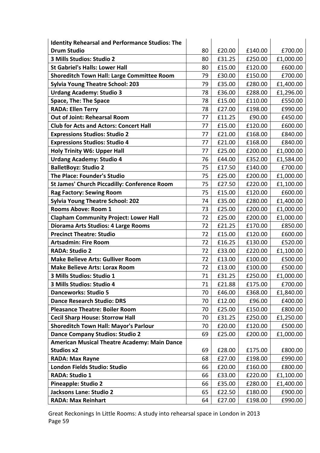| <b>Identity Rehearsal and Performance Studios: The</b> |    |        |         |           |
|--------------------------------------------------------|----|--------|---------|-----------|
| <b>Drum Studio</b>                                     | 80 | £20.00 | £140.00 | £700.00   |
| 3 Mills Studios: Studio 2                              | 80 | £31.25 | £250.00 | £1,000.00 |
| <b>St Gabriel's Halls: Lower Hall</b>                  | 80 | £15.00 | £120.00 | £600.00   |
| <b>Shoreditch Town Hall: Large Committee Room</b>      | 79 | £30.00 | £150.00 | £700.00   |
| <b>Sylvia Young Theatre School: 203</b>                | 79 | £35.00 | £280.00 | £1,400.00 |
| <b>Urdang Academy: Studio 3</b>                        | 78 | £36.00 | £288.00 | £1,296.00 |
| <b>Space, The: The Space</b>                           | 78 | £15.00 | £110.00 | £550.00   |
| <b>RADA: Ellen Terry</b>                               | 78 | £27.00 | £198.00 | £990.00   |
| <b>Out of Joint: Rehearsal Room</b>                    | 77 | £11.25 | £90.00  | £450.00   |
| <b>Club for Acts and Actors: Concert Hall</b>          | 77 | £15.00 | £120.00 | £600.00   |
| <b>Expressions Studios: Studio 2</b>                   | 77 | £21.00 | £168.00 | £840.00   |
| <b>Expressions Studios: Studio 4</b>                   | 77 | £21.00 | £168.00 | £840.00   |
| <b>Holy Trinity W6: Upper Hall</b>                     | 77 | £25.00 | £200.00 | £1,000.00 |
| <b>Urdang Academy: Studio 4</b>                        | 76 | £44.00 | £352.00 | £1,584.00 |
| <b>BalletBoyz: Studio 2</b>                            | 75 | £17.50 | £140.00 | £700.00   |
| <b>The Place: Founder's Studio</b>                     | 75 | £25.00 | £200.00 | £1,000.00 |
| <b>St James' Church Piccadilly: Conference Room</b>    | 75 | £27.50 | £220.00 | £1,100.00 |
| <b>Rag Factory: Sewing Room</b>                        | 75 | £15.00 | £120.00 | £600.00   |
| <b>Sylvia Young Theatre School: 202</b>                | 74 | £35.00 | £280.00 | £1,400.00 |
| Rooms Above: Room 1                                    | 73 | £25.00 | £200.00 | £1,000.00 |
| <b>Clapham Community Project: Lower Hall</b>           | 72 | £25.00 | £200.00 | £1,000.00 |
| Diorama Arts Studios: 4 Large Rooms                    | 72 | £21.25 | £170.00 | £850.00   |
| <b>Precinct Theatre: Studio</b>                        | 72 | £15.00 | £120.00 | £600.00   |
| <b>Artsadmin: Fire Room</b>                            | 72 | £16.25 | £130.00 | £520.00   |
| <b>RADA: Studio 2</b>                                  | 72 | £33.00 | £220.00 | £1,100.00 |
| <b>Make Believe Arts: Gulliver Room</b>                | 72 | £13.00 | £100.00 | £500.00   |
| <b>Make Believe Arts: Lorax Room</b>                   | 72 | £13.00 | £100.00 | £500.00   |
| 3 Mills Studios: Studio 1                              | 71 | £31.25 | £250.00 | £1,000.00 |
| 3 Mills Studios: Studio 4                              | 71 | £21.88 | £175.00 | £700.00   |
| <b>Danceworks: Studio 5</b>                            | 70 | £46.00 | £368.00 | £1,840.00 |
| <b>Dance Research Studio: DRS</b>                      | 70 | £12.00 | £96.00  | £400.00   |
| <b>Pleasance Theatre: Boiler Room</b>                  | 70 | £25.00 | £150.00 | £800.00   |
| <b>Cecil Sharp House: Storrow Hall</b>                 | 70 | £31.25 | £250.00 | £1,250.00 |
| <b>Shoreditch Town Hall: Mayor's Parlour</b>           | 70 | £20.00 | £120.00 | £500.00   |
| <b>Dance Company Studios: Studio 2</b>                 | 69 | £25.00 | £200.00 | £1,000.00 |
| <b>American Musical Theatre Academy: Main Dance</b>    |    |        |         |           |
| <b>Studios x2</b>                                      | 69 | £28.00 | £175.00 | £800.00   |
| <b>RADA: Max Rayne</b>                                 | 68 | £27.00 | £198.00 | £990.00   |
| London Fields Studio: Studio                           | 66 | £20.00 | £160.00 | £800.00   |
| <b>RADA: Studio 1</b>                                  | 66 | £33.00 | £220.00 | £1,100.00 |
| <b>Pineapple: Studio 2</b>                             | 66 | £35.00 | £280.00 | £1,400.00 |
| Jacksons Lane: Studio 2                                | 65 | £22.50 | £180.00 | £900.00   |
| <b>RADA: Max Reinhart</b>                              | 64 | £27.00 | £198.00 | £990.00   |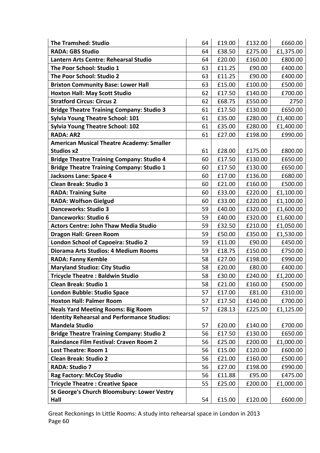| <b>The Tramshed: Studio</b>                        | 64 | £19.00 | £132.00 | £660.00   |
|----------------------------------------------------|----|--------|---------|-----------|
| <b>RADA: GBS Studio</b>                            | 64 | £38.50 | £275.00 | £1,375.00 |
| Lantern Arts Centre: Rehearsal Studio              | 64 | £20.00 | £160.00 | £800.00   |
| The Poor School: Studio 1                          | 63 | £11.25 | £90.00  | £400.00   |
| The Poor School: Studio 2                          | 63 | £11.25 | £90.00  | £400.00   |
| <b>Brixton Community Base: Lower Hall</b>          | 63 | £15.00 | £100.00 | £500.00   |
| <b>Hoxton Hall: May Scott Studio</b>               | 62 | £17.50 | £140.00 | £700.00   |
| <b>Stratford Circus: Circus 2</b>                  | 62 | £68.75 | £550.00 | 2750      |
| <b>Bridge Theatre Training Company: Studio 3</b>   | 61 | £17.50 | £130.00 | £650.00   |
| <b>Sylvia Young Theatre School: 101</b>            | 61 | £35.00 | £280.00 | £1,400.00 |
| <b>Sylvia Young Theatre School: 102</b>            | 61 | £35.00 | £280.00 | £1,400.00 |
| <b>RADA: AR2</b>                                   | 61 | £27.00 | £198.00 | £990.00   |
| <b>American Musical Theatre Academy: Smaller</b>   |    |        |         |           |
| <b>Studios x2</b>                                  | 61 | £28.00 | £175.00 | £800.00   |
| <b>Bridge Theatre Training Company: Studio 4</b>   | 60 | £17.50 | £130.00 | £650.00   |
| <b>Bridge Theatre Training Company: Studio 1</b>   | 60 | £17.50 | £130.00 | £650.00   |
| <b>Jacksons Lane: Space 4</b>                      | 60 | £17.00 | £136.00 | £680.00   |
| <b>Clean Break: Studio 3</b>                       | 60 | £21.00 | £160.00 | £500.00   |
| <b>RADA: Training Suite</b>                        | 60 | £33.00 | £220.00 | £1,100.00 |
| <b>RADA: Wolfson Gielgud</b>                       | 60 | £33.00 | £220.00 | £1,100.00 |
| <b>Danceworks: Studio 3</b>                        | 59 | £40.00 | £320.00 | £1,600.00 |
| <b>Danceworks: Studio 6</b>                        | 59 | £40.00 | £320.00 | £1,600.00 |
| <b>Actors Centre: John Thaw Media Studio</b>       | 59 | £32.50 | £210.00 | £1,050.00 |
| <b>Dragon Hall: Green Room</b>                     | 59 | £50.00 | £350.00 | £1,530.00 |
| London School of Capoeira: Studio 2                | 59 | £11.00 | £90.00  | £450.00   |
| Diorama Arts Studios: 4 Medium Rooms               | 59 | £18.75 | £150.00 | £750.00   |
| <b>RADA: Fanny Kemble</b>                          | 58 | £27.00 | £198.00 | £990.00   |
| <b>Maryland Studioz: City Studio</b>               | 58 | £20.00 | £80.00  | £400.00   |
| <b>Tricycle Theatre: Baldwin Studio</b>            | 58 | £30.00 | £240.00 | £1,200.00 |
| <b>Clean Break: Studio 1</b>                       | 58 | £21.00 | £160.00 | £500.00   |
| London Bubble: Studio Space                        | 57 | £17.00 | £81.00  | £310.00   |
| <b>Hoxton Hall: Palmer Room</b>                    | 57 | £17.50 | £140.00 | £700.00   |
| <b>Neals Yard Meeting Rooms: Big Room</b>          | 57 | £28.13 | £225.00 | £1,125.00 |
| <b>Identity Rehearsal and Performance Studios:</b> |    |        |         |           |
| <b>Mandela Studio</b>                              | 57 | £20.00 | £140.00 | £700.00   |
| <b>Bridge Theatre Training Company: Studio 2</b>   | 56 | £17.50 | £130.00 | £650.00   |
| Raindance Film Festival: Craven Room 2             | 56 | £25.00 | £200.00 | £1,000.00 |
| <b>Lost Theatre: Room 1</b>                        | 56 | £15.00 | £120.00 | £600.00   |
| <b>Clean Break: Studio 2</b>                       | 56 | £21.00 | £160.00 | £500.00   |
| <b>RADA: Studio 7</b>                              | 56 | £27.00 | £198.00 | £990.00   |
| <b>Rag Factory: McCoy Studio</b>                   | 56 | £11.88 | £95.00  | £475.00   |
| <b>Tricycle Theatre: Creative Space</b>            | 55 | £25.00 | £200.00 | £1,000.00 |
| St George's Church Bloomsbury: Lower Vestry        |    |        |         |           |
| Hall                                               | 54 | £15.00 | £120.00 | £600.00   |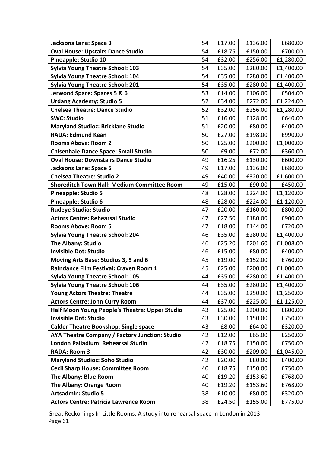| <b>Jacksons Lane: Space 3</b>                      | 54 | £17.00 | £136.00 | £680.00   |
|----------------------------------------------------|----|--------|---------|-----------|
| <b>Oval House: Upstairs Dance Studio</b>           | 54 | £18.75 | £150.00 | £700.00   |
| Pineapple: Studio 10                               | 54 | £32.00 | £256.00 | £1,280.00 |
| <b>Sylvia Young Theatre School: 103</b>            | 54 | £35.00 | £280.00 | £1,400.00 |
| <b>Sylvia Young Theatre School: 104</b>            | 54 | £35.00 | £280.00 | £1,400.00 |
| <b>Sylvia Young Theatre School: 201</b>            | 54 | £35.00 | £280.00 | £1,400.00 |
| Jerwood Space: Spaces 5 & 6                        | 53 | £14.00 | £106.00 | £504.00   |
| <b>Urdang Academy: Studio 5</b>                    | 52 | £34.00 | £272.00 | £1,224.00 |
| <b>Chelsea Theatre: Dance Studio</b>               | 52 | £32.00 | £256.00 | £1,280.00 |
| <b>SWC: Studio</b>                                 | 51 | £16.00 | £128.00 | £640.00   |
| <b>Maryland Studioz: Bricklane Studio</b>          | 51 | £20.00 | £80.00  | £400.00   |
| <b>RADA: Edmund Kean</b>                           | 50 | £27.00 | £198.00 | £990.00   |
| <b>Rooms Above: Room 2</b>                         | 50 | £25.00 | £200.00 | £1,000.00 |
| <b>Chisenhale Dance Space: Small Studio</b>        | 50 | £9.00  | £72.00  | £360.00   |
| <b>Oval House: Downstairs Dance Studio</b>         | 49 | £16.25 | £130.00 | £600.00   |
| <b>Jacksons Lane: Space 5</b>                      | 49 | £17.00 | £136.00 | £680.00   |
| <b>Chelsea Theatre: Studio 2</b>                   | 49 | £40.00 | £320.00 | £1,600.00 |
| <b>Shoreditch Town Hall: Medium Committee Room</b> | 49 | £15.00 | £90.00  | £450.00   |
| <b>Pineapple: Studio 5</b>                         | 48 | £28.00 | £224.00 | £1,120.00 |
| Pineapple: Studio 6                                | 48 | £28.00 | £224.00 | £1,120.00 |
| <b>Rudeye Studio: Studio</b>                       | 47 | £20.00 | £160.00 | £800.00   |
| <b>Actors Centre: Rehearsal Studio</b>             | 47 | £27.50 | £180.00 | £900.00   |
| <b>Rooms Above: Room 5</b>                         | 47 | £18.00 | £144.00 | £720.00   |
| <b>Sylvia Young Theatre School: 204</b>            | 46 | £35.00 | £280.00 | £1,400.00 |
| <b>The Albany: Studio</b>                          | 46 | £25.20 | £201.60 | £1,008.00 |
| <b>Invisible Dot: Studio</b>                       | 46 | £15.00 | £80.00  | £400.00   |
| Moving Arts Base: Studios 3, 5 and 6               | 45 | £19.00 | £152.00 | £760.00   |
| Raindance Film Festival: Craven Room 1             | 45 | £25.00 | £200.00 | £1,000.00 |
| <b>Sylvia Young Theatre School: 105</b>            | 44 | £35.00 | £280.00 | £1,400.00 |
| <b>Sylvia Young Theatre School: 106</b>            | 44 | £35.00 | £280.00 | £1,400.00 |
| <b>Young Actors Theatre: Theatre</b>               | 44 | £35.00 | £250.00 | £1,250.00 |
| <b>Actors Centre: John Curry Room</b>              | 44 | £37.00 | £225.00 | £1,125.00 |
| Half Moon Young People's Theatre: Upper Studio     | 43 | £25.00 | £200.00 | £800.00   |
| <b>Invisible Dot: Studio</b>                       | 43 | £30.00 | £150.00 | £750.00   |
| <b>Calder Theatre Bookshop: Single space</b>       | 43 | £8.00  | £64.00  | £320.00   |
| AYA Theatre Company / Factory Junction: Studio     | 42 | £12.00 | £65.00  | £250.00   |
| London Palladium: Rehearsal Studio                 | 42 | £18.75 | £150.00 | £750.00   |
| <b>RADA: Room 3</b>                                | 42 | £30.00 | £209.00 | £1,045.00 |
| <b>Maryland Studioz: Soho Studio</b>               | 42 | £20.00 | £80.00  | £400.00   |
| <b>Cecil Sharp House: Committee Room</b>           | 40 | £18.75 | £150.00 | £750.00   |
| The Albany: Blue Room                              | 40 | £19.20 | £153.60 | £768.00   |
| <b>The Albany: Orange Room</b>                     | 40 | £19.20 | £153.60 | £768.00   |
| <b>Artsadmin: Studio 5</b>                         | 38 | £10.00 | £80.00  | £320.00   |
| <b>Actors Centre: Patricia Lawrence Room</b>       | 38 | £24.50 | £155.00 | £775.00   |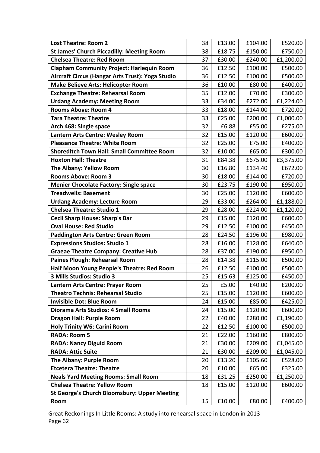| <b>Lost Theatre: Room 2</b>                       | 38 | £13.00 | £104.00 | £520.00   |
|---------------------------------------------------|----|--------|---------|-----------|
| <b>St James' Church Piccadilly: Meeting Room</b>  | 38 | £18.75 | £150.00 | £750.00   |
| <b>Chelsea Theatre: Red Room</b>                  | 37 | £30.00 | £240.00 | £1,200.00 |
| <b>Clapham Community Project: Harlequin Room</b>  | 36 | £12.50 | £100.00 | £500.00   |
| Aircraft Circus (Hangar Arts Trust): Yoga Studio  | 36 | £12.50 | £100.00 | £500.00   |
| <b>Make Believe Arts: Helicopter Room</b>         | 36 | £10.00 | £80.00  | £400.00   |
| <b>Exchange Theatre: Rehearsal Room</b>           | 35 | £12.00 | £70.00  | £300.00   |
| <b>Urdang Academy: Meeting Room</b>               | 33 | £34.00 | £272.00 | £1,224.00 |
| <b>Rooms Above: Room 4</b>                        | 33 | £18.00 | £144.00 | £720.00   |
| <b>Tara Theatre: Theatre</b>                      | 33 | £25.00 | £200.00 | £1,000.00 |
| Arch 468: Single space                            | 32 | £6.88  | £55.00  | £275.00   |
| Lantern Arts Centre: Wesley Room                  | 32 | £15.00 | £120.00 | £600.00   |
| <b>Pleasance Theatre: White Room</b>              | 32 | £25.00 | £75.00  | £400.00   |
| <b>Shoreditch Town Hall: Small Committee Room</b> | 32 | £10.00 | £65.00  | £300.00   |
| <b>Hoxton Hall: Theatre</b>                       | 31 | £84.38 | £675.00 | £3,375.00 |
| <b>The Albany: Yellow Room</b>                    | 30 | £16.80 | £134.40 | £672.00   |
| <b>Rooms Above: Room 3</b>                        | 30 | £18.00 | £144.00 | £720.00   |
| <b>Menier Chocolate Factory: Single space</b>     | 30 | £23.75 | £190.00 | £950.00   |
| <b>Treadwells: Basement</b>                       | 30 | £25.00 | £120.00 | £600.00   |
| <b>Urdang Academy: Lecture Room</b>               | 29 | £33.00 | £264.00 | £1,188.00 |
| <b>Chelsea Theatre: Studio 1</b>                  | 29 | £28.00 | £224.00 | £1,120.00 |
| <b>Cecil Sharp House: Sharp's Bar</b>             | 29 | £15.00 | £120.00 | £600.00   |
| <b>Oval House: Red Studio</b>                     | 29 | £12.50 | £100.00 | £450.00   |
| <b>Paddington Arts Centre: Green Room</b>         | 28 | £24.50 | £196.00 | £980.00   |
| <b>Expressions Studios: Studio 1</b>              | 28 | £16.00 | £128.00 | £640.00   |
| <b>Graeae Theatre Company: Creative Hub</b>       | 28 | £37.00 | £190.00 | £950.00   |
| <b>Paines Plough: Rehearsal Room</b>              | 28 | £14.38 | £115.00 | £500.00   |
| Half Moon Young People's Theatre: Red Room        | 26 | £12.50 | £100.00 | £500.00   |
| 3 Mills Studios: Studio 3                         | 25 | £15.63 | £125.00 | £450.00   |
| Lantern Arts Centre: Prayer Room                  | 25 | £5.00  | £40.00  | £200.00   |
| <b>Theatro Technis: Rehearsal Studio</b>          | 25 | £15.00 | £120.00 | £600.00   |
| <b>Invisible Dot: Blue Room</b>                   | 24 | £15.00 | £85.00  | £425.00   |
| Diorama Arts Studios: 4 Small Rooms               | 24 | £15.00 | £120.00 | £600.00   |
| <b>Dragon Hall: Purple Room</b>                   | 22 | £40.00 | £280.00 | £1,190.00 |
| <b>Holy Trinity W6: Carini Room</b>               | 22 | £12.50 | £100.00 | £500.00   |
| <b>RADA: Room 5</b>                               | 21 | £22.00 | £160.00 | £800.00   |
| <b>RADA: Nancy Diguid Room</b>                    | 21 | £30.00 | £209.00 | £1,045.00 |
| <b>RADA: Attic Suite</b>                          | 21 | £30.00 | £209.00 | £1,045.00 |
| The Albany: Purple Room                           | 20 | £13.20 | £105.60 | £528.00   |
| <b>Etcetera Theatre: Theatre</b>                  | 20 | £10.00 | £65.00  | £325.00   |
| <b>Neals Yard Meeting Rooms: Small Room</b>       | 18 | £31.25 | £250.00 | £1,250.00 |
| <b>Chelsea Theatre: Yellow Room</b>               | 18 | £15.00 | £120.00 | £600.00   |
| St George's Church Bloomsbury: Upper Meeting      |    |        |         |           |
| Room                                              | 15 | £10.00 | £80.00  | £400.00   |